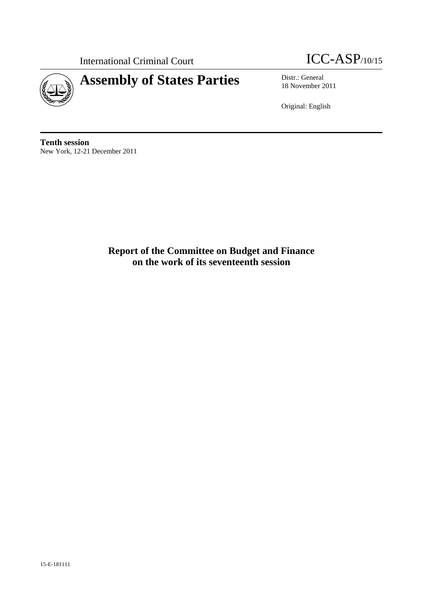



18 November 2011

Original: English

**Tenth session**  New York, 12-21 December 2011

> **Report of the Committee on Budget and Finance on the work of its seventeenth session**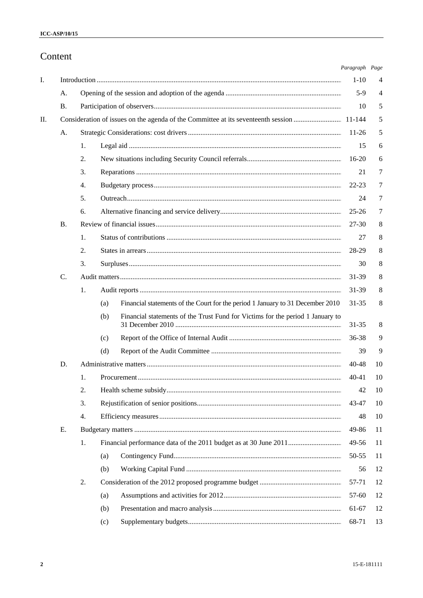# Content

|    |           |    |     |                                                                                | Paragraph Page |    |
|----|-----------|----|-----|--------------------------------------------------------------------------------|----------------|----|
| I. |           |    |     |                                                                                | $1 - 10$       | 4  |
|    | A.        |    |     |                                                                                | $5-9$          | 4  |
|    | <b>B.</b> |    |     |                                                                                | 10             | 5  |
| П. |           |    |     |                                                                                |                | 5  |
|    | A.        |    |     |                                                                                | $11-26$        | 5  |
|    |           | 1. |     |                                                                                | 15             | 6  |
|    |           | 2. |     |                                                                                | $16-20$        | 6  |
|    |           | 3. |     |                                                                                | 21             | 7  |
|    |           | 4. |     |                                                                                | 22-23          | 7  |
|    |           | 5. |     |                                                                                | 24             | 7  |
|    |           | 6. |     |                                                                                | $25 - 26$      | 7  |
|    | <b>B.</b> |    |     |                                                                                | $27 - 30$      | 8  |
|    |           | 1. |     |                                                                                | 27             | 8  |
|    |           | 2. |     |                                                                                | 28-29          | 8  |
|    |           | 3. |     |                                                                                | 30             | 8  |
|    | C.        |    |     |                                                                                | 31-39          | 8  |
|    |           | 1. |     |                                                                                | 31-39          | 8  |
|    |           |    | (a) | Financial statements of the Court for the period 1 January to 31 December 2010 | 31-35          | 8  |
|    |           |    | (b) | Financial statements of the Trust Fund for Victims for the period 1 January to | 31-35          | 8  |
|    |           |    | (c) |                                                                                | 36-38          | 9  |
|    |           |    | (d) |                                                                                | 39             | 9  |
|    | D.        |    |     |                                                                                | 40-48          | 10 |
|    |           | 1. |     |                                                                                | 40-41          | 10 |
|    |           | 2. |     |                                                                                | 42             | 10 |
|    |           | 3. |     |                                                                                | 43-47          | 10 |
|    |           | 4. |     |                                                                                | 48             | 10 |
|    | Е.        |    |     |                                                                                | 49-86          | 11 |
|    |           | 1. |     |                                                                                | 49-56          | 11 |
|    |           |    | (a) |                                                                                | 50-55          | 11 |
|    |           |    | (b) |                                                                                | 56             | 12 |
|    |           | 2. |     |                                                                                | 57-71          | 12 |
|    |           |    | (a) |                                                                                | 57-60          | 12 |
|    |           |    | (b) |                                                                                | 61-67          | 12 |
|    |           |    | (c) |                                                                                | 68-71          | 13 |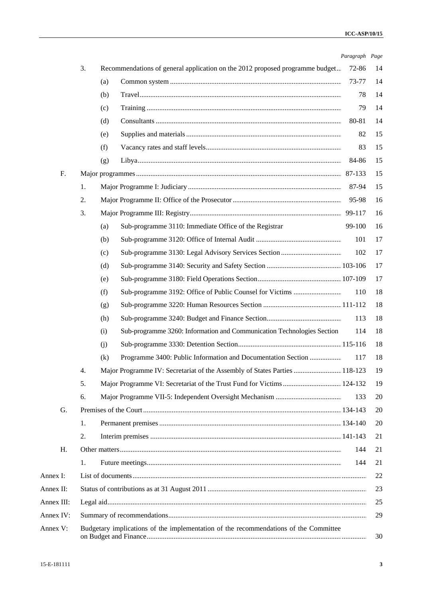|            |    |                                                                                      | Paragraph Page |    |
|------------|----|--------------------------------------------------------------------------------------|----------------|----|
|            | 3. | Recommendations of general application on the 2012 proposed programme budget         | 72-86          | 14 |
|            |    | (a)                                                                                  | 73-77          | 14 |
|            |    | (b)                                                                                  | 78             | 14 |
|            |    | (c)                                                                                  | 79             | 14 |
|            |    | (d)                                                                                  | 80-81          | 14 |
|            |    | (e)                                                                                  | 82             | 15 |
|            |    | (f)                                                                                  | 83             | 15 |
|            |    | (g)                                                                                  | 84-86          | 15 |
| F.         |    |                                                                                      | 87-133         | 15 |
|            | 1. |                                                                                      | 87-94          | 15 |
|            | 2. |                                                                                      | 95-98          | 16 |
|            | 3. |                                                                                      |                | 16 |
|            |    | Sub-programme 3110: Immediate Office of the Registrar<br>(a)                         | 99-100         | 16 |
|            |    | (b)                                                                                  | 101            | 17 |
|            |    | (c)                                                                                  | 102            | 17 |
|            |    | (d)                                                                                  |                | 17 |
|            |    | (e)                                                                                  |                | 17 |
|            |    | (f)                                                                                  | 110            | 18 |
|            |    | (g)                                                                                  |                | 18 |
|            |    | (h)                                                                                  | 113            | 18 |
|            |    | Sub-programme 3260: Information and Communication Technologies Section<br>(i)        | 114            | 18 |
|            |    | (j)                                                                                  |                | 18 |
|            |    | Programme 3400: Public Information and Documentation Section<br>(k)                  | 117            | 18 |
|            | 4. | Major Programme IV: Secretariat of the Assembly of States Parties  118-123           |                | 19 |
|            | 5. | Major Programme VI: Secretariat of the Trust Fund for Victims 124-132                |                | 19 |
|            | 6. |                                                                                      | 133            | 20 |
| G.         |    |                                                                                      |                | 20 |
|            | 1. |                                                                                      |                | 20 |
|            | 2. |                                                                                      |                | 21 |
| Н.         |    |                                                                                      | 144            | 21 |
|            | 1. |                                                                                      | 144            | 21 |
| Annex I:   |    |                                                                                      |                | 22 |
| Annex II:  |    |                                                                                      |                | 23 |
| Annex III: |    |                                                                                      |                | 25 |
| Annex IV:  |    |                                                                                      |                | 29 |
| Annex V:   |    | Budgetary implications of the implementation of the recommendations of the Committee |                | 30 |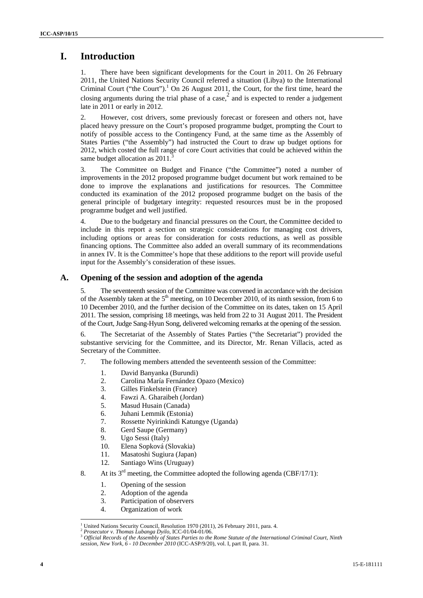## **I. Introduction**

1. There have been significant developments for the Court in 2011. On 26 February 2011, the United Nations Security Council referred a situation (Libya) to the International Criminal Court ("the Court"). $^1$  On 26 August 2011, the Court, for the first time, heard the closing arguments during the trial phase of a case,  $\frac{2}{3}$  and is expected to render a judgement late in 2011 or early in 2012.

2. However, cost drivers, some previously forecast or foreseen and others not, have placed heavy pressure on the Court's proposed programme budget, prompting the Court to notify of possible access to the Contingency Fund, at the same time as the Assembly of States Parties ("the Assembly") had instructed the Court to draw up budget options for 2012, which costed the full range of core Court activities that could be achieved within the same budget allocation as  $2011$ .

3. The Committee on Budget and Finance ("the Committee") noted a number of improvements in the 2012 proposed programme budget document but work remained to be done to improve the explanations and justifications for resources. The Committee conducted its examination of the 2012 proposed programme budget on the basis of the general principle of budgetary integrity: requested resources must be in the proposed programme budget and well justified.

Due to the budgetary and financial pressures on the Court, the Committee decided to include in this report a section on strategic considerations for managing cost drivers, including options or areas for consideration for costs reductions, as well as possible financing options. The Committee also added an overall summary of its recommendations in annex IV. It is the Committee's hope that these additions to the report will provide useful input for the Assembly's consideration of these issues.

### **A. Opening of the session and adoption of the agenda**

5. The seventeenth session of the Committee was convened in accordance with the decision of the Assembly taken at the  $5<sup>th</sup>$  meeting, on 10 December 2010, of its ninth session, from 6 to 10 December 2010, and the further decision of the Committee on its dates, taken on 15 April 2011. The session, comprising 18 meetings, was held from 22 to 31 August 2011. The President of the Court, Judge Sang-Hyun Song, delivered welcoming remarks at the opening of the session.

6. The Secretariat of the Assembly of States Parties ("the Secretariat") provided the substantive servicing for the Committee, and its Director, Mr. Renan Villacis, acted as Secretary of the Committee.

- 7. The following members attended the seventeenth session of the Committee:
	- 1. David Banyanka (Burundi)
	- 2. Carolina María Fernández Opazo (Mexico)
	- 3. Gilles Finkelstein (France)
	- 4. Fawzi A. Gharaibeh (Jordan)
	- 5. Masud Husain (Canada)
	- 6. Juhani Lemmik (Estonia)
	- 7. Rossette Nyirinkindi Katungye (Uganda)
	- 8. Gerd Saupe (Germany)
	- 9. Ugo Sessi (Italy)
	- 10. Elena Sopková (Slovakia)
	- 11. Masatoshi Sugiura (Japan)
	- 12. Santiago Wins (Uruguay)
- 8. At its  $3<sup>rd</sup>$  meeting, the Committee adopted the following agenda (CBF/17/1):
	- 1. Opening of the session
	- 2. Adoption of the agenda
	- 3. Participation of observers
	- 4. Organization of work

 $\frac{1}{1}$ 

Prosecutor v. Thomas Lubanga Dyilo, ICC-01/04-01/06.<br><sup>3</sup> Official Records of the Assembly of States Parties to the Rome Statute of the International Criminal Court, Ninth

*session, New York, 6 - 10 December 2010* (ICC-ASP/9/20), vol. I, part II, para. 31.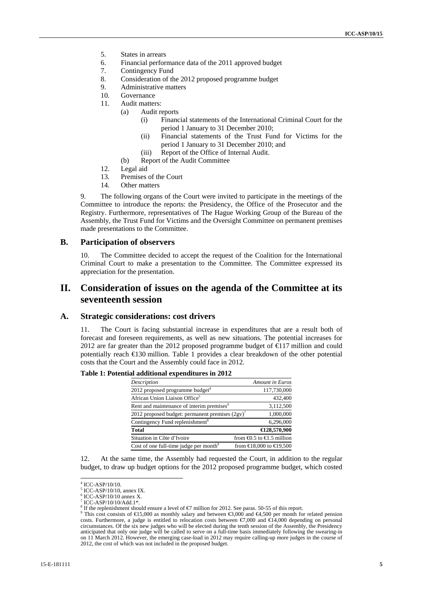- 5. States in arrears
- 6. Financial performance data of the 2011 approved budget
- 7. Contingency Fund
- 8. Consideration of the 2012 proposed programme budget
- 9. Administrative matters
- 10. Governance
- 11. Audit matters:
	- (a) Audit reports
		- (i) Financial statements of the International Criminal Court for the period 1 January to 31 December 2010;
		- (ii) Financial statements of the Trust Fund for Victims for the period 1 January to 31 December 2010; and
		- (iii) Report of the Office of Internal Audit.
	- (b) Report of the Audit Committee
- 12. Legal aid
- 13. Premises of the Court
- 14. Other matters

9. The following organs of the Court were invited to participate in the meetings of the Committee to introduce the reports: the Presidency, the Office of the Prosecutor and the Registry. Furthermore, representatives of The Hague Working Group of the Bureau of the Assembly, the Trust Fund for Victims and the Oversight Committee on permanent premises made presentations to the Committee.

### **B. Participation of observers**

10. The Committee decided to accept the request of the Coalition for the International Criminal Court to make a presentation to the Committee. The Committee expressed its appreciation for the presentation.

## **II. Consideration of issues on the agenda of the Committee at its seventeenth session**

#### **A. Strategic considerations: cost drivers**

11. The Court is facing substantial increase in expenditures that are a result both of forecast and foreseen requirements, as well as new situations. The potential increases for 2012 are far greater than the 2012 proposed programme budget of €117 million and could potentially reach  $\bigoplus$  30 million. Table 1 provides a clear breakdown of the other potential costs that the Court and the Assembly could face in 2012.

#### **Table 1: Potential additional expenditures in 2012**

| Description                                           | <b>Amount</b> in Euros                        |
|-------------------------------------------------------|-----------------------------------------------|
| 2012 proposed programme budget <sup>4</sup>           | 117,730,000                                   |
| African Union Liaison Office <sup>5</sup>             | 432,400                                       |
| Rent and maintenance of interim premises <sup>6</sup> | 3,112,500                                     |
| 2012 proposed budget: permanent premises $(2gy)^{7}$  | 1,000,000                                     |
| Contingency Fund replenishment <sup>8</sup>           | 6,296,000                                     |
| Total                                                 | €128,570,900                                  |
| Situation in Côte d'Ivoire                            | from $\bigoplus$ .5 to $\bigoplus$ .5 million |
| Cost of one full-time judge per month <sup>9</sup>    | from $E$ 8,000 to $E$ 9,500                   |

12. At the same time, the Assembly had requested the Court, in addition to the regular budget, to draw up budget options for the 2012 proposed programme budget, which costed

 4 ICC-ASP/10/10.

<sup>5</sup> ICC-ASP/10/10, annex IX.

<sup>6</sup> ICC-ASP/10/10 annex X.

<sup>7</sup> ICC-ASP/10/10/Add.1\*.

<sup>&</sup>lt;sup>8</sup> If the replenishment should ensure a level of  $\epsilon$ 7 million for 2012. See paras. 50-55 of this report.

This cost consists of  $\epsilon$ 15,000 as monthly salary and between  $\epsilon$ 3,000 and  $\epsilon$ 4,500 per month for related pension costs. Furthermore, a judge is entitled to relocation costs between  $\epsilon$ ,000 and  $\epsilon$ 14,000 depending on personal circumstances. Of the six new judges who will be elected during the tenth session of the Assembly, the Presidency anticipated that only one judge will be called to serve on a full-time basis immediately following the swearing-in on 11 March 2012. However, the emerging case-load in 2012 may require calling-up more judges in the course of 2012, the cost of which was not included in the proposed budget.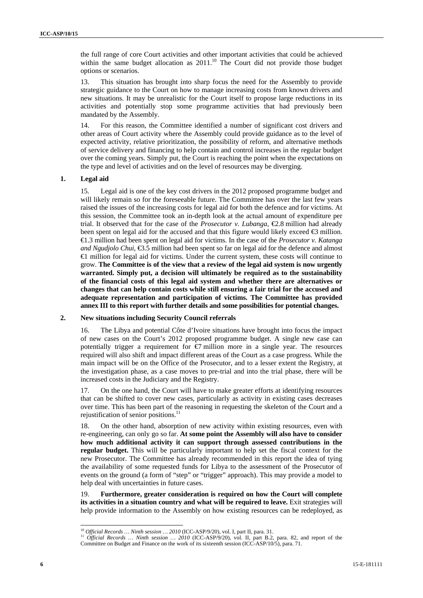the full range of core Court activities and other important activities that could be achieved within the same budget allocation as  $2011$ .<sup>10</sup> The Court did not provide those budget options or scenarios.

13. This situation has brought into sharp focus the need for the Assembly to provide strategic guidance to the Court on how to manage increasing costs from known drivers and new situations. It may be unrealistic for the Court itself to propose large reductions in its activities and potentially stop some programme activities that had previously been mandated by the Assembly.

14. For this reason, the Committee identified a number of significant cost drivers and other areas of Court activity where the Assembly could provide guidance as to the level of expected activity, relative prioritization, the possibility of reform, and alternative methods of service delivery and financing to help contain and control increases in the regular budget over the coming years. Simply put, the Court is reaching the point when the expectations on the type and level of activities and on the level of resources may be diverging.

#### **1. Legal aid**

15. Legal aid is one of the key cost drivers in the 2012 proposed programme budget and will likely remain so for the foreseeable future. The Committee has over the last few years raised the issues of the increasing costs for legal aid for both the defence and for victims. At this session, the Committee took an in-depth look at the actual amount of expenditure per trial. It observed that for the case of the *Prosecutor v. Lubanga*,  $\bigoplus$ .8 million had already been spent on legal aid for the accused and that this figure would likely exceed  $\bigoplus$  million. €1.3 million had been spent on legal aid for victims. In the case of the *Prosecutor v. Katanga and Ngudjolo Chui*, **€**3.5 million had been spent so far on legal aid for the defence and almost €1 million for legal aid for victims. Under the current system, these costs will continue to grow. **The Committee is of the view that a review of the legal aid system is now urgently warranted. Simply put, a decision will ultimately be required as to the sustainability of the financial costs of this legal aid system and whether there are alternatives or changes that can help contain costs while still ensuring a fair trial for the accused and adequate representation and participation of victims. The Committee has provided annex III to this report with further details and some possibilities for potential changes.**

#### **2. New situations including Security Council referrals**

16. The Libya and potential Côte d'Ivoire situations have brought into focus the impact of new cases on the Court's 2012 proposed programme budget. A single new case can potentially trigger a requirement for  $\bigcirc$  million more in a single year. The resources required will also shift and impact different areas of the Court as a case progress. While the main impact will be on the Office of the Prosecutor, and to a lesser extent the Registry, at the investigation phase, as a case moves to pre-trial and into the trial phase, there will be increased costs in the Judiciary and the Registry.

17. On the one hand, the Court will have to make greater efforts at identifying resources that can be shifted to cover new cases, particularly as activity in existing cases decreases over time. This has been part of the reasoning in requesting the skeleton of the Court and a rejustification of senior positions.<sup>11</sup>

18. On the other hand, absorption of new activity within existing resources, even with re-engineering, can only go so far. **At some point the Assembly will also have to consider how much additional activity it can support through assessed contributions in the regular budget.** This will be particularly important to help set the fiscal context for the new Prosecutor. The Committee has already recommended in this report the idea of tying the availability of some requested funds for Libya to the assessment of the Prosecutor of events on the ground (a form of "step" or "trigger" approach). This may provide a model to help deal with uncertainties in future cases.

19. **Furthermore, greater consideration is required on how the Court will complete its activities in a situation country and what will be required to leave.** Exit strategies will help provide information to the Assembly on how existing resources can be redeployed, as

<sup>&</sup>lt;sup>10</sup> Official Records ... Ninth session ... 2010 (ICC-ASP/9/20), vol. I, part II, para. 31.

<sup>&</sup>lt;sup>10</sup> Official Records … Ninth session … 2010 (ICC-ASP/9/20), vol. I, part II, para. 31.<br><sup>11</sup> Official Records … Ninth session … 2010 (ICC-ASP/9/20), vol. II, part B.2, para. 82, and report of the Committee on Budget and Finance on the work of its sixteenth session (ICC-ASP/10/5), para. 71.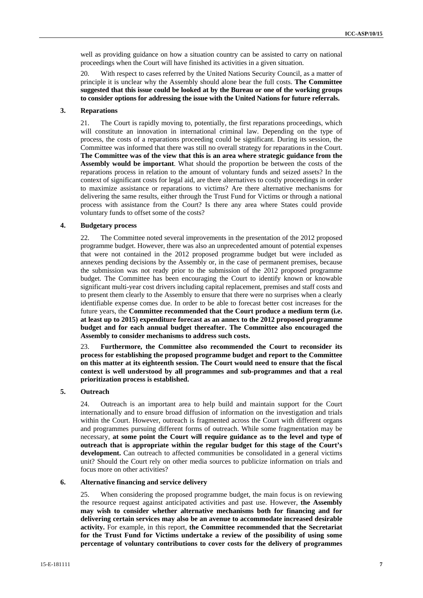well as providing guidance on how a situation country can be assisted to carry on national proceedings when the Court will have finished its activities in a given situation.

With respect to cases referred by the United Nations Security Council, as a matter of principle it is unclear why the Assembly should alone bear the full costs. **The Committee suggested that this issue could be looked at by the Bureau or one of the working groups to consider options for addressing the issue with the United Nations for future referrals.** 

#### **3. Reparations**

21. The Court is rapidly moving to, potentially, the first reparations proceedings, which will constitute an innovation in international criminal law. Depending on the type of process, the costs of a reparations proceeding could be significant. During its session, the Committee was informed that there was still no overall strategy for reparations in the Court. **The Committee was of the view that this is an area where strategic guidance from the Assembly would be important**. What should the proportion be between the costs of the reparations process in relation to the amount of voluntary funds and seized assets? In the context of significant costs for legal aid, are there alternatives to costly proceedings in order to maximize assistance or reparations to victims? Are there alternative mechanisms for delivering the same results, either through the Trust Fund for Victims or through a national process with assistance from the Court? Is there any area where States could provide voluntary funds to offset some of the costs?

#### **4. Budgetary process**

22. The Committee noted several improvements in the presentation of the 2012 proposed programme budget. However, there was also an unprecedented amount of potential expenses that were not contained in the 2012 proposed programme budget but were included as annexes pending decisions by the Assembly or, in the case of permanent premises, because the submission was not ready prior to the submission of the 2012 proposed programme budget. The Committee has been encouraging the Court to identify known or knowable significant multi-year cost drivers including capital replacement, premises and staff costs and to present them clearly to the Assembly to ensure that there were no surprises when a clearly identifiable expense comes due. In order to be able to forecast better cost increases for the future years, the **Committee recommended that the Court produce a medium term (i.e. at least up to 2015) expenditure forecast as an annex to the 2012 proposed programme budget and for each annual budget thereafter. The Committee also encouraged the Assembly to consider mechanisms to address such costs.** 

23. **Furthermore, the Committee also recommended the Court to reconsider its process for establishing the proposed programme budget and report to the Committee on this matter at its eighteenth session. The Court would need to ensure that the fiscal context is well understood by all programmes and sub-programmes and that a real prioritization process is established.** 

#### **5. Outreach**

24. Outreach is an important area to help build and maintain support for the Court internationally and to ensure broad diffusion of information on the investigation and trials within the Court. However, outreach is fragmented across the Court with different organs and programmes pursuing different forms of outreach. While some fragmentation may be necessary, **at some point the Court will require guidance as to the level and type of outreach that is appropriate within the regular budget for this stage of the Court's development.** Can outreach to affected communities be consolidated in a general victims unit? Should the Court rely on other media sources to publicize information on trials and focus more on other activities?

#### **6. Alternative financing and service delivery**

25. When considering the proposed programme budget, the main focus is on reviewing the resource request against anticipated activities and past use. However, **the Assembly may wish to consider whether alternative mechanisms both for financing and for delivering certain services may also be an avenue to accommodate increased desirable activity.** For example, in this report, **the Committee recommended that the Secretariat for the Trust Fund for Victims undertake a review of the possibility of using some percentage of voluntary contributions to cover costs for the delivery of programmes**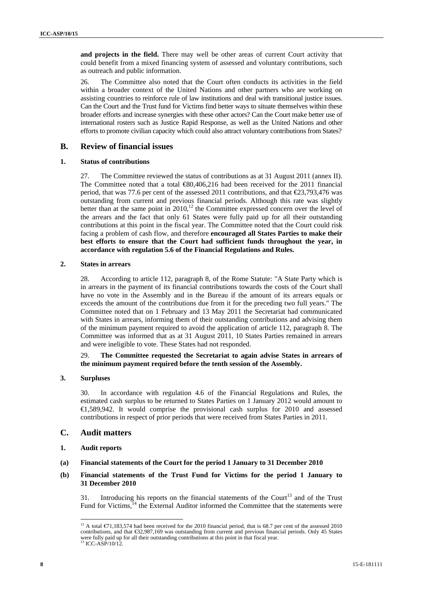**and projects in the field.** There may well be other areas of current Court activity that could benefit from a mixed financing system of assessed and voluntary contributions, such as outreach and public information.

26. The Committee also noted that the Court often conducts its activities in the field within a broader context of the United Nations and other partners who are working on assisting countries to reinforce rule of law institutions and deal with transitional justice issues. Can the Court and the Trust fund for Victims find better ways to situate themselves within these broader efforts and increase synergies with these other actors? Can the Court make better use of international rosters such as Justice Rapid Response, as well as the United Nations and other efforts to promote civilian capacity which could also attract voluntary contributions from States?

### **B. Review of financial issues**

#### **1. Status of contributions**

27. The Committee reviewed the status of contributions as at 31 August 2011 (annex II). The Committee noted that a total €80,406,216 had been received for the 2011 financial period, that was 77.6 per cent of the assessed 2011 contributions, and that  $\text{\textsterling}3,793,476$  was outstanding from current and previous financial periods. Although this rate was slightly better than at the same point in  $2010$ ,<sup>12</sup> the Committee expressed concern over the level of the arrears and the fact that only 61 States were fully paid up for all their outstanding contributions at this point in the fiscal year. The Committee noted that the Court could risk facing a problem of cash flow, and therefore **encouraged all States Parties to make their best efforts to ensure that the Court had sufficient funds throughout the year, in accordance with regulation 5.6 of the Financial Regulations and Rules.** 

#### **2. States in arrears**

28. According to article 112, paragraph 8, of the Rome Statute: "A State Party which is in arrears in the payment of its financial contributions towards the costs of the Court shall have no vote in the Assembly and in the Bureau if the amount of its arrears equals or exceeds the amount of the contributions due from it for the preceding two full years." The Committee noted that on 1 February and 13 May 2011 the Secretariat had communicated with States in arrears, informing them of their outstanding contributions and advising them of the minimum payment required to avoid the application of article 112, paragraph 8. The Committee was informed that as at 31 August 2011, 10 States Parties remained in arrears and were ineligible to vote. These States had not responded.

### 29. **The Committee requested the Secretariat to again advise States in arrears of the minimum payment required before the tenth session of the Assembly.**

### **3. Surpluses**

30. In accordance with regulation 4.6 of the Financial Regulations and Rules, the estimated cash surplus to be returned to States Parties on 1 January 2012 would amount to €1,589,942. It would comprise the provisional cash surplus for 2010 and assessed contributions in respect of prior periods that were received from States Parties in 2011.

### **C. Audit matters**

- **1. Audit reports**
- **(a) Financial statements of the Court for the period 1 January to 31 December 2010**
- **(b) Financial statements of the Trust Fund for Victims for the period 1 January to 31 December 2010**

31. Introducing his reports on the financial statements of the Court<sup>13</sup> and of the Trust Fund for Victims, $14$  the External Auditor informed the Committee that the statements were

 $\overline{a}$ <sup>12</sup> A total  $\epsilon$ 71,183,574 had been received for the 2010 financial period, that is 68.7 per cent of the assessed 2010 contributions, and that €32,987,169 was outstanding from current and previous financial periods. Only 45 States were fully paid up for all their outstanding contributions at this point in that fiscal year. <sup>13</sup> ICC-ASP/10/12.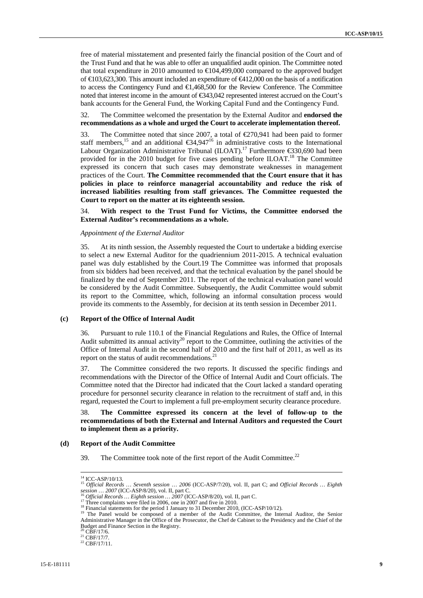free of material misstatement and presented fairly the financial position of the Court and of the Trust Fund and that he was able to offer an unqualified audit opinion. The Committee noted that total expenditure in 2010 amounted to  $\bigoplus$ 04,499,000 compared to the approved budget of €103,623,300. This amount included an expenditure of €412,000 on the basis of a notification to access the Contingency Fund and €1,468,500 for the Review Conference. The Committee noted that interest income in the amount of €343,042 represented interest accrued on the Court's bank accounts for the General Fund, the Working Capital Fund and the Contingency Fund.

32. The Committee welcomed the presentation by the External Auditor and **endorsed the recommendations as a whole and urged the Court to accelerate implementation thereof.**

33. The Committee noted that since 2007, a total of €270,941 had been paid to former staff members,<sup>15</sup> and an additional  $\epsilon$ 34,947<sup>16</sup> in administrative costs to the International Labour Organization Administrative Tribunal (ILOAT).<sup>17</sup> Furthermore  $\epsilon$ 30,690 had been provided for in the 2010 budget for five cases pending before ILOAT.<sup>18</sup> The Committee expressed its concern that such cases may demonstrate weaknesses in management practices of the Court. **The Committee recommended that the Court ensure that it has policies in place to reinforce managerial accountability and reduce the risk of increased liabilities resulting from staff grievances. The Committee requested the Court to report on the matter at its eighteenth session.** 

34. **With respect to the Trust Fund for Victims, the Committee endorsed the External Auditor's recommendations as a whole.** 

#### *Appointment of the External Auditor*

35. At its ninth session, the Assembly requested the Court to undertake a bidding exercise to select a new External Auditor for the quadriennium 2011-2015. A technical evaluation panel was duly established by the Court.19 The Committee was informed that proposals from six bidders had been received, and that the technical evaluation by the panel should be finalized by the end of September 2011. The report of the technical evaluation panel would be considered by the Audit Committee. Subsequently, the Audit Committee would submit its report to the Committee, which, following an informal consultation process would provide its comments to the Assembly, for decision at its tenth session in December 2011.

#### **(c) Report of the Office of Internal Audit**

36. Pursuant to rule 110.1 of the Financial Regulations and Rules, the Office of Internal Audit submitted its annual activity<sup>20</sup> report to the Committee, outlining the activities of the Office of Internal Audit in the second half of 2010 and the first half of 2011, as well as its report on the status of audit recommendations.<sup>21</sup>

37. The Committee considered the two reports. It discussed the specific findings and recommendations with the Director of the Office of Internal Audit and Court officials. The Committee noted that the Director had indicated that the Court lacked a standard operating procedure for personnel security clearance in relation to the recruitment of staff and, in this regard, requested the Court to implement a full pre-employment security clearance procedure.

38. **The Committee expressed its concern at the level of follow-up to the recommendations of both the External and Internal Auditors and requested the Court to implement them as a priority.** 

#### **(d) Report of the Audit Committee**

39. The Committee took note of the first report of the Audit Committee.<sup>22</sup>

 $\overline{a}$ 

<sup>14</sup> ICC-ASP/10/13. 15 *Official Records … Seventh session* … *2006* (ICC-ASP/7/20), vol. II, part C; and *Official Records … Eighth*  session ... 2007 (ICC-ASP/8/20), vol. II, part C.<br><sup>16</sup> Official Records ... Eighth session ... 2007 (ICC-ASP/8/20), vol. II, part C.<br><sup>17</sup> Three complaints were filed in 2006, one in 2007 and five in 2010.<br><sup>18</sup> Financial s

A microcomplants were method 1 January to 31 December 2010, (ICC-ASP/10/12).<br>
<sup>19</sup> The Panel statements for the period 1 January to 31 December 2010, (ICC-ASP/10/12).<br>
<sup>19</sup> The Panel would be composed of a member of the A Budget and Finance Section in the Registry.<br><sup>20</sup> CBF/17/6.

 $^{21}_{22}$  CBF/17/7.<br> $^{22}$  CBF/17/11.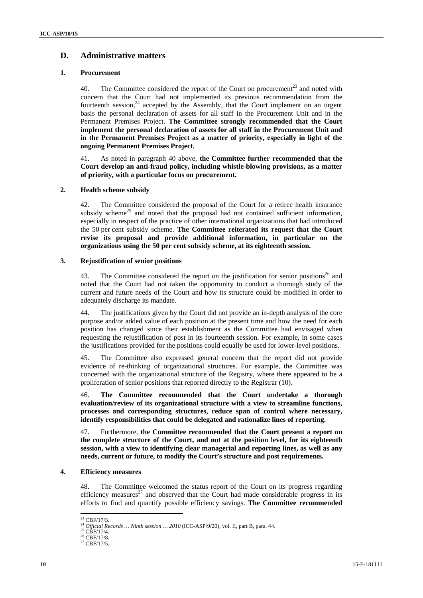### **D. Administrative matters**

#### **1. Procurement**

40. The Committee considered the report of the Court on procurement<sup>23</sup> and noted with concern that the Court had not implemented its previous recommendation from the fourteenth session, $24$  accepted by the Assembly, that the Court implement on an urgent basis the personal declaration of assets for all staff in the Procurement Unit and in the Permanent Premises Project. **The Committee strongly recommended that the Court implement the personal declaration of assets for all staff in the Procurement Unit and in the Permanent Premises Project as a matter of priority, especially in light of the ongoing Permanent Premises Project.** 

41. As noted in paragraph 40 above, **the Committee further recommended that the Court develop an anti-fraud policy, including whistle-blowing provisions, as a matter of priority, with a particular focus on procurement.** 

### **2. Health scheme subsidy**

42. The Committee considered the proposal of the Court for a retiree health insurance subsidy scheme<sup>25</sup> and noted that the proposal had not contained sufficient information, especially in respect of the practice of other international organizations that had introduced the 50 per cent subsidy scheme. **The Committee reiterated its request that the Court revise its proposal and provide additional information, in particular on the organizations using the 50 per cent subsidy scheme, at its eighteenth session.** 

#### **3. Rejustification of senior positions**

43. The Committee considered the report on the justification for senior positions<sup>26</sup> and noted that the Court had not taken the opportunity to conduct a thorough study of the current and future needs of the Court and how its structure could be modified in order to adequately discharge its mandate.

44. The justifications given by the Court did not provide an in-depth analysis of the core purpose and/or added value of each position at the present time and how the need for each position has changed since their establishment as the Committee had envisaged when requesting the rejustification of post in its fourteenth session. For example, in some cases the justifications provided for the positions could equally be used for lower-level positions.

45. The Committee also expressed general concern that the report did not provide evidence of re-thinking of organizational structures. For example, the Committee was concerned with the organizational structure of the Registry, where there appeared to be a proliferation of senior positions that reported directly to the Registrar (10).

46. **The Committee recommended that the Court undertake a thorough evaluation/review of its organizational structure with a view to streamline functions, processes and corresponding structures, reduce span of control where necessary, identify responsibilities that could be delegated and rationalize lines of reporting.** 

47. Furthermore, **the Committee recommended that the Court present a report on the complete structure of the Court, and not at the position level, for its eighteenth session, with a view to identifying clear managerial and reporting lines, as well as any needs, current or future, to modify the Court's structure and post requirements***.* 

#### **4. Efficiency measures**

48. The Committee welcomed the status report of the Court on its progress regarding efficiency measures<sup>27</sup> and observed that the Court had made considerable progress in its efforts to find and quantify possible efficiency savings. **The Committee recommended** 

<sup>&</sup>lt;sup>23</sup> CBF/17/3.

<sup>&</sup>lt;sup>24</sup> *Official Records … Ninth session … 2010* (ICC-ASP/9/20), vol. II, part B, para. 44. <sup>25</sup> CBF/17/4. <sup>26</sup> CBF/17/5. <sup>27</sup> CBF/17/5.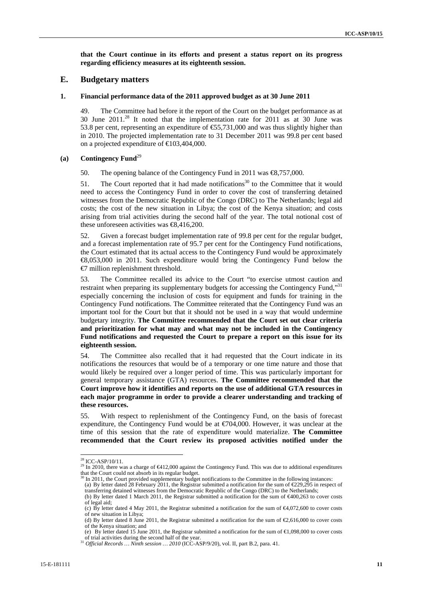**that the Court continue in its efforts and present a status report on its progress regarding efficiency measures at its eighteenth session.** 

#### **E. Budgetary matters**

#### **1. Financial performance data of the 2011 approved budget as at 30 June 2011**

49. The Committee had before it the report of the Court on the budget performance as at 30 June  $2011<sup>28</sup>$  It noted that the implementation rate for  $2011$  as at 30 June was 53.8 per cent, representing an expenditure of €55,731,000 and was thus slightly higher than in 2010. The projected implementation rate to 31 December 2011 was 99.8 per cent based on a projected expenditure of €103,404,000.

### **(a) Contingency Fund**<sup>29</sup>

50. The opening balance of the Contingency Fund in 2011 was €8,757,000.

51. The Court reported that it had made notifications<sup>30</sup> to the Committee that it would need to access the Contingency Fund in order to cover the cost of transferring detained witnesses from the Democratic Republic of the Congo (DRC) to The Netherlands; legal aid costs; the cost of the new situation in Libya; the cost of the Kenya situation; and costs arising from trial activities during the second half of the year. The total notional cost of these unforeseen activities was €8,416,200.

52. Given a forecast budget implementation rate of 99.8 per cent for the regular budget, and a forecast implementation rate of 95.7 per cent for the Contingency Fund notifications, the Court estimated that its actual access to the Contingency Fund would be approximately €8,053,000 in 2011. Such expenditure would bring the Contingency Fund below the €7 million replenishment threshold.

53. The Committee recalled its advice to the Court "to exercise utmost caution and restraint when preparing its supplementary budgets for accessing the Contingency Fund,"31 especially concerning the inclusion of costs for equipment and funds for training in the Contingency Fund notifications. The Committee reiterated that the Contingency Fund was an important tool for the Court but that it should not be used in a way that would undermine budgetary integrity. **The Committee recommended that the Court set out clear criteria and prioritization for what may and what may not be included in the Contingency Fund notifications and requested the Court to prepare a report on this issue for its eighteenth session.** 

54. The Committee also recalled that it had requested that the Court indicate in its notifications the resources that would be of a temporary or one time nature and those that would likely be required over a longer period of time. This was particularly important for general temporary assistance (GTA) resources. **The Committee recommended that the Court improve how it identifies and reports on the use of additional GTA resources in each major programme in order to provide a clearer understanding and tracking of these resources.** 

55. With respect to replenishment of the Contingency Fund, on the basis of forecast expenditure, the Contingency Fund would be at  $\epsilon$  (704,000. However, it was unclear at the time of this session that the rate of expenditure would materialize. **The Committee recommended that the Court review its proposed activities notified under the** 

 $28$  ICC-ASP/10/11.

<sup>&</sup>lt;sup>29</sup> In 2010, there was a charge of  $6412,000$  against the Contingency Fund. This was due to additional expenditures that the Court could not absorb in its regular budget.

 $30$  In 2011, the Court provided supplementary budget notifications to the Committee in the following instances:

<sup>(</sup>a) By letter dated 28 February 2011, the Registrar submitted a notification for the sum of €229,295 in respect of transferring detained witnesses from the Democratic Republic of the Congo (DRC) to the Netherlands; (b) By letter dated 1 March 2011, the Registrar submitted a notification for the sum of €400,263 to cover costs

of legal aid; (c) By letter dated 4 May 2011, the Registrar submitted a notification for the sum of €4,072,600 to cover costs

of new situation in Libya; (d) By letter dated 8 June 2011, the Registrar submitted a notification for the sum of  $\epsilon$ ,616,000 to cover costs of the Kenya situation; and

<sup>(</sup>e) By letter dated 15 June 2011, the Registrar submitted a notification for the sum of €1,098,000 to cover costs

of trial activities during the second half of the year. 31 *Official Records … Ninth session … 2010* (ICC-ASP/9/20), vol. II, part B.2, para. 41.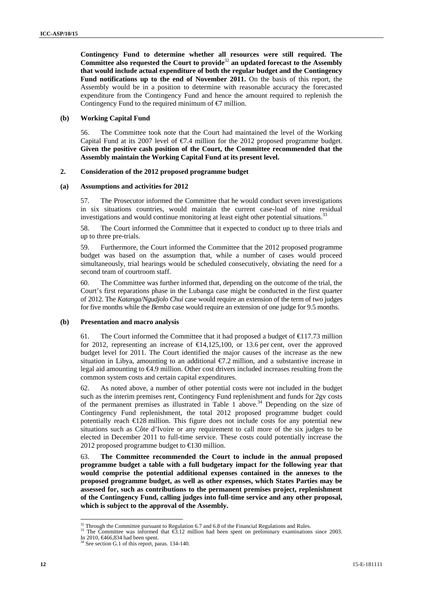**Contingency Fund to determine whether all resources were still required. The Committee also requested the Court to provide**<sup>32</sup> **an updated forecast to the Assembly that would include actual expenditure of both the regular budget and the Contingency Fund notifications up to the end of November 2011.** On the basis of this report, the Assembly would be in a position to determine with reasonable accuracy the forecasted expenditure from the Contingency Fund and hence the amount required to replenish the Contingency Fund to the required minimum of  $\epsilon$  million.

#### **(b) Working Capital Fund**

56. The Committee took note that the Court had maintained the level of the Working Capital Fund at its 2007 level of  $\epsilon q$ .4 million for the 2012 proposed programme budget. **Given the positive cash position of the Court, the Committee recommended that the Assembly maintain the Working Capital Fund at its present level.**

#### **2. Consideration of the 2012 proposed programme budget**

#### **(a) Assumptions and activities for 2012**

57. The Prosecutor informed the Committee that he would conduct seven investigations in six situations countries, would maintain the current case-load of nine residual investigations and would continue monitoring at least eight other potential situations.<sup>33</sup>

58. The Court informed the Committee that it expected to conduct up to three trials and up to three pre-trials.

59. Furthermore, the Court informed the Committee that the 2012 proposed programme budget was based on the assumption that, while a number of cases would proceed simultaneously, trial hearings would be scheduled consecutively, obviating the need for a second team of courtroom staff.

60. The Committee was further informed that, depending on the outcome of the trial, the Court's first reparations phase in the Lubanga case might be conducted in the first quarter of 2012. The *Katanga/Ngudjolo Chui* case would require an extension of the term of two judges for five months while the *Bemba* case would require an extension of one judge for 9.5 months.

#### **(b) Presentation and macro analysis**

61. The Court informed the Committee that it had proposed a budget of  $\text{\textsterling}17.73$  million for 2012, representing an increase of  $\in$  4,125,100, or 13.6 per cent, over the approved budget level for 2011. The Court identified the major causes of the increase as the new situation in Libya, amounting to an additional  $\epsilon/7.2$  million, and a substantive increase in legal aid amounting to €4.9 million. Other cost drivers included increases resulting from the common system costs and certain capital expenditures.

62. As noted above, a number of other potential costs were not included in the budget such as the interim premises rent, Contingency Fund replenishment and funds for 2gv costs of the permanent premises as illustrated in Table 1 above.<sup>34</sup> Depending on the size of Contingency Fund replenishment, the total 2012 proposed programme budget could potentially reach  $\epsilon$ 128 million. This figure does not include costs for any potential new situations such as Côte d'Ivoire or any requirement to call more of the six judges to be elected in December 2011 to full-time service. These costs could potentially increase the 2012 proposed programme budget to  $\in$  30 million.

63. **The Committee recommended the Court to include in the annual proposed programme budget a table with a full budgetary impact for the following year that would comprise the potential additional expenses contained in the annexes to the proposed programme budget, as well as other expenses, which States Parties may be assessed for, such as contributions to the permanent premises project, replenishment of the Contingency Fund, calling judges into full-time service and any other proposal, which is subject to the approval of the Assembly.** 

 $33$  Through the Committee pursuant to Regulation 6.7 and 6.8 of the Financial Regulations and Rules. 33 The Committee was informed that  $\epsilon$ 3.12 million had been spent on preliminary examinations since 2003.

 $32$  Through the Committee pursuant to Regulation 6.7 and 6.8 of the Financial Regulations and Rules.

In 2010,  $\bigoplus 34$  had been spent.<br><sup>34</sup> See section G.1 of this report, paras. 134-140.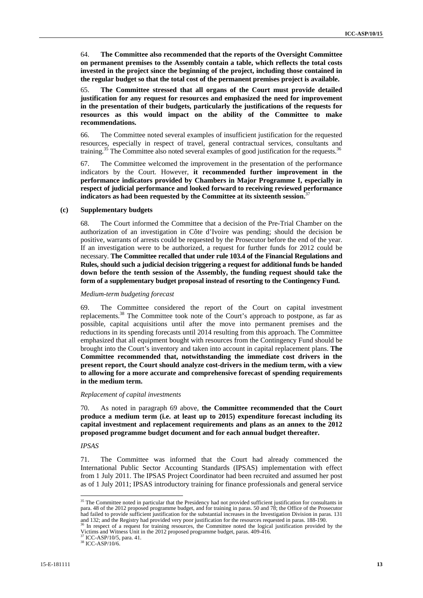64. **The Committee also recommended that the reports of the Oversight Committee on permanent premises to the Assembly contain a table, which reflects the total costs invested in the project since the beginning of the project, including those contained in the regular budget so that the total cost of the permanent premises project is available.** 

65. **The Committee stressed that all organs of the Court must provide detailed justification for any request for resources and emphasized the need for improvement in the presentation of their budgets, particularly the justifications of the requests for resources as this would impact on the ability of the Committee to make recommendations.** 

66. The Committee noted several examples of insufficient justification for the requested resources, especially in respect of travel, general contractual services, consultants and training.<sup>35</sup> The Committee also noted several examples of good justification for the requests.<sup>36</sup>

67. The Committee welcomed the improvement in the presentation of the performance indicators by the Court. However, **it recommended further improvement in the performance indicators provided by Chambers in Major Programme I, especially in respect of judicial performance and looked forward to receiving reviewed performance indicators as had been requested by the Committee at its sixteenth session.**<sup>37</sup>

#### **(c) Supplementary budgets**

68. The Court informed the Committee that a decision of the Pre-Trial Chamber on the authorization of an investigation in Côte d'Ivoire was pending; should the decision be positive, warrants of arrests could be requested by the Prosecutor before the end of the year. If an investigation were to be authorized, a request for further funds for 2012 could be necessary. **The Committee recalled that under rule 103.4 of the Financial Regulations and Rules, should such a judicial decision triggering a request for additional funds be handed down before the tenth session of the Assembly, the funding request should take the form of a supplementary budget proposal instead of resorting to the Contingency Fund.** 

#### *Medium-term budgeting forecast*

69. The Committee considered the report of the Court on capital investment replacements.38 The Committee took note of the Court's approach to postpone, as far as possible, capital acquisitions until after the move into permanent premises and the reductions in its spending forecasts until 2014 resulting from this approach. The Committee emphasized that all equipment bought with resources from the Contingency Fund should be brought into the Court's inventory and taken into account in capital replacement plans. **The Committee recommended that, notwithstanding the immediate cost drivers in the present report, the Court should analyze cost-drivers in the medium term, with a view to allowing for a more accurate and comprehensive forecast of spending requirements in the medium term.** 

#### *Replacement of capital investments*

70. As noted in paragraph 69 above, **the Committee recommended that the Court produce a medium term (i.e. at least up to 2015) expenditure forecast including its capital investment and replacement requirements and plans as an annex to the 2012 proposed programme budget document and for each annual budget thereafter.**

#### *IPSAS*

 $\overline{a}$ 

71. The Committee was informed that the Court had already commenced the International Public Sector Accounting Standards (IPSAS) implementation with effect from 1 July 2011. The IPSAS Project Coordinator had been recruited and assumed her post as of 1 July 2011; IPSAS introductory training for finance professionals and general service

<sup>&</sup>lt;sup>35</sup> The Committee noted in particular that the Presidency had not provided sufficient justification for consultants in para. 48 of the 2012 proposed programme budget, and for training in paras. 50 and 78; the Office of the Prosecutor had failed to provide sufficient justification for the substantial increases in the Investigation Division in paras. 131 and 132; and the Registry had provided very poor justification for the resources requested in paras. 188-190.<br><sup>36</sup> In respect of a request for training resources, the Committee noted the logical justification provided by t

Victims and Witness Unit in the 2012 proposed programme budget, paras. 409-416.

 $^{37}_{38}$  ICC-ASP/10/5, para. 41.<br> $^{38}$  ICC-ASP/10/6.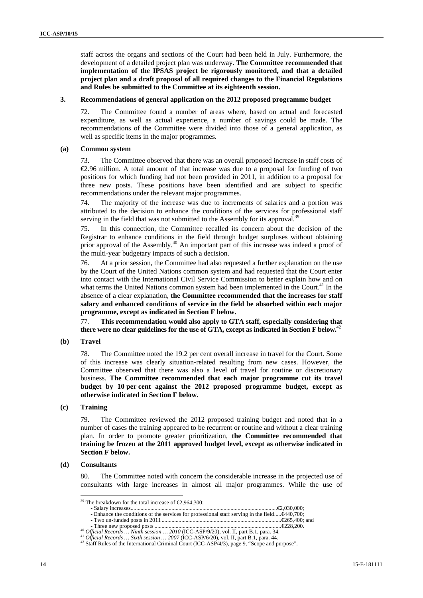staff across the organs and sections of the Court had been held in July. Furthermore, the development of a detailed project plan was underway. **The Committee recommended that implementation of the IPSAS project be rigorously monitored, and that a detailed project plan and a draft proposal of all required changes to the Financial Regulations and Rules be submitted to the Committee at its eighteenth session.** 

#### **3. Recommendations of general application on the 2012 proposed programme budget**

72. The Committee found a number of areas where, based on actual and forecasted expenditure, as well as actual experience, a number of savings could be made. The recommendations of the Committee were divided into those of a general application, as well as specific items in the major programmes.

#### **(a) Common system**

73. The Committee observed that there was an overall proposed increase in staff costs of €2.96 million. A total amount of that increase was due to a proposal for funding of two positions for which funding had not been provided in 2011, in addition to a proposal for three new posts. These positions have been identified and are subject to specific recommendations under the relevant major programmes.

74. The majority of the increase was due to increments of salaries and a portion was attributed to the decision to enhance the conditions of the services for professional staff serving in the field that was not submitted to the Assembly for its approval.<sup>3</sup>

75. In this connection, the Committee recalled its concern about the decision of the Registrar to enhance conditions in the field through budget surpluses without obtaining prior approval of the Assembly.<sup>40</sup> An important part of this increase was indeed a proof of the multi-year budgetary impacts of such a decision.

76. At a prior session, the Committee had also requested a further explanation on the use by the Court of the United Nations common system and had requested that the Court enter into contact with the International Civil Service Commission to better explain how and on what terms the United Nations common system had been implemented in the Court.<sup>41</sup> In the absence of a clear explanation, **the Committee recommended that the increases for staff salary and enhanced conditions of service in the field be absorbed within each major programme, except as indicated in Section F below.** 

77. **This recommendation would also apply to GTA staff, especially considering that there were no clear guidelines for the use of GTA, except as indicated in Section F below.**<sup>42</sup>

#### **(b) Travel**

78. The Committee noted the 19.2 per cent overall increase in travel for the Court. Some of this increase was clearly situation-related resulting from new cases. However, the Committee observed that there was also a level of travel for routine or discretionary business. **The Committee recommended that each major programme cut its travel budget by 10 per cent against the 2012 proposed programme budget, except as otherwise indicated in Section F below.** 

### **(c) Training**

79. The Committee reviewed the 2012 proposed training budget and noted that in a number of cases the training appeared to be recurrent or routine and without a clear training plan. In order to promote greater prioritization, **the Committee recommended that training be frozen at the 2011 approved budget level, except as otherwise indicated in Section F below.** 

#### **(d) Consultants**

 $\overline{a}$ 

80. The Committee noted with concern the considerable increase in the projected use of consultants with large increases in almost all major programmes. While the use of

<sup>&</sup>lt;sup>39</sup> The breakdown for the total increase of  $\epsilon$ 2,964,300:

<sup>-</sup> Salary increases........................................................................................................€2,030,000;

<sup>-</sup> Enhance the conditions of the services for professional staff serving in the field.....€440,700; - Two un-funded posts in 2011 .....................................................................................€265,400; and

<sup>&</sup>lt;sup>40</sup> Official Records ... Ninth session ... 2010 (ICC-ASP/9/20), vol. II, part B.1, para. 34.<br><sup>41</sup> Official Records ... Sixth session ... 2007 (ICC-ASP/6/20), vol. II, part B.1, para. 44.<br><sup>42</sup> Staff Rules of the Internati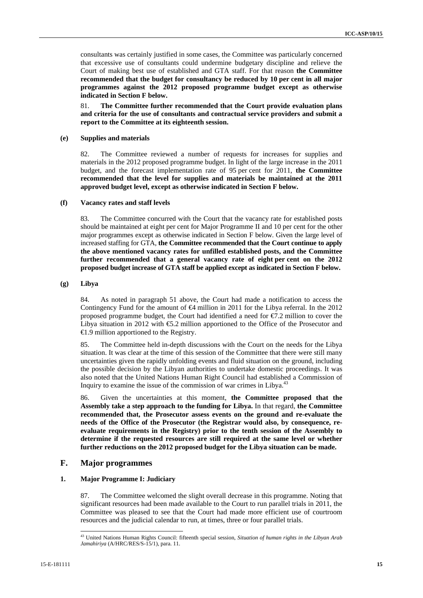consultants was certainly justified in some cases, the Committee was particularly concerned that excessive use of consultants could undermine budgetary discipline and relieve the Court of making best use of established and GTA staff. For that reason **the Committee recommended that the budget for consultancy be reduced by 10 per cent in all major programmes against the 2012 proposed programme budget except as otherwise indicated in Section F below.** 

81. **The Committee further recommended that the Court provide evaluation plans and criteria for the use of consultants and contractual service providers and submit a report to the Committee at its eighteenth session.** 

#### **(e) Supplies and materials**

82. The Committee reviewed a number of requests for increases for supplies and materials in the 2012 proposed programme budget. In light of the large increase in the 2011 budget, and the forecast implementation rate of 95 per cent for 2011, **the Committee recommended that the level for supplies and materials be maintained at the 2011 approved budget level, except as otherwise indicated in Section F below.** 

#### **(f) Vacancy rates and staff levels**

83. The Committee concurred with the Court that the vacancy rate for established posts should be maintained at eight per cent for Major Programme II and 10 per cent for the other major programmes except as otherwise indicated in Section F below. Given the large level of increased staffing for GTA, **the Committee recommended that the Court continue to apply the above mentioned vacancy rates for unfilled established posts, and the Committee further recommended that a general vacancy rate of eight per cent on the 2012 proposed budget increase of GTA staff be applied except as indicated in Section F below.** 

#### **(g) Libya**

84. As noted in paragraph 51 above, the Court had made a notification to access the Contingency Fund for the amount of  $\bigoplus$  million in 2011 for the Libya referral. In the 2012 proposed programme budget, the Court had identified a need for  $\epsilon/7.2$  million to cover the Libya situation in 2012 with  $\epsilon$ 5.2 million apportioned to the Office of the Prosecutor and €1.9 million apportioned to the Registry.

85. The Committee held in-depth discussions with the Court on the needs for the Libya situation. It was clear at the time of this session of the Committee that there were still many uncertainties given the rapidly unfolding events and fluid situation on the ground, including the possible decision by the Libyan authorities to undertake domestic proceedings. It was also noted that the United Nations Human Right Council had established a Commission of Inquiry to examine the issue of the commission of war crimes in Libya.<sup>43</sup>

86. Given the uncertainties at this moment, **the Committee proposed that the Assembly take a step approach to the funding for Libya.** In that regard, **the Committee recommended that, the Prosecutor assess events on the ground and re-evaluate the needs of the Office of the Prosecutor (the Registrar would also, by consequence, reevaluate requirements in the Registry) prior to the tenth session of the Assembly to determine if the requested resources are still required at the same level or whether further reductions on the 2012 proposed budget for the Libya situation can be made.**

### **F. Major programmes**

#### **1. Major Programme I: Judiciary**

87. The Committee welcomed the slight overall decrease in this programme. Noting that significant resources had been made available to the Court to run parallel trials in 2011, the Committee was pleased to see that the Court had made more efficient use of courtroom resources and the judicial calendar to run, at times, three or four parallel trials.

 $\overline{a}$ 43 United Nations Human Rights Council: fifteenth special session, *Situation of human rights in the Libyan Arab Jamahiriya* (A/HRC/RES/S-15/1), para. 11.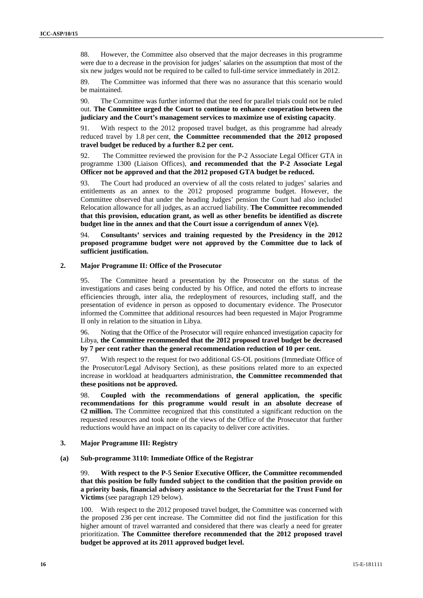88. However, the Committee also observed that the major decreases in this programme were due to a decrease in the provision for judges' salaries on the assumption that most of the six new judges would not be required to be called to full-time service immediately in 2012.

89. The Committee was informed that there was no assurance that this scenario would be maintained.

90. The Committee was further informed that the need for parallel trials could not be ruled out. **The Committee urged the Court to continue to enhance cooperation between the judiciary and the Court's management services to maximize use of existing capacity**.

91. With respect to the 2012 proposed travel budget, as this programme had already reduced travel by 1.8 per cent, **the Committee recommended that the 2012 proposed travel budget be reduced by a further 8.2 per cent.** 

92. The Committee reviewed the provision for the P-2 Associate Legal Officer GTA in programme 1300 (Liaison Offices), **and recommended that the P-2 Associate Legal Officer not be approved and that the 2012 proposed GTA budget be reduced.** 

93. The Court had produced an overview of all the costs related to judges' salaries and entitlements as an annex to the 2012 proposed programme budget. However, the Committee observed that under the heading Judges' pension the Court had also included Relocation allowance for all judges, as an accrued liability. **The Committee recommended that this provision, education grant, as well as other benefits be identified as discrete budget line in the annex and that the Court issue a corrigendum of annex V(e).** 

94. **Consultants' services and training requested by the Presidency in the 2012 proposed programme budget were not approved by the Committee due to lack of sufficient justification.** 

#### **2. Major Programme II: Office of the Prosecutor**

95. The Committee heard a presentation by the Prosecutor on the status of the investigations and cases being conducted by his Office, and noted the efforts to increase efficiencies through, inter alia, the redeployment of resources, including staff, and the presentation of evidence in person as opposed to documentary evidence. The Prosecutor informed the Committee that additional resources had been requested in Major Programme II only in relation to the situation in Libya.

96. Noting that the Office of the Prosecutor will require enhanced investigation capacity for Libya, **the Committee recommended that the 2012 proposed travel budget be decreased by 7 per cent rather than the general recommendation reduction of 10 per cent.** 

97. With respect to the request for two additional GS-OL positions (Immediate Office of the Prosecutor/Legal Advisory Section), as these positions related more to an expected increase in workload at headquarters administration, **the Committee recommended that these positions not be approved.** 

98. **Coupled with the recommendations of general application, the specific recommendations for this programme would result in an absolute decrease of**  €**2 million.** The Committee recognized that this constituted a significant reduction on the requested resources and took note of the views of the Office of the Prosecutor that further reductions would have an impact on its capacity to deliver core activities.

#### **3. Major Programme III: Registry**

#### **(a) Sub-programme 3110: Immediate Office of the Registrar**

99. **With respect to the P-5 Senior Executive Officer, the Committee recommended that this position be fully funded subject to the condition that the position provide on a priority basis, financial advisory assistance to the Secretariat for the Trust Fund for Victims** (see paragraph 129 below).

100. With respect to the 2012 proposed travel budget, the Committee was concerned with the proposed 236 per cent increase. The Committee did not find the justification for this higher amount of travel warranted and considered that there was clearly a need for greater prioritization. **The Committee therefore recommended that the 2012 proposed travel budget be approved at its 2011 approved budget level.**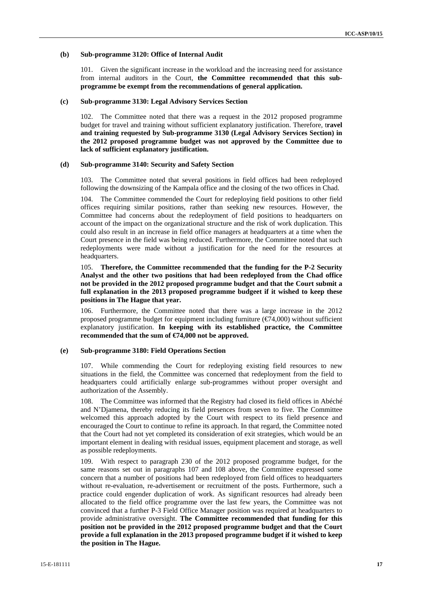#### **(b) Sub-programme 3120: Office of Internal Audit**

101. Given the significant increase in the workload and the increasing need for assistance from internal auditors in the Court, **the Committee recommended that this subprogramme be exempt from the recommendations of general application.**

#### **(c) Sub-programme 3130: Legal Advisory Services Section**

102. The Committee noted that there was a request in the 2012 proposed programme budget for travel and training without sufficient explanatory justification. Therefore, t**ravel and training requested by Sub-programme 3130 (Legal Advisory Services Section) in the 2012 proposed programme budget was not approved by the Committee due to lack of sufficient explanatory justification.**

#### **(d) Sub-programme 3140: Security and Safety Section**

103. The Committee noted that several positions in field offices had been redeployed following the downsizing of the Kampala office and the closing of the two offices in Chad.

104. The Committee commended the Court for redeploying field positions to other field offices requiring similar positions, rather than seeking new resources. However, the Committee had concerns about the redeployment of field positions to headquarters on account of the impact on the organizational structure and the risk of work duplication. This could also result in an increase in field office managers at headquarters at a time when the Court presence in the field was being reduced. Furthermore, the Committee noted that such redeployments were made without a justification for the need for the resources at headquarters.

105. **Therefore, the Committee recommended that the funding for the P-2 Security Analyst and the other two positions that had been redeployed from the Chad office not be provided in the 2012 proposed programme budget and that the Court submit a full explanation in the 2013 proposed programme budgeet if it wished to keep these positions in The Hague that year.** 

106. Furthermore, the Committee noted that there was a large increase in the 2012 proposed programme budget for equipment including furniture  $(\text{C74},000)$  without sufficient explanatory justification. **In keeping with its established practice, the Committee recommended that the sum of €74,000 not be approved.** 

#### **(e) Sub-programme 3180: Field Operations Section**

107. While commending the Court for redeploying existing field resources to new situations in the field, the Committee was concerned that redeployment from the field to headquarters could artificially enlarge sub-programmes without proper oversight and authorization of the Assembly.

108. The Committee was informed that the Registry had closed its field offices in Abéché and N'Djamena, thereby reducing its field presences from seven to five. The Committee welcomed this approach adopted by the Court with respect to its field presence and encouraged the Court to continue to refine its approach. In that regard, the Committee noted that the Court had not yet completed its consideration of exit strategies, which would be an important element in dealing with residual issues, equipment placement and storage, as well as possible redeployments.

109. With respect to paragraph 230 of the 2012 proposed programme budget, for the same reasons set out in paragraphs 107 and 108 above, the Committee expressed some concern that a number of positions had been redeployed from field offices to headquarters without re-evaluation, re-advertisement or recruitment of the posts. Furthermore, such a practice could engender duplication of work. As significant resources had already been allocated to the field office programme over the last few years, the Committee was not convinced that a further P-3 Field Office Manager position was required at headquarters to provide administrative oversight. **The Committee recommended that funding for this position not be provided in the 2012 proposed programme budget and that the Court provide a full explanation in the 2013 proposed programme budget if it wished to keep the position in The Hague.**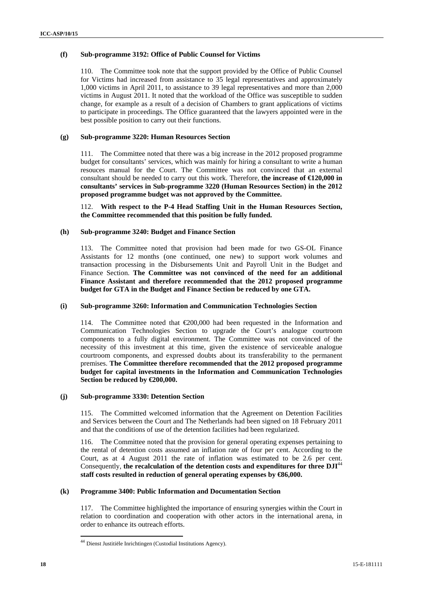#### **(f) Sub-programme 3192: Office of Public Counsel for Victims**

110. The Committee took note that the support provided by the Office of Public Counsel for Victims had increased from assistance to 35 legal representatives and approximately 1,000 victims in April 2011, to assistance to 39 legal representatives and more than 2,000 victims in August 2011. It noted that the workload of the Office was susceptible to sudden change, for example as a result of a decision of Chambers to grant applications of victims to participate in proceedings. The Office guaranteed that the lawyers appointed were in the best possible position to carry out their functions.

#### **(g) Sub-programme 3220: Human Resources Section**

111. The Committee noted that there was a big increase in the 2012 proposed programme budget for consultants' services, which was mainly for hiring a consultant to write a human resouces manual for the Court. The Committee was not convinced that an external consultant should be needed to carry out this work. Therefore, **the increase of €120,000 in consultants' services in Sub-programme 3220 (Human Resources Section) in the 2012 proposed programme budget was not approved by the Committee.** 

112. **With respect to the P-4 Head Staffing Unit in the Human Resources Section, the Committee recommended that this position be fully funded.** 

#### **(h) Sub-programme 3240: Budget and Finance Section**

113. The Committee noted that provision had been made for two GS-OL Finance Assistants for 12 months (one continued, one new) to support work volumes and transaction processing in the Disbursements Unit and Payroll Unit in the Budget and Finance Section. **The Committee was not convinced of the need for an additional Finance Assistant and therefore recommended that the 2012 proposed programme budget for GTA in the Budget and Finance Section be reduced by one GTA.** 

#### **(i) Sub-programme 3260: Information and Communication Technologies Section**

114. The Committee noted that €200,000 had been requested in the Information and Communication Technologies Section to upgrade the Court's analogue courtroom components to a fully digital environment. The Committee was not convinced of the necessity of this investment at this time, given the existence of serviceable analogue courtroom components, and expressed doubts about its transferability to the permanent premises. **The Committee therefore recommended that the 2012 proposed programme budget for capital investments in the Information and Communication Technologies Section be reduced by €200,000.** 

#### **(j) Sub-programme 3330: Detention Section**

115. The Committed welcomed information that the Agreement on Detention Facilities and Services between the Court and The Netherlands had been signed on 18 February 2011 and that the conditions of use of the detention facilities had been regularized.

116. The Committee noted that the provision for general operating expenses pertaining to the rental of detention costs assumed an inflation rate of four per cent. According to the Court, as at 4 August 2011 the rate of inflation was estimated to be 2.6 per cent. Consequently, **the recalculation of the detention costs and expenditures for three DJI**<sup>44</sup> **staff costs resulted in reduction of general operating expenses by €86,000.**

### **(k) Programme 3400: Public Information and Documentation Section**

117. The Committee highlighted the importance of ensuring synergies within the Court in relation to coordination and cooperation with other actors in the international arena, in order to enhance its outreach efforts.

 $\overline{a}$ <sup>44</sup> Dienst Justitiële Inrichtingen (Custodial Institutions Agency).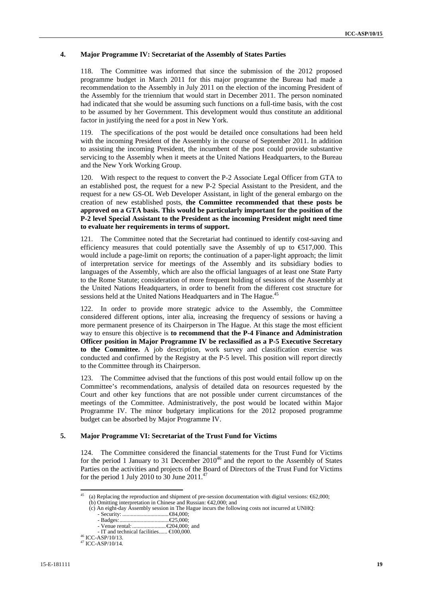#### **4. Major Programme IV: Secretariat of the Assembly of States Parties**

118. The Committee was informed that since the submission of the 2012 proposed programme budget in March 2011 for this major programme the Bureau had made a recommendation to the Assembly in July 2011 on the election of the incoming President of the Assembly for the triennium that would start in December 2011. The person nominated had indicated that she would be assuming such functions on a full-time basis, with the cost to be assumed by her Government. This development would thus constitute an additional factor in justifying the need for a post in New York.

119. The specifications of the post would be detailed once consultations had been held with the incoming President of the Assembly in the course of September 2011. In addition to assisting the incoming President, the incumbent of the post could provide substantive servicing to the Assembly when it meets at the United Nations Headquarters, to the Bureau and the New York Working Group.

120. With respect to the request to convert the P-2 Associate Legal Officer from GTA to an established post, the request for a new P-2 Special Assistant to the President, and the request for a new GS-OL Web Developer Assistant, in light of the general embargo on the creation of new established posts, **the Committee recommended that these posts be approved on a GTA basis. This would be particularly important for the position of the P-2 level Special Assistant to the President as the incoming President might need time to evaluate her requirements in terms of support.** 

121. The Committee noted that the Secretariat had continued to identify cost-saving and efficiency measures that could potentially save the Assembly of up to  $\epsilon$ 517,000. This would include a page-limit on reports; the continuation of a paper-light approach; the limit of interpretation service for meetings of the Assembly and its subsidiary bodies to languages of the Assembly, which are also the official languages of at least one State Party to the Rome Statute; consideration of more frequent holding of sessions of the Assembly at the United Nations Headquarters, in order to benefit from the different cost structure for sessions held at the United Nations Headquarters and in The Hague.<sup>45</sup>

122. In order to provide more strategic advice to the Assembly, the Committee considered different options, inter alia, increasing the frequency of sessions or having a more permanent presence of its Chairperson in The Hague. At this stage the most efficient way to ensure this objective is **to recommend that the P-4 Finance and Administration Officer position in Major Programme IV be reclassified as a P-5 Executive Secretary to the Committee.** A job description, work survey and classification exercise was conducted and confirmed by the Registry at the P-5 level. This position will report directly to the Committee through its Chairperson.

123. The Committee advised that the functions of this post would entail follow up on the Committee's recommendations, analysis of detailed data on resources requested by the Court and other key functions that are not possible under current circumstances of the meetings of the Committee. Administratively, the post would be located within Major Programme IV. The minor budgetary implications for the 2012 proposed programme budget can be absorbed by Major Programme IV.

#### **5. Major Programme VI: Secretariat of the Trust Fund for Victims**

124. The Committee considered the financial statements for the Trust Fund for Victims for the period 1 January to 31 December  $2010^{46}$  and the report to the Assembly of States Parties on the activities and projects of the Board of Directors of the Trust Fund for Victims for the period 1 July 2010 to  $30$  June 2011.<sup>47</sup>

 $45$ (a) Replacing the reproduction and shipment of pre-session documentation with digital versions:  $\epsilon$ 62,000;

 <sup>(</sup>b) Omitting interpretation in Chinese and Russian: €42,000; and

 <sup>(</sup>c) An eight-day Assembly session in The Hague incurs the following costs not incurred at UNHQ:

<sup>-</sup> Security: .................................€84,000;

<sup>-</sup> Badges:...................................€25,000;

<sup>-</sup> Venue rental:........................€204,000; and

<sup>-</sup> IT and technical facilities......  $\bigoplus 00,000$ .<br><sup>46</sup> ICC-ASP/10/13.<br><sup>47</sup> ICC-ASP/10/14.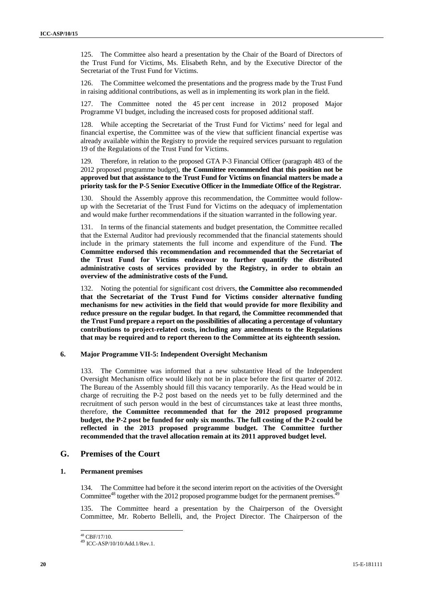125. The Committee also heard a presentation by the Chair of the Board of Directors of the Trust Fund for Victims, Ms. Elisabeth Rehn, and by the Executive Director of the Secretariat of the Trust Fund for Victims.

126. The Committee welcomed the presentations and the progress made by the Trust Fund in raising additional contributions, as well as in implementing its work plan in the field.

127. The Committee noted the 45 per cent increase in 2012 proposed Major Programme VI budget, including the increased costs for proposed additional staff.

128. While accepting the Secretariat of the Trust Fund for Victims' need for legal and financial expertise, the Committee was of the view that sufficient financial expertise was already available within the Registry to provide the required services pursuant to regulation 19 of the Regulations of the Trust Fund for Victims.

129. Therefore, in relation to the proposed GTA P-3 Financial Officer (paragraph 483 of the 2012 proposed programme budget), **the Committee recommended that this position not be approved but that assistance to the Trust Fund for Victims on financial matters be made a priority task for the P-5 Senior Executive Officer in the Immediate Office of the Registrar.** 

130. Should the Assembly approve this recommendation, the Committee would followup with the Secretariat of the Trust Fund for Victims on the adequacy of implementation and would make further recommendations if the situation warranted in the following year.

131. In terms of the financial statements and budget presentation, the Committee recalled that the External Auditor had previously recommended that the financial statements should include in the primary statements the full income and expenditure of the Fund. **The Committee endorsed this recommendation and recommended that the Secretariat of the Trust Fund for Victims endeavour to further quantify the distributed administrative costs of services provided by the Registry, in order to obtain an overview of the administrative costs of the Fund.** 

132. Noting the potential for significant cost drivers, **the Committee also recommended that the Secretariat of the Trust Fund for Victims consider alternative funding mechanisms for new activities in the field that would provide for more flexibility and reduce pressure on the regular budget. In that regard,** t**he Committee recommended that the Trust Fund prepare a report on the possibilities of allocating a percentage of voluntary contributions to project-related costs, including any amendments to the Regulations that may be required and to report thereon to the Committee at its eighteenth session.** 

#### **6. Major Programme VII-5: Independent Oversight Mechanism**

133. The Committee was informed that a new substantive Head of the Independent Oversight Mechanism office would likely not be in place before the first quarter of 2012. The Bureau of the Assembly should fill this vacancy temporarily. As the Head would be in charge of recruiting the P-2 post based on the needs yet to be fully determined and the recruitment of such person would in the best of circumstances take at least three months, therefore, **the Committee recommended that for the 2012 proposed programme budget, the P-2 post be funded for only six months. The full costing of the P-2 could be reflected in the 2013 proposed programme budget. The Committee further recommended that the travel allocation remain at its 2011 approved budget level.** 

### **G. Premises of the Court**

### **1. Permanent premises**

134. The Committee had before it the second interim report on the activities of the Oversight Committee<sup>48</sup> together with the 2012 proposed programme budget for the permanent premises.<sup>49</sup>

The Committee heard a presentation by the Chairperson of the Oversight Committee, Mr. Roberto Bellelli, and, the Project Director. The Chairperson of the

 $\overline{a}$ 

 $^{48}$  CBF/17/10.

<sup>49</sup> ICC-ASP/10/10/Add.1/Rev.1.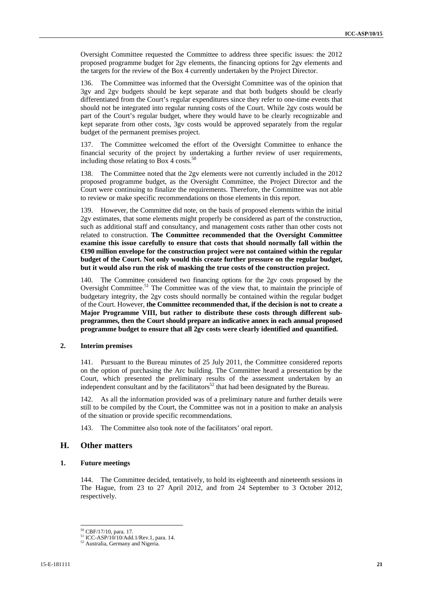Oversight Committee requested the Committee to address three specific issues: the 2012 proposed programme budget for 2gv elements, the financing options for 2gv elements and the targets for the review of the Box 4 currently undertaken by the Project Director.

136. The Committee was informed that the Oversight Committee was of the opinion that 3gv and 2gv budgets should be kept separate and that both budgets should be clearly differentiated from the Court's regular expenditures since they refer to one-time events that should not be integrated into regular running costs of the Court. While 2gv costs would be part of the Court's regular budget, where they would have to be clearly recognizable and kept separate from other costs, 3gv costs would be approved separately from the regular budget of the permanent premises project.

137. The Committee welcomed the effort of the Oversight Committee to enhance the financial security of the project by undertaking a further review of user requirements, including those relating to Box 4 costs.<sup>50</sup>

The Committee noted that the 2gv elements were not currently included in the 2012 proposed programme budget, as the Oversight Committee, the Project Director and the Court were continuing to finalize the requirements. Therefore, the Committee was not able to review or make specific recommendations on those elements in this report.

139. However, the Committee did note, on the basis of proposed elements within the initial 2gv estimates, that some elements might properly be considered as part of the construction, such as additional staff and consultancy, and management costs rather than other costs not related to construction. **The Committee recommended that the Oversight Committee examine this issue carefully to ensure that costs that should normally fall within the €190 million envelope for the construction project were not contained within the regular budget of the Court. Not only would this create further pressure on the regular budget, but it would also run the risk of masking the true costs of the construction project.** 

140. The Committee considered two financing options for the 2gv costs proposed by the Oversight Committee.<sup>51</sup> The Committee was of the view that, to maintain the principle of budgetary integrity, the 2gv costs should normally be contained within the regular budget of the Court. However, **the Committee recommended that, if the decision is not to create a Major Programme VIII, but rather to distribute these costs through different subprogrammes, then the Court should prepare an indicative annex in each annual proposed programme budget to ensure that all 2gv costs were clearly identified and quantified.** 

#### **2. Interim premises**

141. Pursuant to the Bureau minutes of 25 July 2011, the Committee considered reports on the option of purchasing the Arc building. The Committee heard a presentation by the Court, which presented the preliminary results of the assessment undertaken by an independent consultant and by the facilitators<sup>52</sup> that had been designated by the Bureau.

142. As all the information provided was of a preliminary nature and further details were still to be compiled by the Court, the Committee was not in a position to make an analysis of the situation or provide specific recommendations.

143. The Committee also took note of the facilitators' oral report.

### **H. Other matters**

#### **1. Future meetings**

144. The Committee decided, tentatively, to hold its eighteenth and nineteenth sessions in The Hague, from 23 to 27 April 2012, and from 24 September to 3 October 2012, respectively.

<sup>&</sup>lt;sup>50</sup> CBF/17/10, para. 17.

 $51$  ICC-ASP/10/10/Add.1/Rev.1, para. 14.  $52$  Australia, Germany and Nigeria.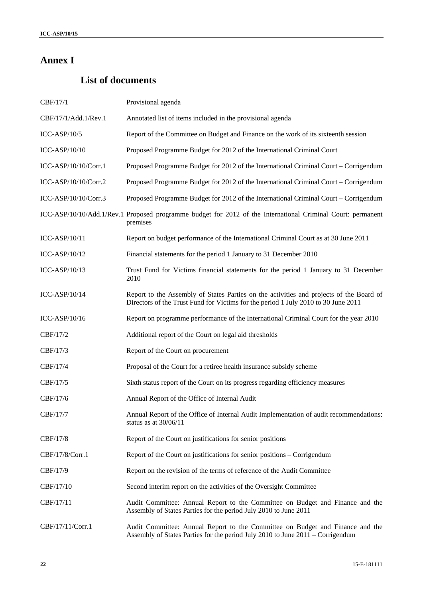# **Annex I**

# **List of documents**

| CBF/17/1             | Provisional agenda                                                                                                                                                            |
|----------------------|-------------------------------------------------------------------------------------------------------------------------------------------------------------------------------|
| CBF/17/1/Add.1/Rev.1 | Annotated list of items included in the provisional agenda                                                                                                                    |
| $ICC-ASP/10/5$       | Report of the Committee on Budget and Finance on the work of its sixteenth session                                                                                            |
| ICC-ASP/10/10        | Proposed Programme Budget for 2012 of the International Criminal Court                                                                                                        |
| ICC-ASP/10/10/Corr.1 | Proposed Programme Budget for 2012 of the International Criminal Court – Corrigendum                                                                                          |
| ICC-ASP/10/10/Corr.2 | Proposed Programme Budget for 2012 of the International Criminal Court – Corrigendum                                                                                          |
| ICC-ASP/10/10/Corr.3 | Proposed Programme Budget for 2012 of the International Criminal Court – Corrigendum                                                                                          |
|                      | ICC-ASP/10/10/Add.1/Rev.1 Proposed programme budget for 2012 of the International Criminal Court: permanent<br>premises                                                       |
| ICC-ASP/10/11        | Report on budget performance of the International Criminal Court as at 30 June 2011                                                                                           |
| ICC-ASP/10/12        | Financial statements for the period 1 January to 31 December 2010                                                                                                             |
| $ICC-ASP/10/13$      | Trust Fund for Victims financial statements for the period 1 January to 31 December<br>2010                                                                                   |
| $ICC-ASP/10/14$      | Report to the Assembly of States Parties on the activities and projects of the Board of<br>Directors of the Trust Fund for Victims for the period 1 July 2010 to 30 June 2011 |
| $ICC-ASP/10/16$      | Report on programme performance of the International Criminal Court for the year 2010                                                                                         |
| CBF/17/2             | Additional report of the Court on legal aid thresholds                                                                                                                        |
| CBF/17/3             | Report of the Court on procurement                                                                                                                                            |
| CBF/17/4             | Proposal of the Court for a retiree health insurance subsidy scheme                                                                                                           |
| CBF/17/5             | Sixth status report of the Court on its progress regarding efficiency measures                                                                                                |
| CBF/17/6             | Annual Report of the Office of Internal Audit                                                                                                                                 |
| CBF/17/7             | Annual Report of the Office of Internal Audit Implementation of audit recommendations:<br>status as at 30/06/11                                                               |
| CBF/17/8             | Report of the Court on justifications for senior positions                                                                                                                    |
| CBF/17/8/Corr.1      | Report of the Court on justifications for senior positions – Corrigendum                                                                                                      |
| CBF/17/9             | Report on the revision of the terms of reference of the Audit Committee                                                                                                       |
| CBF/17/10            | Second interim report on the activities of the Oversight Committee                                                                                                            |
| CBF/17/11            | Audit Committee: Annual Report to the Committee on Budget and Finance and the<br>Assembly of States Parties for the period July 2010 to June 2011                             |
| CBF/17/11/Corr.1     | Audit Committee: Annual Report to the Committee on Budget and Finance and the<br>Assembly of States Parties for the period July 2010 to June 2011 – Corrigendum               |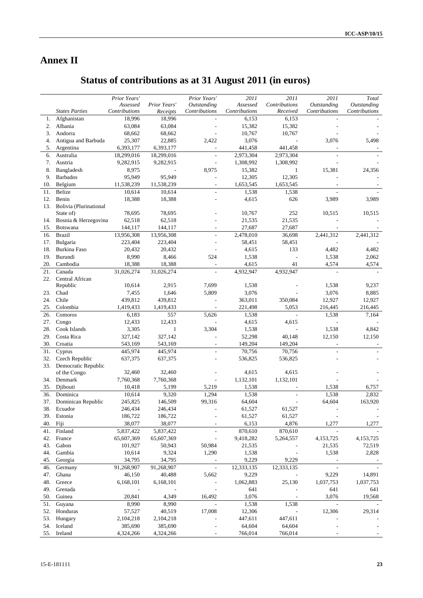# **Annex II**

# **Status of contributions as at 31 August 2011 (in euros)**

|     |                        | Prior Years'             |                          | Prior Years'             | 2011          | 2011                     | 2011                     | Total              |
|-----|------------------------|--------------------------|--------------------------|--------------------------|---------------|--------------------------|--------------------------|--------------------|
|     |                        | Assessed                 | Prior Years'             | <b>Outstanding</b>       | Assessed      | Contributions            | Outstanding              | <b>Outstanding</b> |
|     | <b>States Parties</b>  | Contributions            | Receipts                 | Contributions            | Contributions | Received                 | Contributions            | Contributions      |
| 1.  | Afghanistan            | 18,996                   | 18,996                   |                          | 6,153         | 6,153                    |                          |                    |
| 2.  | Albania                | 63,084                   | 63,084                   |                          | 15,382        | 15,382                   |                          |                    |
| 3.  | Andorra                | 68,662                   | 68,662                   |                          | 10,767        | 10,767                   |                          |                    |
| 4.  | Antigua and Barbuda    | 25,307                   | 22,885                   | 2,422                    | 3,076         |                          | 3,076                    | 5,498              |
| 5.  |                        | 6,393,177                |                          |                          | 441,458       | 441,458                  |                          |                    |
|     | Argentina              |                          | 6,393,177                |                          |               |                          |                          |                    |
| 6.  | Australia              | 18,299,016               | 18,299,016               |                          | 2,973,304     | 2,973,304                |                          |                    |
| 7.  | Austria                | 9,282,915                | 9,282,915                |                          | 1,308,992     | 1,308,992                |                          |                    |
| 8.  | Bangladesh             | 8,975                    |                          | 8,975                    | 15,382        | $\mathbf{1}$             | 15,381                   | 24,356             |
| 9.  | <b>Barbados</b>        | 95,949                   | 95,949                   |                          | 12,305        | 12,305                   |                          |                    |
| 10. | Belgium                | 11,538,239               | 11,538,239               | $\frac{1}{2}$            | 1,653,545     | 1,653,545                |                          |                    |
| 11. | Belize                 | 10,614                   | 10,614                   | $\frac{1}{2}$            | 1,538         | 1,538                    |                          |                    |
| 12. | Benin                  | 18,388                   | 18,388                   |                          | 4,615         | 626                      | 3,989                    | 3,989              |
| 13. | Bolivia (Plurinational |                          |                          |                          |               |                          |                          |                    |
|     | State of)              | 78,695                   | 78,695                   |                          | 10,767        | 252                      | 10,515                   | 10,515             |
| 14. | Bosnia & Herzegovina   | 62,518                   | 62,518                   |                          | 21,535        | 21,535                   |                          |                    |
| 15. | Botswana               | 144,117                  | 144,117                  |                          | 27,687        | 27,687                   |                          |                    |
| 16. | <b>Brazil</b>          | 13,956,308               | 13,956,308               | $\overline{a}$           | 2,478,010     | 36,698                   | 2,441,312                | 2,441,312          |
|     |                        | 223,404                  | 223,404                  |                          |               |                          |                          |                    |
| 17. | Bulgaria               |                          |                          |                          | 58,451        | 58,451                   |                          |                    |
| 18. | Burkina Faso           | 20,432                   | 20,432                   |                          | 4,615         | 133                      | 4,482                    | 4,482              |
| 19. | Burundi                | 8,990                    | 8,466                    | 524                      | 1,538         | $\overline{\phantom{a}}$ | 1,538                    | 2,062              |
| 20. | Cambodia               | 18,388                   | 18,388                   |                          | 4,615         | 41                       | 4,574                    | 4,574              |
| 21. | Canada                 | 31,026,274               | 31,026,274               | $\overline{a}$           | 4,932,947     | 4,932,947                | L,                       |                    |
| 22. | Central African        |                          |                          |                          |               |                          |                          |                    |
|     | Republic               | 10,614                   | 2,915                    | 7,699                    | 1,538         |                          | 1,538                    | 9,237              |
| 23. | Chad                   | 7,455                    | 1,646                    | 5,809                    | 3,076         |                          | 3,076                    | 8,885              |
| 24. | Chile                  | 439,812                  | 439,812                  |                          | 363,011       | 350,084                  | 12,927                   | 12,927             |
| 25. | Colombia               | 1,419,433                | 1,419,433                |                          | 221,498       | 5,053                    | 216,445                  | 216,445            |
| 26. | Comoros                | 6,183                    | 557                      | 5,626                    | 1,538         | $\overline{\phantom{a}}$ | 1,538                    | 7,164              |
| 27. | Congo                  | 12,433                   | 12,433                   |                          | 4,615         | 4,615                    |                          |                    |
| 28. | Cook Islands           | 3,305                    | 1                        | 3,304                    | 1,538         |                          | 1,538                    | 4,842              |
|     | Costa Rica             |                          |                          |                          |               |                          |                          |                    |
| 29. |                        | 327,142                  | 327,142                  |                          | 52,298        | 40,148                   | 12,150                   | 12,150             |
| 30. | Croatia                | 543,169                  | 543,169                  |                          | 149,204       | 149,204                  |                          |                    |
| 31. | Cyprus                 | 445,974                  | 445,974                  |                          | 70,756        | 70,756                   |                          |                    |
| 32. | Czech Republic         | 637,375                  | 637,375                  |                          | 536,825       | 536,825                  |                          |                    |
| 33. | Democratic Republic    |                          |                          |                          |               |                          |                          |                    |
|     | of the Congo           | 32,460                   | 32,460                   |                          | 4,615         | 4,615                    |                          |                    |
| 34. | Denmark                | 7,760,368                | 7,760,368                |                          | 1,132,101     | 1,132,101                |                          |                    |
| 35. | Djibouti               | 10,418                   | 5,199                    | 5,219                    | 1,538         |                          | 1,538                    | 6,757              |
| 36. | Dominica               | 10,614                   | 9,320                    | 1,294                    | 1,538         |                          | 1,538                    | 2,832              |
| 37. | Dominican Republic     | 245,825                  | 146,509                  | 99,316                   | 64,604        |                          | 64,604                   | 163,920            |
| 38. | Ecuador                | 246,434                  | 246,434                  |                          | 61,527        | 61,527                   |                          |                    |
| 39. | Estonia                | 186,722                  | 186,722                  |                          | 61,527        | 61,527                   |                          |                    |
| 40. | Fiji                   | 38,077                   | 38,077                   |                          | 6,153         | 4,876                    | 1,277                    | 1,277              |
| 41. | Finland                | 5,837,422                | 5,837,422                |                          | 870,610       | 870,610                  |                          |                    |
|     | France                 | 65,607,369               | 65,607,369               |                          |               |                          |                          |                    |
| 42. |                        |                          |                          |                          | 9,418,282     | 5,264,557                | 4,153,725                | 4,153,725          |
| 43. | Gabon                  | 101,927                  | 50,943                   | 50,984                   | 21,535        |                          | 21,535                   | 72,519             |
| 44. | Gambia                 | 10,614                   | 9,324                    | 1,290                    | 1,538         |                          | 1,538                    | 2,828              |
| 45. | Georgia                | 34,795                   | 34,795                   |                          | 9,229         | 9,229                    |                          |                    |
| 46. | Germany                | 91,268,907               | 91,268,907               |                          | 12,333,135    | 12,333,135               |                          |                    |
| 47. | Ghana                  | 46,150                   | 40,488                   | 5,662                    | 9,229         |                          | 9,229                    | 14,891             |
| 48. | Greece                 | 6,168,101                | 6,168,101                | $\overline{\phantom{a}}$ | 1,062,883     | 25,130                   | 1,037,753                | 1,037,753          |
| 49. | Grenada                | $\overline{\phantom{a}}$ | $\overline{\phantom{a}}$ |                          | 641           |                          | 641                      | 641                |
| 50. | Guinea                 | 20,841                   | 4,349                    | 16,492                   | 3,076         |                          | 3,076                    | 19,568             |
| 51. | Guyana                 | 8,990                    | 8,990                    | $\Box$                   | 1,538         | 1,538                    | $\frac{1}{2}$            |                    |
| 52. | Honduras               | 57,527                   | 40,519                   | 17,008                   | 12,306        |                          | 12,306                   | 29,314             |
| 53. | Hungary                | 2,104,218                | 2,104,218                |                          | 447,611       | 447,611                  |                          |                    |
|     | Iceland                |                          |                          |                          |               |                          |                          |                    |
| 54. |                        | 385,690                  | 385,690                  |                          | 64,604        | 64,604                   |                          |                    |
| 55. | Ireland                | 4,324,266                | 4,324,266                |                          | 766,014       | 766,014                  | $\overline{\phantom{a}}$ |                    |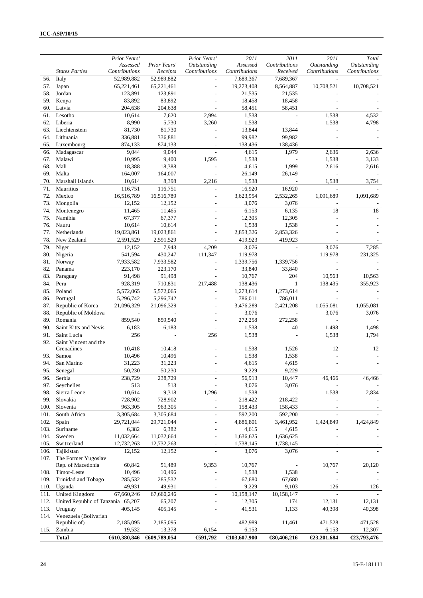|            |                                          | Prior Years'     |                  | Prior Years'             | 2011             | 2011             | 2011           | Total          |
|------------|------------------------------------------|------------------|------------------|--------------------------|------------------|------------------|----------------|----------------|
|            |                                          | Assessed         | Prior Years'     | <b>Outstanding</b>       | Assessed         | Contributions    | Outstanding    | Outstanding    |
|            | <b>States Parties</b>                    | Contributions    | Receipts         | Contributions            | Contributions    | Received         | Contributions  | Contributions  |
| 56.        | Italy                                    | 52,989,882       | 52,989,882       |                          | 7,689,367        | 7,689,367        |                |                |
| 57.        | Japan                                    | 65,221,461       | 65,221,461       |                          | 19,273,408       | 8,564,887        | 10,708,521     | 10,708,521     |
| 58.        | Jordan                                   | 123,891          | 123,891          |                          | 21,535           | 21,535           |                |                |
| 59.        | Kenya                                    | 83,892           | 83,892           |                          | 18,458           | 18,458           |                |                |
| 60.        | Latvia                                   | 204,638          | 204,638          |                          | 58,451           | 58,451           |                |                |
| 61.        | Lesotho                                  | 10,614           | 7,620            | 2,994                    | 1,538            |                  | 1,538          | 4,532          |
| 62.        | Liberia                                  | 8,990            | 5,730            | 3,260                    | 1,538            |                  | 1,538          | 4,798          |
| 63.        | Liechtenstein                            | 81,730           | 81,730           |                          | 13,844           | 13,844           |                |                |
| 64.        | Lithuania                                | 336,881          | 336,881          |                          | 99,982           | 99,982           |                |                |
| 65.        | Luxembourg                               | 874,133<br>9,044 | 874,133<br>9,044 | $\overline{\phantom{a}}$ | 138,436<br>4,615 | 138,436<br>1,979 |                | 2,636          |
| 66.<br>67. | Madagascar<br>Malawi                     | 10,995           | 9,400            | 1,595                    | 1,538            |                  | 2,636<br>1,538 | 3,133          |
| 68.        | Mali                                     | 18,388           | 18,388           |                          | 4,615            | 1,999            | 2,616          | 2,616          |
| 69.        | Malta                                    | 164,007          | 164,007          |                          | 26,149           | 26,149           |                |                |
| 70.        | Marshall Islands                         | 10,614           | 8,398            | 2,216                    | 1,538            |                  | 1,538          | 3,754          |
| 71.        | Mauritius                                | 116,751          | 116,751          |                          | 16,920           | 16,920           |                |                |
| 72.        | Mexico                                   | 16,516,789       | 16,516,789       |                          | 3,623,954        | 2,532,265        | 1,091,689      | 1,091,689      |
| 73.        | Mongolia                                 | 12,152           | 12,152           | $\overline{\phantom{a}}$ | 3,076            | 3,076            |                |                |
| 74.        | Montenegro                               | 11,465           | 11,465           | $\overline{\phantom{a}}$ | 6,153            | 6,135            | 18             | 18             |
| 75.        | Namibia                                  | 67,377           | 67,377           |                          | 12,305           | 12,305           |                |                |
| 76.        | Nauru                                    | 10,614           | 10,614           |                          | 1,538            | 1,538            |                |                |
| 77.        | Netherlands                              | 19,023,861       | 19,023,861       |                          | 2,853,326        | 2,853,326        |                |                |
| 78.        | New Zealand                              | 2,591,529        | 2,591,529        |                          | 419,923          | 419,923          |                |                |
| 79.        | Niger                                    | 12,152           | 7,943            | 4,209                    | 3,076            |                  | 3,076          | 7,285          |
| 80.        | Nigeria                                  | 541,594          | 430,247          | 111,347                  | 119,978          |                  | 119,978        | 231,325        |
| 81.        | Norway                                   | 7,933,582        | 7,933,582        |                          | 1,339,756        | 1,339,756        |                |                |
| 82.        | Panama                                   | 223,170          | 223,170          |                          | 33,840           | 33,840           |                |                |
| 83.        | Paraguay                                 | 91,498           | 91,498           |                          | 10,767           | 204              | 10,563         | 10,563         |
| 84.        | Peru                                     | 928,319          | 710,831          | 217,488                  | 138,436          | 1                | 138,435        | 355,923        |
| 85.        | Poland                                   | 5,572,065        | 5,572,065        |                          | 1,273,614        | 1,273,614        |                |                |
| 86.        | Portugal                                 | 5,296,742        | 5,296,742        |                          | 786,011          | 786,011          |                |                |
| 87.        | Republic of Korea                        | 21,096,329       | 21,096,329       |                          | 3,476,289        | 2,421,208        | 1,055,081      | 1,055,081      |
| 88.        | Republic of Moldova                      |                  |                  |                          | 3,076            |                  | 3,076          | 3,076          |
| 89.        | Romania                                  | 859,540          | 859,540          |                          | 272,258          | 272,258<br>40    | 1,498          |                |
| 90.<br>91. | Saint Kitts and Nevis<br>Saint Lucia     | 6,183<br>256     | 6,183            | 256                      | 1,538<br>1,538   |                  | 1,538          | 1,498<br>1,794 |
| 92.        | Saint Vincent and the                    |                  |                  |                          |                  |                  |                |                |
|            | Grenadines                               | 10,418           | 10,418           |                          | 1,538            | 1,526            | 12             | 12             |
| 93.        | Samoa                                    | 10,496           | 10,496           |                          | 1,538            | 1,538            |                |                |
| 94.        | San Marino                               | 31,223           | 31,223           |                          | 4,615            | 4,615            |                |                |
| 95.        | Senegal                                  | 50,230           | 50,230           |                          | 9,229            | 9,229            |                |                |
| 96.        | Serbia                                   | 238,729          | 238,729          |                          | 56,913           | 10,447           | 46,466         | 46,466         |
| 97.        | Seychelles                               | 513              | 513              |                          | 3,076            | 3,076            |                |                |
| 98.        | Sierra Leone                             | 10,614           | 9,318            | 1,296                    | 1,538            |                  | 1,538          | 2,834          |
| 99.        | Slovakia                                 | 728,902          | 728,902          |                          | 218,422          | 218,422          |                |                |
| 100.       | Slovenia                                 | 963,305          | 963,305          |                          | 158,433          | 158,433          |                |                |
| 101.       | South Africa                             | 3,305,684        | 3,305,684        |                          | 592,200          | 592,200          |                |                |
| 102.       | Spain                                    | 29,721,044       | 29,721,044       |                          | 4,886,801        | 3,461,952        | 1,424,849      | 1,424,849      |
| 103.       | Suriname                                 | 6,382            | 6,382            |                          | 4,615            | 4,615            |                |                |
| 104.       | Sweden                                   | 11,032,664       | 11,032,664       |                          | 1,636,625        | 1,636,625        |                |                |
| 105.       | Switzerland                              | 12,732,263       | 12,732,263       |                          | 1,738,145        | 1,738,145        |                |                |
| 106.       | Tajikistan                               | 12,152           | 12,152           |                          | 3,076            | 3,076            |                |                |
| 107.       | The Former Yugoslav<br>Rep. of Macedonia | 60,842           | 51,489           | 9,353                    | 10,767           |                  | 10,767         | 20,120         |
| 108.       | Timor-Leste                              | 10,496           | 10,496           |                          | 1,538            | 1,538            |                |                |
| 109.       | Trinidad and Tobago                      | 285,532          | 285,532          |                          | 67,680           | 67,680           |                |                |
| 110.       | Uganda                                   | 49,931           | 49,931           |                          | 9,229            | 9,103            | 126            | 126            |
| 111.       | United Kingdom                           | 67,660,246       | 67,660,246       | $\overline{a}$           | 10,158,147       | 10,158,147       |                |                |
| 112.       | United Republic of Tanzania 65,207       |                  | 65,207           |                          | 12,305           | 174              | 12,131         | 12,131         |
| 113.       | Uruguay                                  | 405,145          | 405,145          |                          | 41,531           | 1,133            | 40,398         | 40,398         |
| 114.       | Venezuela (Bolivarian                    |                  |                  |                          |                  |                  |                |                |
|            | Republic of)                             | 2,185,095        | 2,185,095        |                          | 482,989          | 11,461           | 471,528        | 471,528        |
| 115.       | Zambia                                   | 19,532           | 13,378           | 6,154                    | 6,153            |                  | 6,153          | 12,307         |
|            | <b>Total</b>                             | €610,380,846     | €609,789,054     | €91,792                  | €103,607,900     | €80,406,216      | €23,201,684    | €23,793,476    |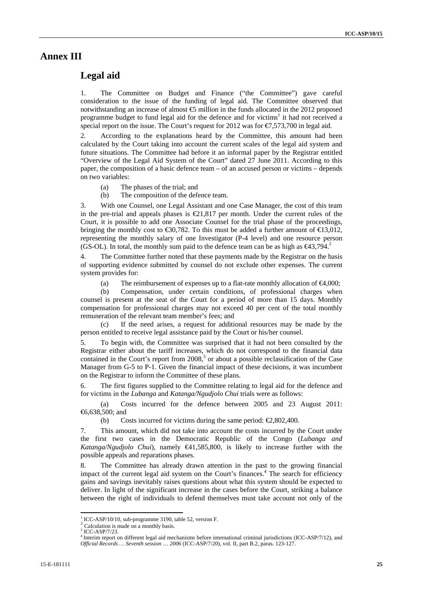### **Annex III**

### **Legal aid**

1. The Committee on Budget and Finance ("the Committee") gave careful consideration to the issue of the funding of legal aid. The Committee observed that notwithstanding an increase of almost  $\epsilon$  million in the funds allocated in the 2012 proposed programme budget to fund legal aid for the defence and for victims<sup>1</sup> it had not received a special report on the issue. The Court's request for 2012 was for  $\epsilon$ 7,573,700 in legal aid.

2. According to the explanations heard by the Committee, this amount had been calculated by the Court taking into account the current scales of the legal aid system and future situations. The Committee had before it an informal paper by the Registrar entitled "Overview of the Legal Aid System of the Court" dated 27 June 2011. According to this paper, the composition of a basic defence team – of an accused person or victims – depends on two variables:

- (a) The phases of the trial; and
- (b) The composition of the defence team.

3. With one Counsel, one Legal Assistant and one Case Manager, the cost of this team in the pre-trial and appeals phases is  $\epsilon 21,817$  per month. Under the current rules of the Court, it is possible to add one Associate Counsel for the trial phase of the proceedings, bringing the monthly cost to  $\epsilon$ 30,782. To this must be added a further amount of  $\epsilon$ 13,012, representing the monthly salary of one Investigator (P-4 level) and one resource person (GS-OL). In total, the monthly sum paid to the defence team can be as high as  $\epsilon 43.794$ .

4. The Committee further noted that these payments made by the Registrar on the basis of supporting evidence submitted by counsel do not exclude other expenses. The current system provides for:

(a) The reimbursement of expenses up to a flat-rate monthly allocation of  $\epsilon 4.000$ :

(b) Compensation, under certain conditions, of professional charges when counsel is present at the seat of the Court for a period of more than 15 days. Monthly compensation for professional charges may not exceed 40 per cent of the total monthly remuneration of the relevant team member's fees; and

(c) If the need arises, a request for additional resources may be made by the person entitled to receive legal assistance paid by the Court or his/her counsel.

5. To begin with, the Committee was surprised that it had not been consulted by the Registrar either about the tariff increases, which do not correspond to the financial data contained in the Court's report from  $2008$ ,<sup>3</sup> or about a possible reclassification of the Case Manager from G-5 to P-1. Given the financial impact of these decisions, it was incumbent on the Registrar to inform the Committee of these plans.

6. The first figures supplied to the Committee relating to legal aid for the defence and for victims in the *Lubanga* and *Katanga/Ngudjolo Chui* trials were as follows:

(a) Costs incurred for the defence between 2005 and 23 August 2011: €6,638,500; and

(b) Costs incurred for victims during the same period:  $\epsilon$ 2,802,400.

7. This amount, which did not take into account the costs incurred by the Court under the first two cases in the Democratic Republic of the Congo (*Lubanga and Katanga/Ngudjolo Chui*), namely €41,585,800, is likely to increase further with the possible appeals and reparations phases.

8. The Committee has already drawn attention in the past to the growing financial impact of the current legal aid system on the Court's finances.<sup>4</sup> The search for efficiency gains and savings inevitably raises questions about what this system should be expected to deliver. In light of the significant increase in the cases before the Court, striking a balance between the right of individuals to defend themselves must take account not only of the

 $\overline{a}$ 

<sup>&</sup>lt;sup>1</sup> ICC-ASP/10/10, sub-programme 3190, table 52, version F.

 $2 \text{Calculation is made on a monthly basis.}$ 

 $\frac{3}{1}$  ICC-ASP/7/23.

Interim report on different legal aid mechanisms before international criminal jurisdictions (ICC-ASP/7/12), and *Official Records … Seventh session* … *2006* (ICC-ASP/7/20), vol. II, part B.2, paras. 123-127.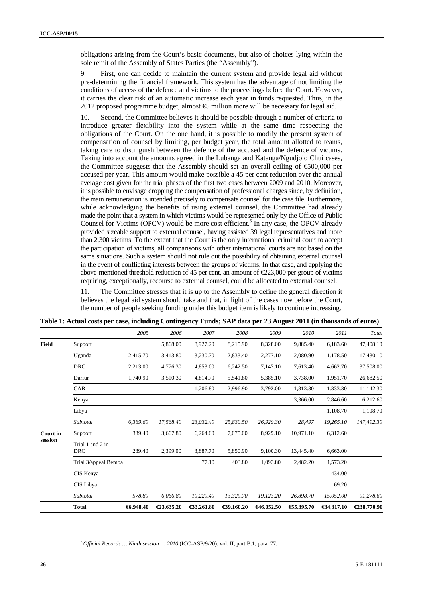obligations arising from the Court's basic documents, but also of choices lying within the sole remit of the Assembly of States Parties (the "Assembly").

9. First, one can decide to maintain the current system and provide legal aid without pre-determining the financial framework. This system has the advantage of not limiting the conditions of access of the defence and victims to the proceedings before the Court. However, it carries the clear risk of an automatic increase each year in funds requested. Thus, in the 2012 proposed programme budget, almost  $\mathfrak{S}$  million more will be necessary for legal aid.

10. Second, the Committee believes it should be possible through a number of criteria to introduce greater flexibility into the system while at the same time respecting the obligations of the Court. On the one hand, it is possible to modify the present system of compensation of counsel by limiting, per budget year, the total amount allotted to teams, taking care to distinguish between the defence of the accused and the defence of victims. Taking into account the amounts agreed in the Lubanga and Katanga/Ngudjolo Chui cases, the Committee suggests that the Assembly should set an overall ceiling of  $\epsilon$ 500,000 per accused per year. This amount would make possible a 45 per cent reduction over the annual average cost given for the trial phases of the first two cases between 2009 and 2010. Moreover, it is possible to envisage dropping the compensation of professional charges since, by definition, the main remuneration is intended precisely to compensate counsel for the case file. Furthermore, while acknowledging the benefits of using external counsel, the Committee had already made the point that a system in which victims would be represented only by the Office of Public Counsel for Victims (OPCV) would be more cost efficient.<sup>5</sup> In any case, the OPCV already provided sizeable support to external counsel, having assisted 39 legal representatives and more than 2,300 victims. To the extent that the Court is the only international criminal court to accept the participation of victims, all comparisons with other international courts are not based on the same situations. Such a system should not rule out the possibility of obtaining external counsel in the event of conflicting interests between the groups of victims. In that case, and applying the above-mentioned threshold reduction of 45 per cent, an amount of  $\epsilon$ 23,000 per group of victims requiring, exceptionally, recourse to external counsel, could be allocated to external counsel.

11. The Committee stresses that it is up to the Assembly to define the general direction it believes the legal aid system should take and that, in light of the cases now before the Court, the number of people seeking funding under this budget item is likely to continue increasing.

|              |                                | 2005     | 2006       | 2007       | 2008       | 2009       | 2010      | 2011       | Total       |
|--------------|--------------------------------|----------|------------|------------|------------|------------|-----------|------------|-------------|
| <b>Field</b> | Support                        |          | 5,868.00   | 8,927.20   | 8,215.90   | 8,328.00   | 9,885.40  | 6,183.60   | 47,408.10   |
|              | Uganda                         | 2,415.70 | 3,413.80   | 3,230.70   | 2,833.40   | 2,277.10   | 2,080.90  | 1,178.50   | 17,430.10   |
|              | <b>DRC</b>                     | 2,213.00 | 4,776.30   | 4,853.00   | 6,242.50   | 7,147.10   | 7,613.40  | 4,662.70   | 37,508.00   |
|              | Darfur                         | 1,740.90 | 3,510.30   | 4,814.70   | 5,541.80   | 5,385.10   | 3,738.00  | 1,951.70   | 26,682.50   |
|              | CAR                            |          |            | 1,206.80   | 2,996.90   | 3,792.00   | 1,813.30  | 1,333.30   | 11,142.30   |
|              | Kenya                          |          |            |            |            |            | 3,366.00  | 2,846.60   | 6,212.60    |
|              | Libya                          |          |            |            |            |            |           | 1,108.70   | 1,108.70    |
|              | Subtotal                       | 6.369.60 | 17,568.40  | 23,032.40  | 25,830.50  | 26,929.30  | 28,497    | 19,265.10  | 147,492.30  |
| Court in     | Support                        | 339.40   | 3,667.80   | 6,264.60   | 7,075.00   | 8,929.10   | 10,971.10 | 6,312.60   |             |
| session      | Trial 1 and 2 in<br><b>DRC</b> | 239.40   | 2,399.00   | 3,887.70   | 5,850.90   | 9,100.30   | 13,445.40 | 6,663.00   |             |
|              | Trial 3/appeal Bemba           |          |            | 77.10      | 403.80     | 1,093.80   | 2,482.20  | 1,573.20   |             |
|              | CIS Kenya                      |          |            |            |            |            |           | 434.00     |             |
|              | CIS Libya                      |          |            |            |            |            |           | 69.20      |             |
|              | Subtotal                       | 578.80   | 6,066.80   | 10,229.40  | 13,329.70  | 19,123.20  | 26,898.70 | 15,052.00  | 91,278.60   |
|              | <b>Total</b>                   | 6,948.40 | €23,635.20 | €33,261.80 | €39,160.20 | €46,052.50 | €5,395.70 | €34,317.10 | €238,770.90 |

| Table 1: Actual costs per case, including Contingency Funds; SAP data per 23 August 2011 (in thousands of euros) |  |
|------------------------------------------------------------------------------------------------------------------|--|
|------------------------------------------------------------------------------------------------------------------|--|

 $\overline{a}$ <sup>5</sup>*Official Records … Ninth session … 2010* (ICC-ASP/9/20), vol. II, part B.1, para. 77.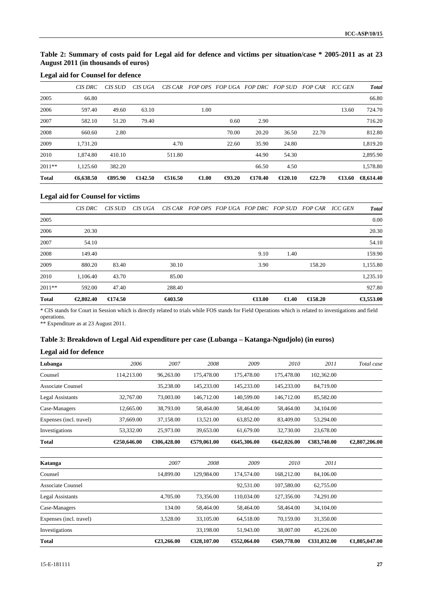### **Table 2: Summary of costs paid for Legal aid for defence and victims per situation/case \* 2005-2011 as at 23 August 2011 (in thousands of euros)**

### **Legal aid for Counsel for defence**

|              | CIS DRC  | CIS SUD           | CIS UGA           | CIS CAR   |                 |                  | FOP OPS FOP UGA FOP DRC FOP SUD |                   | <i>FOP CAR</i> | ICC GEN          | <b>Total</b>         |
|--------------|----------|-------------------|-------------------|-----------|-----------------|------------------|---------------------------------|-------------------|----------------|------------------|----------------------|
| 2005         | 66.80    |                   |                   |           |                 |                  |                                 |                   |                |                  | 66.80                |
| 2006         | 597.40   | 49.60             | 63.10             |           | 1.00            |                  |                                 |                   |                | 13.60            | 724.70               |
| 2007         | 582.10   | 51.20             | 79.40             |           |                 | 0.60             | 2.90                            |                   |                |                  | 716.20               |
| 2008         | 660.60   | 2.80              |                   |           |                 | 70.00            | 20.20                           | 36.50             | 22.70          |                  | 812.80               |
| 2009         | 1.731.20 |                   |                   | 4.70      |                 | 22.60            | 35.90                           | 24.80             |                |                  | 1,819.20             |
| 2010         | 1.874.80 | 410.10            |                   | 511.80    |                 |                  | 44.90                           | 54.30             |                |                  | 2,895.90             |
| $2011**$     | 1.125.60 | 382.20            |                   |           |                 |                  | 66.50                           | 4.50              |                |                  | 1,578.80             |
| <b>Total</b> | 6,638.50 | $\bigoplus$ 95.90 | $\epsilon$ 142.50 | € $16.50$ | $\epsilon$ 1.00 | $\bigoplus$ 3.20 | $\bigoplus$ 70.40               | $\epsilon$ 120.10 | €22.70         | $\bigoplus$ 3.60 | $\bigoplus$ , 614.40 |

#### **Legal aid for Counsel for victims**

|              | CIS DRC   | CIS SUD           | CIS UGA |         |  | CIS CAR FOP OPS FOP UGA FOP DRC FOP SUD FOP CAR |                 |                   | ICC GEN | <b>Total</b> |
|--------------|-----------|-------------------|---------|---------|--|-------------------------------------------------|-----------------|-------------------|---------|--------------|
| 2005         |           |                   |         |         |  |                                                 |                 |                   |         | 0.00         |
| 2006         | 20.30     |                   |         |         |  |                                                 |                 |                   |         | 20.30        |
| 2007         | 54.10     |                   |         |         |  |                                                 |                 |                   |         | 54.10        |
| 2008         | 149.40    |                   |         |         |  | 9.10                                            | 1.40            |                   |         | 159.90       |
| 2009         | 880.20    | 83.40             |         | 30.10   |  | 3.90                                            |                 | 158.20            |         | 1,155.80     |
| 2010         | 1.106.40  | 43.70             |         | 85.00   |  |                                                 |                 |                   |         | 1,235.10     |
| $2011**$     | 592.00    | 47.40             |         | 288.40  |  |                                                 |                 |                   |         | 927.80       |
| <b>Total</b> | €2,802.40 | $\epsilon$ 174.50 |         | €403.50 |  | $\bigoplus$ 3.00                                | $\epsilon$ 1.40 | $\bigoplus$ 58.20 |         | €3,553.00    |

\* CIS stands for Court in Session which is directly related to trials while FOS stands for Field Operations which is related to investigations and field operations.

\*\* Expenditure as at 23 August 2011.

### **Table 3: Breakdown of Legal Aid expenditure per case (Lubanga – Katanga-Ngudjolo) (in euros)**

#### **Legal aid for defence**

| Lubanga                  | 2006        | 2007         | 2008          | 2009        | 2010          | 2011        | Total case              |
|--------------------------|-------------|--------------|---------------|-------------|---------------|-------------|-------------------------|
| Counsel                  | 114,213.00  | 96,263.00    | 175,478.00    | 175,478.00  | 175,478.00    | 102,362.00  |                         |
| <b>Associate Counsel</b> |             | 35,238.00    | 145,233.00    | 145,233.00  | 145,233.00    | 84,719.00   |                         |
| Legal Assistants         | 32,767.00   | 73,003.00    | 146,712.00    | 140,599.00  | 146,712.00    | 85,582.00   |                         |
| Case-Managers            | 12,665.00   | 38,793.00    | 58,464.00     | 58,464.00   | 58,464.00     | 34,104.00   |                         |
| Expenses (incl. travel)  | 37,669.00   | 37,158.00    | 13,521.00     | 63,852.00   | 83,409.00     | 53,294.00   |                         |
| Investigations           | 53,332.00   | 25,973.00    | 39,653.00     | 61,679.00   | 32,730.00     | 23,678.00   |                         |
| <b>Total</b>             | €250,646.00 | €306,428.00  | € $79,061.00$ | €645,306.00 | 642,026.00    | €383,740.00 | €2,807,206.00           |
| Katanga                  |             | 2007         | 2008          | 2009        | 2010          | 2011        |                         |
| Counsel                  |             | 14,899.00    | 129,984.00    | 174,574.00  | 168,212.00    | 84,106.00   |                         |
| <b>Associate Counsel</b> |             |              |               | 92,531.00   | 107,580.00    | 62,755.00   |                         |
| <b>Legal Assistants</b>  |             | 4,705.00     | 73,356.00     | 110,034.00  | 127,356.00    | 74,291.00   |                         |
| Case-Managers            |             | 134.00       | 58,464.00     | 58,464.00   | 58,464.00     | 34,104.00   |                         |
| Expenses (incl. travel)  |             | 3,528.00     | 33,105.00     | 64,518.00   | 70,159.00     | 31,350.00   |                         |
| Investigations           |             |              | 33,198.00     | 51,943.00   | 38,007.00     | 45,226.00   |                         |
| <b>Total</b>             |             | $E$ 3,266.00 | €328,107.00   | €52,064.00  | € $69,778.00$ | €31,832.00  | $\bigoplus$ ,805,047.00 |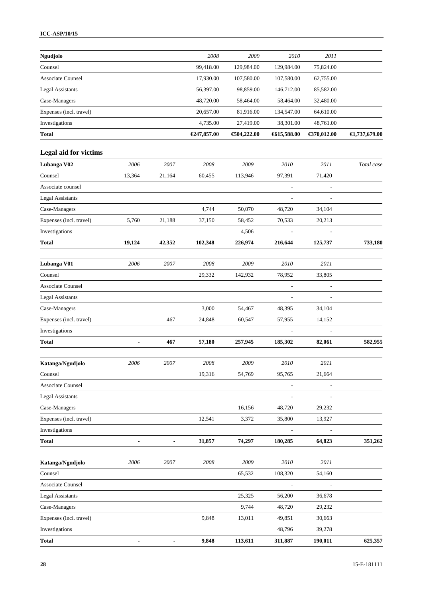### **ICC-ASP/10/15**

| Ngudjolo                    |                          |                              | 2008        | 2009          | 2010                     | 2011           |                         |
|-----------------------------|--------------------------|------------------------------|-------------|---------------|--------------------------|----------------|-------------------------|
| Counsel                     |                          |                              | 99,418.00   | 129,984.00    | 129,984.00               | 75,824.00      |                         |
| <b>Associate Counsel</b>    |                          |                              | 17,930.00   | 107,580.00    | 107,580.00               | 62,755.00      |                         |
| <b>Legal Assistants</b>     |                          |                              | 56,397.00   | 98,859.00     | 146,712.00               | 85,582.00      |                         |
| Case-Managers               |                          |                              | 48,720.00   | 58,464.00     | 58,464.00                | 32,480.00      |                         |
| Expenses (incl. travel)     |                          |                              | 20,657.00   | 81,916.00     | 134,547.00               | 64,610.00      |                         |
| Investigations              |                          |                              | 4,735.00    | 27,419.00     | 38,301.00                | 48,761.00      |                         |
| <b>Total</b>                |                          |                              | €247,857.00 | € $04,222.00$ | €615,588.00              | €370,012.00    | $\bigoplus$ ,737,679.00 |
| Legal aid for victims       |                          |                              |             |               |                          |                |                         |
| Lubanga V02                 | 2006                     | 2007                         | 2008        | 2009          | 2010                     | 2011           | Total case              |
| Counsel                     | 13,364                   | 21,164                       | 60,455      | 113,946       | 97,391                   | 71,420         |                         |
| Associate counsel           |                          |                              |             |               | L,                       |                |                         |
| <b>Legal Assistants</b>     |                          |                              |             |               | $\overline{\phantom{a}}$ |                |                         |
| Case-Managers               |                          |                              | 4,744       | 50,070        | 48,720                   | 34,104         |                         |
| Expenses (incl. travel)     | 5,760                    | 21,188                       | 37,150      | 58,452        | 70,533                   | 20,213         |                         |
| Investigations              |                          |                              |             | 4,506         |                          |                |                         |
| Total                       | 19,124                   | 42,352                       | 102,348     | 226,974       | 216,644                  | 125,737        | 733,180                 |
|                             |                          |                              |             |               |                          |                |                         |
| Lubanga V01                 | 2006                     | 2007                         | 2008        | 2009          | 2010                     | 2011           |                         |
| Counsel                     |                          |                              | 29,332      | 142,932       | 78,952                   | 33,805         |                         |
| <b>Associate Counsel</b>    |                          |                              |             |               | $\overline{\phantom{a}}$ | $\overline{a}$ |                         |
| <b>Legal Assistants</b>     |                          |                              |             |               |                          |                |                         |
| Case-Managers               |                          |                              | 3,000       | 54,467        | 48,395                   | 34,104         |                         |
| Expenses (incl. travel)     |                          | 467                          | 24,848      | 60,547        | 57,955                   | 14,152         |                         |
| Investigations              |                          |                              |             |               |                          |                |                         |
| Total                       | $\overline{\phantom{a}}$ | 467                          | 57,180      | 257,945       | 185,302                  | 82,061         | 582,955                 |
| Katanga/Ngudjolo            | 2006                     | 2007                         | 2008        | 2009          | 2010                     | 2011           |                         |
| Counsel                     |                          |                              | 19,316      | 54,769        | 95,765                   | 21,664         |                         |
| <b>Associate Counsel</b>    |                          |                              |             |               | -                        |                |                         |
| <b>Legal Assistants</b>     |                          |                              |             |               |                          |                |                         |
| Case-Managers               |                          |                              |             | 16,156        | 48,720                   | 29,232         |                         |
| Expenses (incl. travel)     |                          |                              | 12,541      | 3,372         | 35,800                   | 13,927         |                         |
| Investigations              |                          |                              |             |               |                          |                |                         |
| <b>Total</b>                | $\overline{\phantom{a}}$ | $\qquad \qquad \blacksquare$ | 31,857      | 74,297        | 180,285                  | 64,823         | 351,262                 |
|                             |                          |                              |             |               |                          |                |                         |
| Katanga/Ngudjolo<br>Counsel | 2006                     | 2007                         | 2008        | 2009          | 2010                     | 2011           |                         |
|                             |                          |                              |             | 65,532        | 108,320                  | 54,160         |                         |
| <b>Associate Counsel</b>    |                          |                              |             |               |                          |                |                         |
| <b>Legal Assistants</b>     |                          |                              |             | 25,325        | 56,200                   | 36,678         |                         |
| Case-Managers               |                          |                              |             | 9,744         | 48,720                   | 29,232         |                         |
| Expenses (incl. travel)     |                          |                              | 9,848       | 13,011        | 49,851                   | 30,663         |                         |
| Investigations              |                          |                              |             |               | 48,796                   | 39,278         |                         |
| <b>Total</b>                |                          |                              | 9,848       | 113,611       | 311,887                  | 190,011        | 625,357                 |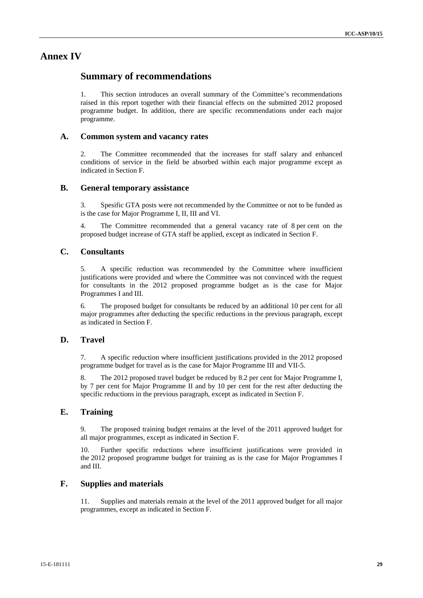### **Annex IV**

### **Summary of recommendations**

1. This section introduces an overall summary of the Committee's recommendations raised in this report together with their financial effects on the submitted 2012 proposed programme budget. In addition, there are specific recommendations under each major programme.

### **A. Common system and vacancy rates**

2. The Committee recommended that the increases for staff salary and enhanced conditions of service in the field be absorbed within each major programme except as indicated in Section F.

### **B. General temporary assistance**

3. Spesific GTA posts were not recommended by the Committee or not to be funded as is the case for Major Programme I, II, III and VI.

4. The Committee recommended that a general vacancy rate of 8 per cent on the proposed budget increase of GTA staff be applied, except as indicated in Section F.

### **C. Consultants**

5. A specific reduction was recommended by the Committee where insufficient justifications were provided and where the Committee was not convinced with the request for consultants in the 2012 proposed programme budget as is the case for Major Programmes I and III.

6. The proposed budget for consultants be reduced by an additional 10 per cent for all major programmes after deducting the specific reductions in the previous paragraph, except as indicated in Section F.

### **D. Travel**

7. A specific reduction where insufficient justifications provided in the 2012 proposed programme budget for travel as is the case for Major Programme III and VII-5.

8. The 2012 proposed travel budget be reduced by 8.2 per cent for Major Programme I, by 7 per cent for Major Programme II and by 10 per cent for the rest after deducting the specific reductions in the previous paragraph, except as indicated in Section F.

### **E. Training**

9. The proposed training budget remains at the level of the 2011 approved budget for all major programmes, except as indicated in Section F.

10. Further specific reductions where insufficient justifications were provided in the 2012 proposed programme budget for training as is the case for Major Programmes I and III.

### **F. Supplies and materials**

11. Supplies and materials remain at the level of the 2011 approved budget for all major programmes, except as indicated in Section F.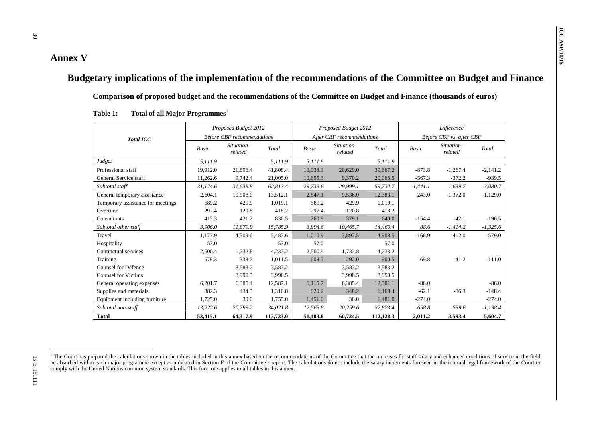| Comparison of proposed budget and the recommendations of the Committee on Budget and Finance (thousands of euros) |          |                                   |           |                           |                       |           |              |                          |            |
|-------------------------------------------------------------------------------------------------------------------|----------|-----------------------------------|-----------|---------------------------|-----------------------|-----------|--------------|--------------------------|------------|
| Total of all Major Programmes <sup>1</sup><br>Table 1:                                                            |          |                                   |           |                           |                       |           |              |                          |            |
|                                                                                                                   |          | Proposed Budget 2012              |           |                           | Proposed Budget 2012  |           |              | <b>Difference</b>        |            |
| <b>Total ICC</b>                                                                                                  |          | <b>Before CBF</b> recommendations |           | After CBF recommendations |                       |           |              | Before CBF vs. after CBF |            |
|                                                                                                                   | Basic    | Situation-<br>related             | Total     | Basic                     | Situation-<br>related | Total     | <b>Basic</b> | Situation-<br>related    | Total      |
| Judges                                                                                                            | 5,111.9  |                                   | 5,111.9   | 5,111.9                   |                       | 5,111.9   |              |                          |            |
| Professional staff                                                                                                | 19,912.0 | 21,896.4                          | 41,808.4  | 19,038.3                  | 20,629.0              | 39,667.2  | $-873.8$     | $-1,267.4$               | $-2,141.2$ |
| General Service staff                                                                                             | 11,262.6 | 9,742.4                           | 21,005.0  | 10,695.3                  | 9,370.2               | 20,065.5  | $-567.3$     | $-372.2$                 | $-939.5$   |
| Subtotal staff                                                                                                    | 31,174.6 | 31,638.8                          | 62,813.4  | 29,733.6                  | 29,999.1              | 59,732.7  | $-1,441.1$   | $-1,639.7$               | $-3,080.7$ |
| General temporary assistance                                                                                      | 2,604.1  | 10,908.0                          | 13,512.1  | 2,847.1                   | 9,536.0               | 12,383.1  | 243.0        | $-1,372.0$               | $-1,129.0$ |
| Temporary assistance for meetings                                                                                 | 589.2    | 429.9                             | 1,019.1   | 589.2                     | 429.9                 | 1,019.1   |              |                          |            |
| Overtime                                                                                                          | 297.4    | 120.8                             | 418.2     | 297.4                     | 120.8                 | 418.2     |              |                          |            |
| Consultants                                                                                                       | 415.3    | 421.2                             | 836.5     | 260.9                     | 379.1                 | 640.0     | $-154.4$     | $-42.1$                  | $-196.5$   |
| Subtotal other staff                                                                                              | 3.906.0  | 11,879.9                          | 15,785.9  | 3,994.6                   | 10,465.7              | 14,460.4  | 88.6         | $-1,414.2$               | $-1,325.6$ |
| Travel                                                                                                            | 1,177.9  | 4,309.6                           | 5,487.6   | 1,010.9                   | 3,897.5               | 4,908.5   | $-166.9$     | $-412.0$                 | $-579.0$   |
| Hospitality                                                                                                       | 57.0     |                                   | 57.0      | 57.0                      |                       | 57.0      |              |                          |            |
| Contractual services                                                                                              | 2,500.4  | 1,732.8                           | 4,233.2   | 2,500.4                   | 1,732.8               | 4,233.2   |              |                          |            |
| Training                                                                                                          | 678.3    | 333.2                             | 1,011.5   | 608.5                     | 292.0                 | 900.5     | $-69.8$      | $-41.2$                  | $-111.0$   |
| <b>Counsel for Defence</b>                                                                                        |          | 3,583.2                           | 3,583.2   |                           | 3,583.2               | 3,583.2   |              |                          |            |
| <b>Counsel for Victims</b>                                                                                        |          | 3,990.5                           | 3,990.5   |                           | 3,990.5               | 3,990.5   |              |                          |            |
| General operating expenses                                                                                        | 6,201.7  | 6,385.4                           | 12,587.1  | 6,115.7                   | 6,385.4               | 12,501.1  | $-86.0$      |                          | $-86.0$    |
| Supplies and materials                                                                                            | 882.3    | 434.5                             | 1,316.8   | 820.2                     | 348.2                 | 1,168.4   | $-62.1$      | $-86.3$                  | $-148.4$   |
| Equipment including furniture                                                                                     | 1,725.0  | 30.0                              | 1,755.0   | 1,451.0                   | 30.0                  | 1,481.0   | $-274.0$     |                          | $-274.0$   |
| Subtotal non-staff                                                                                                | 13,222.6 | 20,799.2                          | 34,021.8  | 12,563.8                  | 20,259.6              | 32,823.4  | $-658.8$     | $-539.6$                 | $-1,198.4$ |
| <b>Total</b>                                                                                                      | 53,415.1 | 64,317.9                          | 117,733.0 | 51,403.8                  | 60,724.5              | 112,128.3 | $-2,011.2$   | $-3,593.4$               | $-5,604.7$ |

| Table 1:<br>Total of all Major Programmes |  |
|-------------------------------------------|--|
|-------------------------------------------|--|

<sup>&</sup>lt;sup>1</sup> The Court has prepared the calculations shown in the tables included in this annex based on the recommendations of the Committee that the increases for staff salary and enhanced conditions of service in the field be absorbed within each major programme except as indicated in Section F of the Committee's report. The calculations do not include the salary increments foreseen in the internal legal framework of the Court to comply with the United Nations common system standards. This footnote applies to all tables in this annex.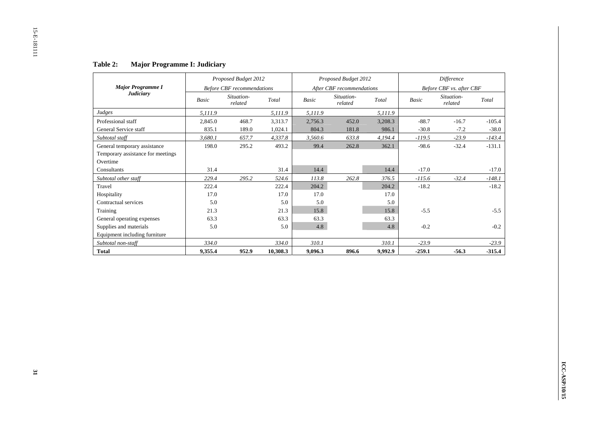|                                   |              | Proposed Budget 2012              |          |              | Proposed Budget 2012      |         |              | Difference               |          |
|-----------------------------------|--------------|-----------------------------------|----------|--------------|---------------------------|---------|--------------|--------------------------|----------|
| <b>Major Programme I</b>          |              | <b>Before CBF</b> recommendations |          |              | After CBF recommendations |         |              | Before CBF vs. after CBF |          |
| <b>Judiciary</b>                  | <b>Basic</b> | Situation-<br>related             | Total    | <b>Basic</b> | Situation-<br>related     | Total   | <b>Basic</b> | Situation-<br>related    | Total    |
| Judges                            | 5,111.9      |                                   | 5,111.9  | 5,111.9      |                           | 5,111.9 |              |                          |          |
| Professional staff                | 2,845.0      | 468.7                             | 3,313.7  | 2,756.3      | 452.0                     | 3,208.3 | $-88.7$      | $-16.7$                  | $-105.4$ |
| General Service staff             | 835.1        | 189.0                             | 1,024.1  | 804.3        | 181.8                     | 986.1   | $-30.8$      | $-7.2$                   | $-38.0$  |
| Subtotal staff                    | 3.680.1      | 657.7                             | 4,337.8  | 3,560.6      | 633.8                     | 4,194.4 | $-119.5$     | $-23.9$                  | $-143.4$ |
| General temporary assistance      | 198.0        | 295.2                             | 493.2    | 99.4         | 262.8                     | 362.1   | $-98.6$      | $-32.4$                  | $-131.1$ |
| Temporary assistance for meetings |              |                                   |          |              |                           |         |              |                          |          |
| Overtime                          |              |                                   |          |              |                           |         |              |                          |          |
| Consultants                       | 31.4         |                                   | 31.4     | 14.4         |                           | 14.4    | $-17.0$      |                          | $-17.0$  |
| Subtotal other staff              | 229.4        | 295.2                             | 524.6    | 113.8        | 262.8                     | 376.5   | $-115.6$     | $-32.4$                  | $-148.1$ |
| Travel                            | 222.4        |                                   | 222.4    | 204.2        |                           | 204.2   | $-18.2$      |                          | $-18.2$  |
| Hospitality                       | 17.0         |                                   | 17.0     | 17.0         |                           | 17.0    |              |                          |          |
| Contractual services              | 5.0          |                                   | 5.0      | 5.0          |                           | 5.0     |              |                          |          |
| Training                          | 21.3         |                                   | 21.3     | 15.8         |                           | 15.8    | $-5.5$       |                          | $-5.5$   |
| General operating expenses        | 63.3         |                                   | 63.3     | 63.3         |                           | 63.3    |              |                          |          |
| Supplies and materials            | 5.0          |                                   | 5.0      | 4.8          |                           | 4.8     | $-0.2$       |                          | $-0.2$   |
| Equipment including furniture     |              |                                   |          |              |                           |         |              |                          |          |
| Subtotal non-staff                | 334.0        |                                   | 334.0    | 310.1        |                           | 310.1   | $-23.9$      |                          | $-23.9$  |
| <b>Total</b>                      | 9,355.4      | 952.9                             | 10,308.3 | 9,096.3      | 896.6                     | 9,992.9 | $-259.1$     | $-56.3$                  | $-315.4$ |

#### **Table 2:Major Programme I: Judiciary**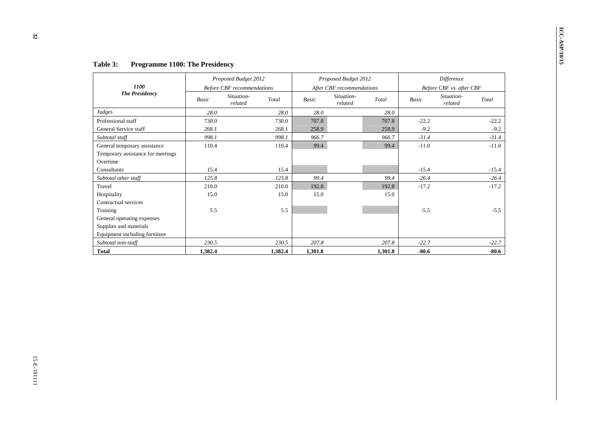7. Table 3: Programmate 1100; The Productions:<br>
The Production of the Communications:<br>
The Production of the Communications:<br>
The Production of the Communications:<br>
The Communications:<br>
The Communications:<br>
The Communicat

| <b>Table 3:</b> | <b>Programme 1100: The Presidency</b> |  |  |  |
|-----------------|---------------------------------------|--|--|--|
|-----------------|---------------------------------------|--|--|--|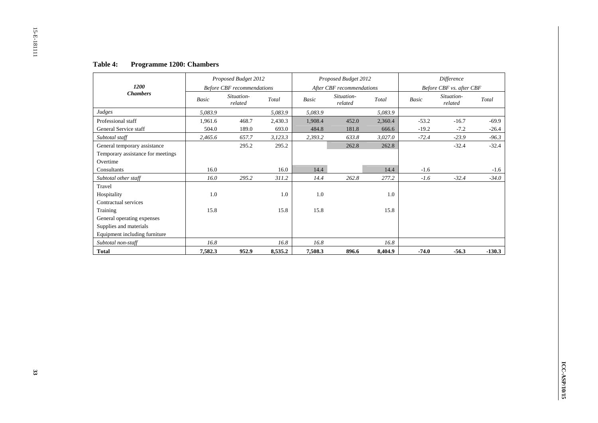#### **Table 4:Programme 1200: Chambers**

|                                   |         | Proposed Budget 2012              |         |         | Proposed Budget 2012      |         |              | Difference               |          |
|-----------------------------------|---------|-----------------------------------|---------|---------|---------------------------|---------|--------------|--------------------------|----------|
| 1200                              |         | <b>Before CBF</b> recommendations |         |         | After CBF recommendations |         |              | Before CBF vs. after CBF |          |
| <b>Chambers</b>                   | Basic   | Situation-<br>related             | Total   | Basic   | Situation-<br>related     | Total   | <b>Basic</b> | Situation-<br>related    | Total    |
| Judges                            | 5,083.9 |                                   | 5,083.9 | 5,083.9 |                           | 5,083.9 |              |                          |          |
| Professional staff                | 1,961.6 | 468.7                             | 2,430.3 | 1,908.4 | 452.0                     | 2,360.4 | $-53.2$      | $-16.7$                  | $-69.9$  |
| General Service staff             | 504.0   | 189.0                             | 693.0   | 484.8   | 181.8                     | 666.6   | $-19.2$      | $-7.2$                   | $-26.4$  |
| Subtotal staff                    | 2,465.6 | 657.7                             | 3,123.3 | 2,393.2 | 633.8                     | 3,027.0 | $-72.4$      | $-23.9$                  | $-96.3$  |
| General temporary assistance      |         | 295.2                             | 295.2   |         | 262.8                     | 262.8   |              | $-32.4$                  | $-32.4$  |
| Temporary assistance for meetings |         |                                   |         |         |                           |         |              |                          |          |
| Overtime                          |         |                                   |         |         |                           |         |              |                          |          |
| Consultants                       | 16.0    |                                   | 16.0    | 14.4    |                           | 14.4    | $-1.6$       |                          | $-1.6$   |
| Subtotal other staff              | 16.0    | 295.2                             | 311.2   | 14.4    | 262.8                     | 277.2   | $-1.6$       | $-32.4$                  | $-34.0$  |
| Travel                            |         |                                   |         |         |                           |         |              |                          |          |
| Hospitality                       | 1.0     |                                   | 1.0     | 1.0     |                           | 1.0     |              |                          |          |
| Contractual services              |         |                                   |         |         |                           |         |              |                          |          |
| Training                          | 15.8    |                                   | 15.8    | 15.8    |                           | 15.8    |              |                          |          |
| General operating expenses        |         |                                   |         |         |                           |         |              |                          |          |
| Supplies and materials            |         |                                   |         |         |                           |         |              |                          |          |
| Equipment including furniture     |         |                                   |         |         |                           |         |              |                          |          |
| Subtotal non-staff                | 16.8    |                                   | 16.8    | 16.8    |                           | 16.8    |              |                          |          |
| <b>Total</b>                      | 7,582.3 | 952.9                             | 8,535.2 | 7,508.3 | 896.6                     | 8,404.9 | $-74.0$      | $-56.3$                  | $-130.3$ |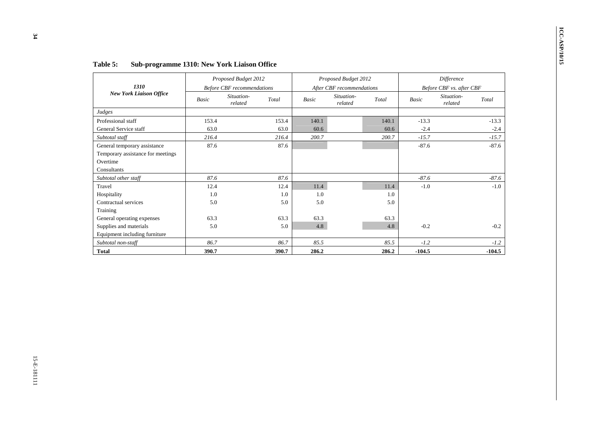| 1310<br><b>New York Liaison Office</b> |         | Proposed Budget 2012                                       |         |         | Proposed Budget 2012                               |         |          | Difference                                        |          |  |
|----------------------------------------|---------|------------------------------------------------------------|---------|---------|----------------------------------------------------|---------|----------|---------------------------------------------------|----------|--|
|                                        | Basic   | <b>Before CBF</b> recommendations<br>Situation-<br>related | Total   | Basic   | After CBF recommendations<br>Situation-<br>related | Total   | Basic    | Before CBF vs. after CBF<br>Situation-<br>related | Total    |  |
| Judges                                 |         |                                                            |         |         |                                                    |         |          |                                                   |          |  |
| Professional staff                     | 153.4   |                                                            | 153.4   | 140.1   |                                                    | 140.1   | $-13.3$  |                                                   | $-13.3$  |  |
| General Service staff                  | 63.0    |                                                            | 63.0    | 60.6    |                                                    | 60.6    | $-2.4$   |                                                   | $-2.4$   |  |
| Subtotal staff                         | 216.4   |                                                            | 216.4   | 200.7   |                                                    | 200.7   | $-15.7$  |                                                   | $-15.7$  |  |
| General temporary assistance           | 87.6    |                                                            | 87.6    |         |                                                    |         | $-87.6$  |                                                   | $-87.6$  |  |
| Temporary assistance for meetings      |         |                                                            |         |         |                                                    |         |          |                                                   |          |  |
| Overtime                               |         |                                                            |         |         |                                                    |         |          |                                                   |          |  |
| Consultants                            |         |                                                            |         |         |                                                    |         |          |                                                   |          |  |
| Subtotal other staff                   | 87.6    |                                                            | 87.6    |         |                                                    |         | $-87.6$  |                                                   | $-87.6$  |  |
| Travel                                 | 12.4    |                                                            | 12.4    | 11.4    |                                                    | 11.4    | $-1.0\,$ |                                                   | $-1.0$   |  |
| Hospitality                            | $1.0\,$ |                                                            | $1.0\,$ | $1.0\,$ |                                                    | $1.0\,$ |          |                                                   |          |  |
| Contractual services                   | $5.0\,$ |                                                            | $5.0\,$ | 5.0     |                                                    | 5.0     |          |                                                   |          |  |
| Training                               |         |                                                            |         |         |                                                    |         |          |                                                   |          |  |
| General operating expenses             | 63.3    |                                                            | 63.3    | 63.3    |                                                    | 63.3    |          |                                                   |          |  |
| Supplies and materials                 | 5.0     |                                                            | 5.0     | 4.8     |                                                    | 4.8     | $-0.2$   |                                                   | $-0.2$   |  |
| Equipment including furniture          |         |                                                            |         |         |                                                    |         |          |                                                   |          |  |
| Subtotal non-staff                     | 86.7    |                                                            | 86.7    | 85.5    |                                                    | 85.5    | $-1.2$   |                                                   | $-1.2$   |  |
| <b>Total</b>                           | 390.7   |                                                            | 390.7   | 286.2   |                                                    | 286.2   | $-104.5$ |                                                   | $-104.5$ |  |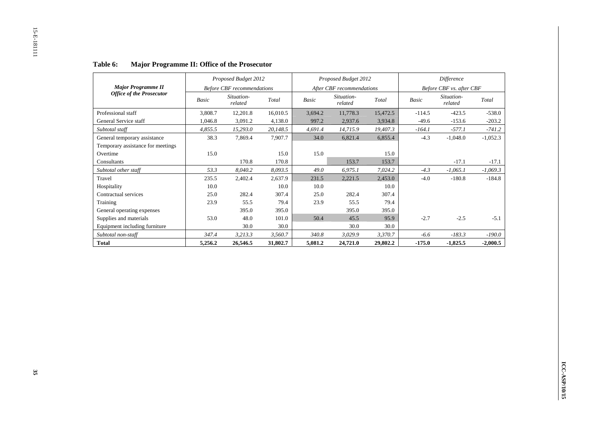|                                   | Proposed Budget 2012 |                                   |          | Proposed Budget 2012 |                           | Difference |          |                          |            |
|-----------------------------------|----------------------|-----------------------------------|----------|----------------------|---------------------------|------------|----------|--------------------------|------------|
| <b>Major Programme II</b>         |                      | <b>Before CBF</b> recommendations |          |                      | After CBF recommendations |            |          | Before CBF vs. after CBF |            |
| <b>Office of the Prosecutor</b>   | Basic                | Situation-<br>related             | Total    | Basic                | Situation-<br>related     | Total      | Basic    | Situation-<br>related    | Total      |
| Professional staff                | 3,808.7              | 12,201.8                          | 16,010.5 | 3,694.2              | 11,778.3                  | 15,472.5   | $-114.5$ | $-423.5$                 | $-538.0$   |
| General Service staff             | 1,046.8              | 3,091.2                           | 4,138.0  | 997.2                | 2,937.6                   | 3,934.8    | $-49.6$  | $-153.6$                 | $-203.2$   |
| Subtotal staff                    | 4,855.5              | 15,293.0                          | 20,148.5 | 4,691.4              | 14,715.9                  | 19,407.3   | $-164.1$ | $-577.1$                 | $-741.2$   |
| General temporary assistance      | 38.3                 | 7,869.4                           | 7,907.7  | 34.0                 | 6,821.4                   | 6,855.4    | $-4.3$   | $-1,048.0$               | $-1,052.3$ |
| Temporary assistance for meetings |                      |                                   |          |                      |                           |            |          |                          |            |
| Overtime                          | 15.0                 |                                   | 15.0     | 15.0                 |                           | 15.0       |          |                          |            |
| Consultants                       |                      | 170.8                             | 170.8    |                      | 153.7                     | 153.7      |          | $-17.1$                  | $-17.1$    |
| Subtotal other staff              | 53.3                 | 8,040.2                           | 8,093.5  | 49.0                 | 6,975.1                   | 7,024.2    | $-4.3$   | $-1,065.1$               | $-1,069.3$ |
| Travel                            | 235.5                | 2,402.4                           | 2,637.9  | 231.5                | 2,221.5                   | 2,453.0    | $-4.0$   | $-180.8$                 | $-184.8$   |
| Hospitality                       | 10.0                 |                                   | 10.0     | 10.0                 |                           | 10.0       |          |                          |            |
| Contractual services              | 25.0                 | 282.4                             | 307.4    | 25.0                 | 282.4                     | 307.4      |          |                          |            |
| Training                          | 23.9                 | 55.5                              | 79.4     | 23.9                 | 55.5                      | 79.4       |          |                          |            |
| General operating expenses        |                      | 395.0                             | 395.0    |                      | 395.0                     | 395.0      |          |                          |            |
| Supplies and materials            | 53.0                 | 48.0                              | 101.0    | 50.4                 | 45.5                      | 95.9       | $-2.7$   | $-2.5$                   | $-5.1$     |
| Equipment including furniture     |                      | 30.0                              | 30.0     |                      | 30.0                      | 30.0       |          |                          |            |
| Subtotal non-staff                | 347.4                | 3,213.3                           | 3,560.7  | 340.8                | 3,029.9                   | 3,370.7    | $-6.6$   | $-183.3$                 | $-190.0$   |
| <b>Total</b>                      | 5,256.2              | 26,546.5                          | 31,802.7 | 5,081.2              | 24,721.0                  | 29,802.2   | $-175.0$ | $-1,825.5$               | $-2,000.5$ |

#### **Table 6:Major Programme II: Office of the Prosecutor**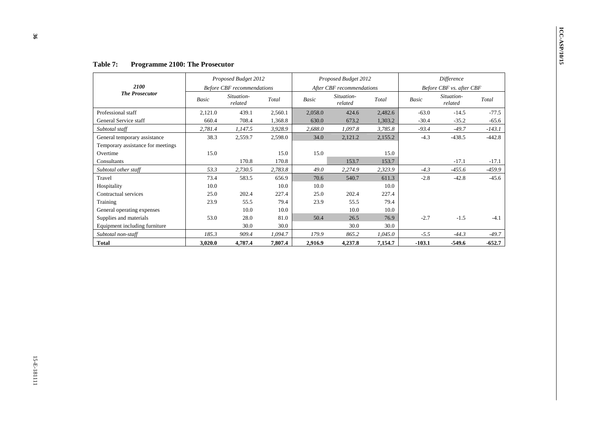Factors 2008 (Figure 2010): The Properties of the Constantine (Figure 2013)<br>
The Processes and March (Figure and Solar Constantine and Marc Constantine and Marc Constantine (Figure 2013)<br>
The Processes and Marc Constantin

|  | <b>Table 7:</b> | <b>Programme 2100: The Prosecutor</b> |  |
|--|-----------------|---------------------------------------|--|
|--|-----------------|---------------------------------------|--|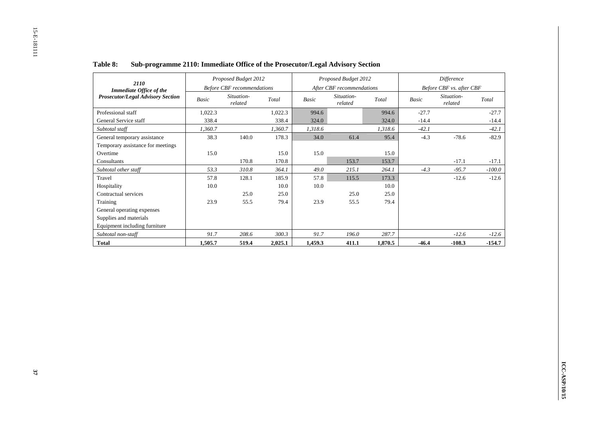| 2110                                     |         | Proposed Budget 2012              |         |         | Proposed Budget 2012      |         |         | Difference               |          |
|------------------------------------------|---------|-----------------------------------|---------|---------|---------------------------|---------|---------|--------------------------|----------|
| <b>Immediate Office of the</b>           |         | <b>Before CBF</b> recommendations |         |         | After CBF recommendations |         |         | Before CBF vs. after CBF |          |
| <b>Prosecutor/Legal Advisory Section</b> | Basic   | Situation-<br>related             | Total   | Basic   | Situation-<br>related     | Total   | Basic   | Situation-<br>related    | Total    |
| Professional staff                       | 1,022.3 |                                   | 1,022.3 | 994.6   |                           | 994.6   | $-27.7$ |                          | $-27.7$  |
| General Service staff                    | 338.4   |                                   | 338.4   | 324.0   |                           | 324.0   | $-14.4$ |                          | $-14.4$  |
| Subtotal staff                           | 1,360.7 |                                   | 1,360.7 | 1,318.6 |                           | 1,318.6 | $-42.1$ |                          | $-42.1$  |
| General temporary assistance             | 38.3    | 140.0                             | 178.3   | 34.0    | 61.4                      | 95.4    | $-4.3$  | $-78.6$                  | $-82.9$  |
| Temporary assistance for meetings        |         |                                   |         |         |                           |         |         |                          |          |
| Overtime                                 | 15.0    |                                   | 15.0    | 15.0    |                           | 15.0    |         |                          |          |
| Consultants                              |         | 170.8                             | 170.8   |         | 153.7                     | 153.7   |         | $-17.1$                  | $-17.1$  |
| Subtotal other staff                     | 53.3    | 310.8                             | 364.1   | 49.0    | 215.1                     | 264.1   | $-4.3$  | $-95.7$                  | $-100.0$ |
| Travel                                   | 57.8    | 128.1                             | 185.9   | 57.8    | 115.5                     | 173.3   |         | $-12.6$                  | $-12.6$  |
| Hospitality                              | 10.0    |                                   | 10.0    | 10.0    |                           | 10.0    |         |                          |          |
| Contractual services                     |         | 25.0                              | 25.0    |         | 25.0                      | 25.0    |         |                          |          |
| Training                                 | 23.9    | 55.5                              | 79.4    | 23.9    | 55.5                      | 79.4    |         |                          |          |
| General operating expenses               |         |                                   |         |         |                           |         |         |                          |          |
| Supplies and materials                   |         |                                   |         |         |                           |         |         |                          |          |
| Equipment including furniture            |         |                                   |         |         |                           |         |         |                          |          |
| Subtotal non-staff                       | 91.7    | 208.6                             | 300.3   | 91.7    | 196.0                     | 287.7   |         | $-12.6$                  | $-12.6$  |
| <b>Total</b>                             | 1,505.7 | 519.4                             | 2,025.1 | 1,459.3 | 411.1                     | 1,870.5 | -46.4   | $-108.3$                 | $-154.7$ |

#### **Table 8:Sub-programme 2110: Immediate Office of the Prosecutor/Legal Advisory Section**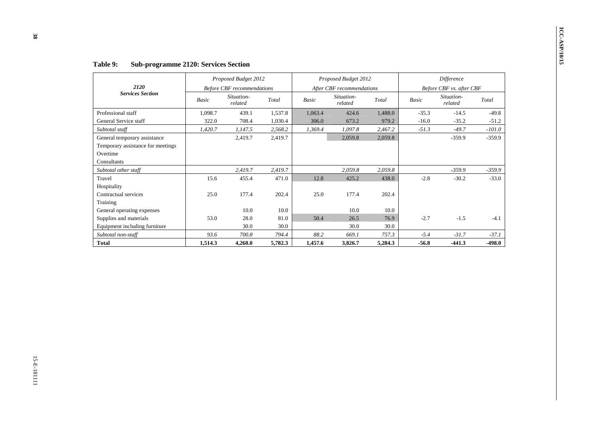|                                                                                              |         | Proposed Budget 2012              |          |              | Proposed Budget 2012      |          |              | Difference               |          |
|----------------------------------------------------------------------------------------------|---------|-----------------------------------|----------|--------------|---------------------------|----------|--------------|--------------------------|----------|
| 2120<br><b>Services Section</b>                                                              |         | <b>Before CBF</b> recommendations |          |              | After CBF recommendations |          |              | Before CBF vs. after CBF |          |
|                                                                                              | Basic   | Situation-<br>related             | Total    | <b>Basic</b> | Situation-<br>related     | Total    | <b>Basic</b> | Situation-<br>related    | Total    |
| Professional staff                                                                           | 1,098.7 | 439.1                             | 1,537.8  | 1,063.4      | 424.6                     | 1,488.0  | $-35.3$      | $-14.5$                  | $-49.8$  |
| General Service staff                                                                        | 322.0   | 708.4                             | 1,030.4  | 306.0        | 673.2                     | 979.2    | $-16.0$      | $-35.2$                  | $-51.2$  |
| Subtotal staff                                                                               | 1,420.7 | 1,147.5                           | 2,568.2  | 1,369.4      | 1,097.8                   | 2,467.2  | $-51.3$      | $-49.7$                  | $-101.0$ |
| General temporary assistance<br>Temporary assistance for meetings<br>Overtime<br>Consultants |         | 2,419.7                           | 2,419.7  |              | 2,059.8                   | 2,059.8  |              | $-359.9$                 | $-359.9$ |
| Subtotal other staff                                                                         |         | 2,419.7                           | 2,419.7  |              | 2,059.8                   | 2,059.8  |              | $-359.9$                 | $-359.9$ |
| Travel                                                                                       | 15.6    | 455.4                             | 471.0    | 12.8         | 425.2                     | 438.0    | $-2.8$       | $-30.2$                  | $-33.0$  |
| Hospitality                                                                                  |         |                                   |          |              |                           |          |              |                          |          |
| Contractual services                                                                         | 25.0    | 177.4                             | 202.4    | $25.0\,$     | 177.4                     | 202.4    |              |                          |          |
| Training                                                                                     |         |                                   |          |              |                           |          |              |                          |          |
| General operating expenses                                                                   |         | 10.0                              | 10.0     |              | 10.0                      | 10.0     |              |                          |          |
| Supplies and materials                                                                       | 53.0    | 28.0                              | $81.0\,$ | 50.4         | 26.5                      | 76.9     | $-2.7$       | $-1.5$                   | $-4.1$   |
| Equipment including furniture                                                                |         | 30.0                              | 30.0     |              | $30.0\,$                  | $30.0\,$ |              |                          |          |
| Subtotal non-staff                                                                           | 93.6    | $700.8\,$                         | 794.4    | 88.2         | 669.1                     | 757.3    | $-5.4$       | $-31.7$                  | $-37.1$  |
| <b>Total</b>                                                                                 |         |                                   |          |              | 3,826.7                   |          | $-56.8$      |                          | $-498.0$ |
|                                                                                              | 1,514.3 | 4,268.0                           | 5,782.3  | 1,457.6      |                           | 5,284.3  |              | $-441.3$                 |          |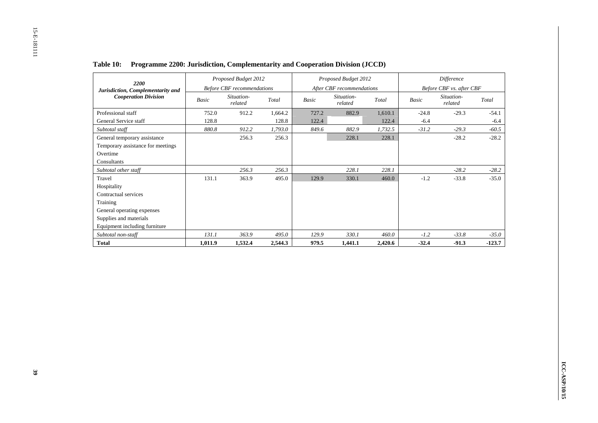| 2200                              |         | Proposed Budget 2012              |         |       | Proposed Budget 2012      |         |              | Difference               |          |
|-----------------------------------|---------|-----------------------------------|---------|-------|---------------------------|---------|--------------|--------------------------|----------|
| Jurisdiction, Complementarity and |         | <b>Before CBF</b> recommendations |         |       | After CBF recommendations |         |              | Before CBF vs. after CBF |          |
| <b>Cooperation Division</b>       | Basic   | Situation-<br>related             | Total   | Basic | Situation-<br>related     | Total   | <b>Basic</b> | Situation-<br>related    | Total    |
| Professional staff                | 752.0   | 912.2                             | 1.664.2 | 727.2 | 882.9                     | 1,610.1 | $-24.8$      | $-29.3$                  | $-54.1$  |
| General Service staff             | 128.8   |                                   | 128.8   | 122.4 |                           | 122.4   | $-6.4$       |                          | $-6.4$   |
| Subtotal staff                    | 880.8   | 912.2                             | 1,793.0 | 849.6 | 882.9                     | 1,732.5 | $-31.2$      | $-29.3$                  | $-60.5$  |
| General temporary assistance      |         | 256.3                             | 256.3   |       | 228.1                     | 228.1   |              | $-28.2$                  | $-28.2$  |
| Temporary assistance for meetings |         |                                   |         |       |                           |         |              |                          |          |
| Overtime                          |         |                                   |         |       |                           |         |              |                          |          |
| Consultants                       |         |                                   |         |       |                           |         |              |                          |          |
| Subtotal other staff              |         | 256.3                             | 256.3   |       | 228.1                     | 228.1   |              | $-28.2$                  | $-28.2$  |
| Travel                            | 131.1   | 363.9                             | 495.0   | 129.9 | 330.1                     | 460.0   | $-1.2$       | $-33.8$                  | $-35.0$  |
| Hospitality                       |         |                                   |         |       |                           |         |              |                          |          |
| Contractual services              |         |                                   |         |       |                           |         |              |                          |          |
| Training                          |         |                                   |         |       |                           |         |              |                          |          |
| General operating expenses        |         |                                   |         |       |                           |         |              |                          |          |
| Supplies and materials            |         |                                   |         |       |                           |         |              |                          |          |
| Equipment including furniture     |         |                                   |         |       |                           |         |              |                          |          |
| Subtotal non-staff                | 131.1   | 363.9                             | 495.0   | 129.9 | 330.1                     | 460.0   | $-1.2$       | $-33.8$                  | $-35.0$  |
| <b>Total</b>                      | 1,011.9 | 1,532.4                           | 2,544.3 | 979.5 | 1,441.1                   | 2,420.6 | $-32.4$      | $-91.3$                  | $-123.7$ |

# **Table 10: Programme 2200: Jurisdiction, Complementarity and Cooperation Division (JCCD)**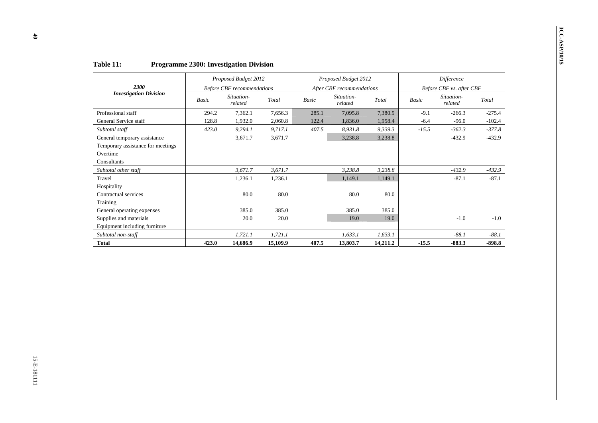| 2300<br><b>Investigation Division</b><br>Professional staff<br>General Service staff<br>Subtotal staff |
|--------------------------------------------------------------------------------------------------------|
|                                                                                                        |
|                                                                                                        |
|                                                                                                        |
|                                                                                                        |
|                                                                                                        |
| General temporary assistance<br>Temporary assistance for meetings<br>Overtime<br>Consultants           |
| Subtotal other staff                                                                                   |
| Travel                                                                                                 |
| Hospitality                                                                                            |
| Contractual services                                                                                   |
| Training                                                                                               |
| General operating expenses                                                                             |
| Supplies and materials                                                                                 |
|                                                                                                        |
| Subtotal non-staff                                                                                     |
| <b>Total</b>                                                                                           |
| Equipment including furniture                                                                          |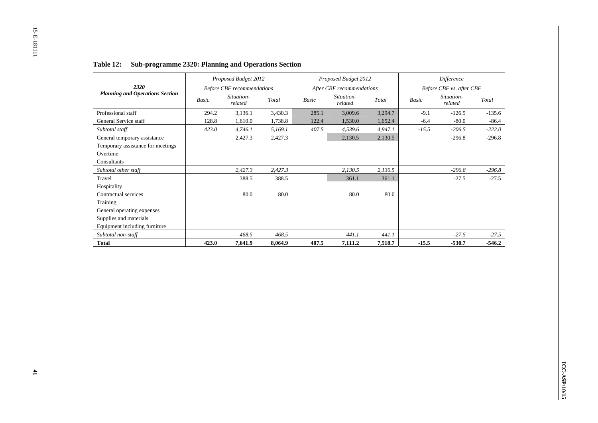|                                        |       | Proposed Budget 2012              |         |       | Proposed Budget 2012      |         |              | Difference               |          |
|----------------------------------------|-------|-----------------------------------|---------|-------|---------------------------|---------|--------------|--------------------------|----------|
| 2320                                   |       | <b>Before CBF</b> recommendations |         |       | After CBF recommendations |         |              | Before CBF vs. after CBF |          |
| <b>Planning and Operations Section</b> | Basic | Situation-<br>related             | Total   | Basic | Situation-<br>related     | Total   | <b>Basic</b> | Situation-<br>related    | Total    |
| Professional staff                     | 294.2 | 3,136.1                           | 3,430.3 | 285.1 | 3,009.6                   | 3,294.7 | $-9.1$       | $-126.5$                 | $-135.6$ |
| General Service staff                  | 128.8 | 1,610.0                           | 1,738.8 | 122.4 | 1,530.0                   | 1,652.4 | $-6.4$       | $-80.0$                  | $-86.4$  |
| Subtotal staff                         | 423.0 | 4,746.1                           | 5,169.1 | 407.5 | 4,539.6                   | 4,947.1 | $-15.5$      | $-206.5$                 | $-222.0$ |
| General temporary assistance           |       | 2,427.3                           | 2,427.3 |       | 2,130.5                   | 2,130.5 |              | $-296.8$                 | $-296.8$ |
| Temporary assistance for meetings      |       |                                   |         |       |                           |         |              |                          |          |
| Overtime                               |       |                                   |         |       |                           |         |              |                          |          |
| Consultants                            |       |                                   |         |       |                           |         |              |                          |          |
| Subtotal other staff                   |       | 2,427.3                           | 2,427.3 |       | 2,130.5                   | 2,130.5 |              | $-296.8$                 | $-296.8$ |
| Travel                                 |       | 388.5                             | 388.5   |       | 361.1                     | 361.1   |              | $-27.5$                  | $-27.5$  |
| Hospitality                            |       |                                   |         |       |                           |         |              |                          |          |
| Contractual services                   |       | 80.0                              | 80.0    |       | 80.0                      | 80.0    |              |                          |          |
| Training                               |       |                                   |         |       |                           |         |              |                          |          |
| General operating expenses             |       |                                   |         |       |                           |         |              |                          |          |
| Supplies and materials                 |       |                                   |         |       |                           |         |              |                          |          |
| Equipment including furniture          |       |                                   |         |       |                           |         |              |                          |          |
| Subtotal non-staff                     |       | 468.5                             | 468.5   |       | 441.1                     | 441.1   |              | $-27.5$                  | $-27.5$  |
| <b>Total</b>                           | 423.0 | 7,641.9                           | 8,064.9 | 407.5 | 7,111.2                   | 7,518.7 | $-15.5$      | $-530.7$                 | $-546.2$ |

# **Table 12: Sub-programme 2320: Planning and Operations Section**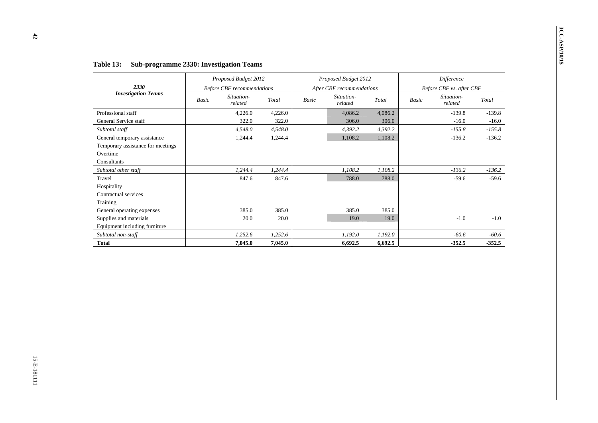|                                                                                              | Proposed Budget 2012              |         |         |       | Proposed Budget 2012      |         |       | Difference               |               |
|----------------------------------------------------------------------------------------------|-----------------------------------|---------|---------|-------|---------------------------|---------|-------|--------------------------|---------------|
| 2330                                                                                         | <b>Before CBF</b> recommendations |         |         |       | After CBF recommendations |         |       | Before CBF vs. after CBF |               |
| <b>Investigation Teams</b>                                                                   | Situation-<br>Basic<br>related    |         | Total   | Basic | Situation-<br>related     | Total   | Basic | Situation-<br>related    | Total         |
| Professional staff                                                                           |                                   | 4,226.0 | 4,226.0 |       | 4,086.2                   | 4,086.2 |       | $-139.8$                 | $-139.8$      |
| General Service staff                                                                        |                                   | 322.0   | 322.0   |       | 306.0                     | 306.0   |       | $-16.0$                  | $-16.0$       |
| Subtotal staff                                                                               |                                   | 4,548.0 | 4,548.0 |       | 4,392.2                   | 4,392.2 |       | $-155.8$                 | $-155.8$      |
| General temporary assistance<br>Temporary assistance for meetings<br>Overtime<br>Consultants |                                   | 1,244.4 | 1,244.4 |       | 1,108.2                   | 1,108.2 |       | $-136.2$                 | $-136.2$      |
| Subtotal other staff                                                                         |                                   | 1,244.4 | 1,244.4 |       | 1,108.2                   | 1,108.2 |       | $-136.2$                 | $-136.2$      |
| Travel                                                                                       |                                   | 847.6   | 847.6   |       | 788.0                     | 788.0   |       | $-59.6$                  | $-59.6$       |
| Hospitality                                                                                  |                                   |         |         |       |                           |         |       |                          |               |
| Contractual services                                                                         |                                   |         |         |       |                           |         |       |                          |               |
| Training                                                                                     |                                   |         |         |       |                           |         |       |                          |               |
| General operating expenses                                                                   |                                   | 385.0   | 385.0   |       | 385.0                     | 385.0   |       |                          |               |
| Supplies and materials                                                                       |                                   | 20.0    | 20.0    |       | 19.0                      | 19.0    |       | $-1.0\,$                 | $\mbox{-}1.0$ |
| Equipment including furniture                                                                |                                   |         |         |       |                           |         |       |                          |               |
| Subtotal non-staff                                                                           |                                   | 1,252.6 | 1,252.6 |       | 1,192.0                   | 1,192.0 |       | $-60.6$                  | $-60.6$       |
| <b>Total</b>                                                                                 |                                   | 7,045.0 | 7,045.0 |       | 6,692.5                   |         |       |                          | $-352.5$      |
|                                                                                              |                                   |         |         |       |                           | 6,692.5 |       | $-352.5$                 |               |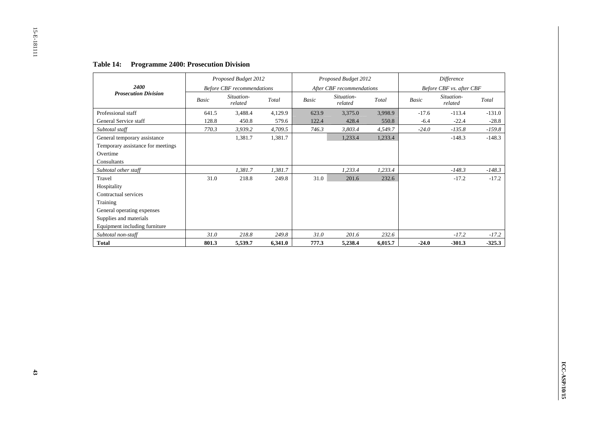|                                   |       | Proposed Budget 2012              |         |              | Proposed Budget 2012      |         |         | <b>Difference</b>        |          |
|-----------------------------------|-------|-----------------------------------|---------|--------------|---------------------------|---------|---------|--------------------------|----------|
| 2400                              |       | <b>Before CBF</b> recommendations |         |              | After CBF recommendations |         |         | Before CBF vs. after CBF |          |
| <b>Prosecution Division</b>       | Basic | Situation-<br>related             | Total   | <b>Basic</b> | Situation-<br>related     | Total   | Basic   | Situation-<br>related    | Total    |
| Professional staff                | 641.5 | 3,488.4                           | 4,129.9 | 623.9        | 3,375.0                   | 3,998.9 | $-17.6$ | $-113.4$                 | $-131.0$ |
| General Service staff             | 128.8 | 450.8                             | 579.6   | 122.4        | 428.4                     | 550.8   | $-6.4$  | $-22.4$                  | $-28.8$  |
| Subtotal staff                    | 770.3 | 3,939.2                           | 4,709.5 | 746.3        | 3,803.4                   | 4,549.7 | $-24.0$ | $-135.8$                 | $-159.8$ |
| General temporary assistance      |       | 1,381.7                           | 1,381.7 |              | 1,233.4                   | 1,233.4 |         | $-148.3$                 | $-148.3$ |
| Temporary assistance for meetings |       |                                   |         |              |                           |         |         |                          |          |
| Overtime                          |       |                                   |         |              |                           |         |         |                          |          |
| Consultants                       |       |                                   |         |              |                           |         |         |                          |          |
| Subtotal other staff              |       | 1,381.7                           | 1,381.7 |              | 1,233.4                   | 1,233.4 |         | $-148.3$                 | $-148.3$ |
| Travel                            | 31.0  | 218.8                             | 249.8   | 31.0         | 201.6                     | 232.6   |         | $-17.2$                  | $-17.2$  |
| Hospitality                       |       |                                   |         |              |                           |         |         |                          |          |
| Contractual services              |       |                                   |         |              |                           |         |         |                          |          |
| Training                          |       |                                   |         |              |                           |         |         |                          |          |
| General operating expenses        |       |                                   |         |              |                           |         |         |                          |          |
| Supplies and materials            |       |                                   |         |              |                           |         |         |                          |          |
| Equipment including furniture     |       |                                   |         |              |                           |         |         |                          |          |
| Subtotal non-staff                | 31.0  | 218.8                             | 249.8   | 31.0         | 201.6                     | 232.6   |         | $-17.2$                  | $-17.2$  |
| <b>Total</b>                      | 801.3 | 5,539.7                           | 6,341.0 | 777.3        | 5,238.4                   | 6,015.7 | $-24.0$ | $-301.3$                 | $-325.3$ |

# **Table 14: Programme 2400: Prosecution Division**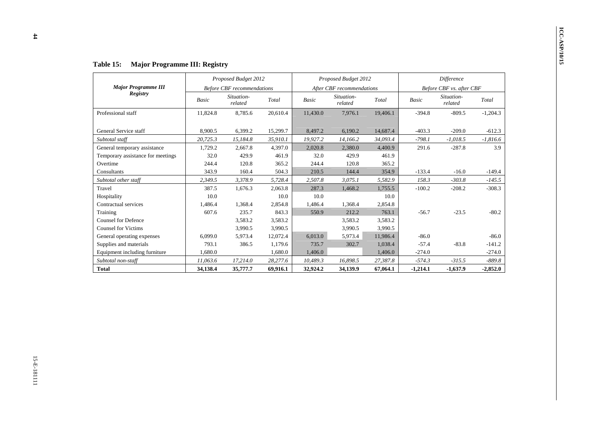| <b>Major Programme III</b>        |          | Proposed Budget 2012              |          |          | Proposed Budget 2012      |          |            | Difference               |            |
|-----------------------------------|----------|-----------------------------------|----------|----------|---------------------------|----------|------------|--------------------------|------------|
| Registry                          |          | <b>Before CBF</b> recommendations |          |          | After CBF recommendations |          |            | Before CBF vs. after CBF |            |
|                                   | Basic    | Situation-<br>related             | Total    | Basic    | Situation-<br>related     | Total    | Basic      | Situation-<br>related    | Total      |
| Professional staff                | 11,824.8 | 8,785.6                           | 20,610.4 | 11,430.0 | 7,976.1                   | 19,406.1 | $-394.8$   | $-809.5$                 | $-1,204.3$ |
| General Service staff             | 8,900.5  | 6,399.2                           | 15,299.7 | 8,497.2  | 6,190.2                   | 14,687.4 | $-403.3$   | $-209.0$                 | $-612.3$   |
| Subtotal staff                    | 20,725.3 | 15,184.8                          | 35,910.1 | 19,927.2 | 14,166.2                  | 34,093.4 | $-798.1$   | $-1,018.5$               | $-1,816.6$ |
| General temporary assistance      | 1,729.2  | 2,667.8                           | 4,397.0  | 2,020.8  | 2,380.0                   | 4,400.9  | 291.6      | $-287.8$                 |            |
| Temporary assistance for meetings | 32.0     | 429.9                             | 461.9    | 32.0     | 429.9                     | 461.9    |            |                          |            |
| Overtime                          | 244.4    | 120.8                             | 365.2    | 244.4    | 120.8                     | 365.2    |            |                          |            |
| Consultants                       | 343.9    | 160.4                             | 504.3    | 210.5    | 144.4                     | 354.9    | $-133.4$   | $-16.0$                  |            |
| Subtotal other staff              | 2,349.5  | 3,378.9                           | 5,728.4  | 2,507.8  | 3,075.1                   | 5,582.9  | 158.3      | $-303.8$                 |            |
| Travel                            | 387.5    | 1,676.3                           | 2,063.8  | 287.3    | 1,468.2                   | 1,755.5  | $-100.2$   | $-208.2$                 |            |
| Hospitality                       | 10.0     |                                   | $10.0\,$ | 10.0     |                           | 10.0     |            |                          |            |
| Contractual services              | 1,486.4  | 1,368.4                           | 2,854.8  | 1,486.4  | 1,368.4                   | 2,854.8  |            |                          |            |
| Training                          | 607.6    | 235.7                             | 843.3    | 550.9    | 212.2                     | 763.1    | $-56.7$    | $-23.5$                  |            |
| <b>Counsel for Defence</b>        |          | 3,583.2                           | 3,583.2  |          | 3,583.2                   | 3,583.2  |            |                          |            |
| <b>Counsel for Victims</b>        |          | 3,990.5                           | 3,990.5  |          | 3,990.5                   | 3,990.5  |            |                          |            |
| General operating expenses        | 6,099.0  | 5,973.4                           | 12,072.4 | 6,013.0  | 5,973.4                   | 11,986.4 | $-86.0$    |                          |            |
| Supplies and materials            | 793.1    | 386.5                             | 1,179.6  | 735.7    | 302.7                     | 1,038.4  | $-57.4$    | $-83.8$                  |            |
| Equipment including furniture     | 1,680.0  |                                   | 1,680.0  | 1,406.0  |                           | 1,406.0  | $-274.0$   |                          |            |
| Subtotal non-staff                | 11,063.6 | 17,214.0                          | 28,277.6 | 10,489.3 | 16,898.5                  | 27,387.8 | $-574.3$   | $-315.5$                 |            |
| <b>Total</b>                      | 34,138.4 | 35,777.7                          | 69,916.1 | 32,924.2 | 34,139.9                  | 67,064.1 | $-1,214.1$ | $-1,637.9$               | $-2,852.0$ |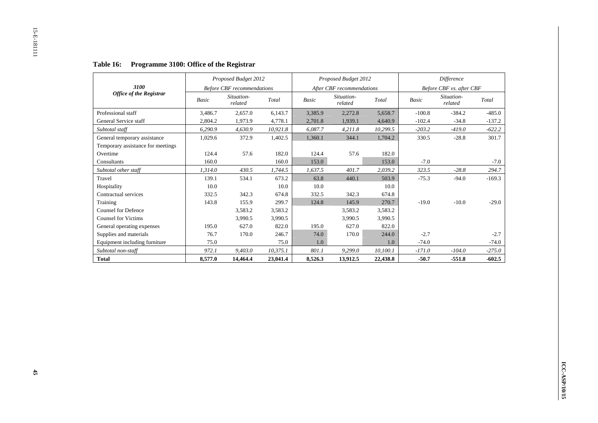|                                   |              | Proposed Budget 2012              |          |         | Proposed Budget 2012      |          |              | Difference               |          |
|-----------------------------------|--------------|-----------------------------------|----------|---------|---------------------------|----------|--------------|--------------------------|----------|
| 3100                              |              | <b>Before CBF</b> recommendations |          |         | After CBF recommendations |          |              | Before CBF vs. after CBF |          |
| <b>Office of the Registrar</b>    | <b>Basic</b> | Situation-<br>related             | Total    | Basic   | Situation-<br>related     | Total    | <b>Basic</b> | Situation-<br>related    | Total    |
| Professional staff                | 3,486.7      | 2,657.0                           | 6,143.7  | 3,385.9 | 2,272.8                   | 5,658.7  | $-100.8$     | $-384.2$                 | $-485.0$ |
| General Service staff             | 2.804.2      | 1,973.9                           | 4,778.1  | 2,701.8 | 1,939.1                   | 4,640.9  | $-102.4$     | $-34.8$                  | $-137.2$ |
| Subtotal staff                    | 6,290.9      | 4,630.9                           | 10,921.8 | 6,087.7 | 4,211.8                   | 10,299.5 | $-203.2$     | $-419.0$                 | $-622.2$ |
| General temporary assistance      | 1,029.6      | 372.9                             | 1,402.5  | 1,360.1 | 344.1                     | 1,704.2  | 330.5        | $-28.8$                  | 301.7    |
| Temporary assistance for meetings |              |                                   |          |         |                           |          |              |                          |          |
| Overtime                          | 124.4        | 57.6                              | 182.0    | 124.4   | 57.6                      | 182.0    |              |                          |          |
| Consultants                       | 160.0        |                                   | 160.0    | 153.0   |                           | 153.0    | $-7.0$       |                          | $-7.0$   |
| Subtotal other staff              | 1.314.0      | 430.5                             | 1,744.5  | 1,637.5 | 401.7                     | 2,039.2  | 323.5        | $-28.8$                  | 294.7    |
| Travel                            | 139.1        | 534.1                             | 673.2    | 63.8    | 440.1                     | 503.9    | $-75.3$      | $-94.0$                  | $-169.3$ |
| Hospitality                       | 10.0         |                                   | 10.0     | 10.0    |                           | 10.0     |              |                          |          |
| Contractual services              | 332.5        | 342.3                             | 674.8    | 332.5   | 342.3                     | 674.8    |              |                          |          |
| Training                          | 143.8        | 155.9                             | 299.7    | 124.8   | 145.9                     | 270.7    | $-19.0$      | $-10.0$                  | $-29.0$  |
| <b>Counsel for Defence</b>        |              | 3,583.2                           | 3,583.2  |         | 3,583.2                   | 3,583.2  |              |                          |          |
| <b>Counsel for Victims</b>        |              | 3,990.5                           | 3.990.5  |         | 3,990.5                   | 3,990.5  |              |                          |          |
| General operating expenses        | 195.0        | 627.0                             | 822.0    | 195.0   | 627.0                     | 822.0    |              |                          |          |
| Supplies and materials            | 76.7         | 170.0                             | 246.7    | 74.0    | 170.0                     | 244.0    | $-2.7$       |                          | $-2.7$   |
| Equipment including furniture     | 75.0         |                                   | 75.0     | 1.0     |                           | 1.0      | $-74.0$      |                          | $-74.0$  |
| Subtotal non-staff                | 972.1        | 9,403.0                           | 10,375.1 | 801.1   | 9,299.0                   | 10,100.1 | $-171.0$     | $-104.0$                 | $-275.0$ |
| <b>Total</b>                      | 8,577.0      | 14.464.4                          | 23,041.4 | 8,526.3 | 13.912.5                  | 22,438.8 | $-50.7$      | $-551.8$                 | $-602.5$ |

# **Table 16: Programme 3100: Office of the Registrar**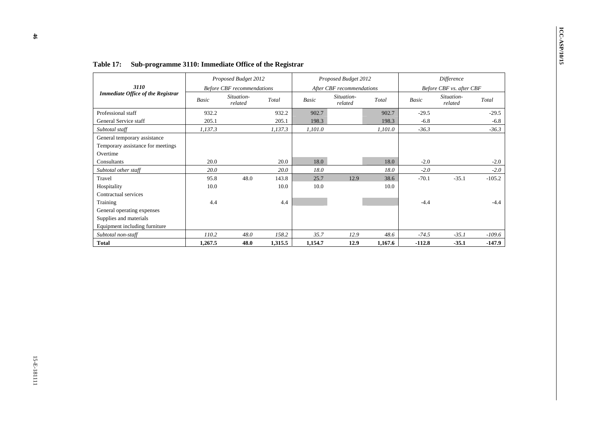| <b>Before CBF</b> recommendations<br>Situation-<br>Total<br>related<br>932.2 | Basic                                                                                    | After CBF recommendations<br>Situation-                 |                      |                                                 |                                                              |                               |
|------------------------------------------------------------------------------|------------------------------------------------------------------------------------------|---------------------------------------------------------|----------------------|-------------------------------------------------|--------------------------------------------------------------|-------------------------------|
|                                                                              |                                                                                          | related                                                 | Total                | Basic                                           | Before CBF vs. after CBF<br>Situation-<br>related            | Total                         |
|                                                                              | 902.7                                                                                    |                                                         | 902.7                | $-29.5$                                         |                                                              | $-29.5$                       |
| 205.1                                                                        | 198.3                                                                                    |                                                         | 198.3                | $-6.8$                                          |                                                              | $-6.8$                        |
| 1,137.3                                                                      | $I, I01.0\,$                                                                             |                                                         | 1,101.0              | $-36.3$                                         |                                                              | $-36.3$                       |
|                                                                              |                                                                                          |                                                         |                      |                                                 |                                                              |                               |
|                                                                              |                                                                                          |                                                         |                      |                                                 |                                                              | $-2.0$                        |
|                                                                              |                                                                                          |                                                         |                      |                                                 |                                                              | $-2.0$                        |
|                                                                              |                                                                                          |                                                         |                      |                                                 |                                                              | $-105.2$                      |
|                                                                              |                                                                                          |                                                         | 10.0                 |                                                 |                                                              |                               |
|                                                                              |                                                                                          |                                                         |                      |                                                 |                                                              |                               |
|                                                                              |                                                                                          |                                                         |                      |                                                 |                                                              | $-4.4$                        |
|                                                                              |                                                                                          |                                                         |                      |                                                 |                                                              |                               |
|                                                                              |                                                                                          |                                                         |                      |                                                 |                                                              |                               |
|                                                                              |                                                                                          |                                                         |                      |                                                 |                                                              |                               |
|                                                                              |                                                                                          |                                                         |                      |                                                 |                                                              | $-109.6$                      |
|                                                                              |                                                                                          |                                                         |                      |                                                 |                                                              | $-147.9$                      |
|                                                                              | 20.0<br>$20.0\,$<br>48.0<br>143.8<br>10.0<br>4.4<br>$48.0\,$<br>158.2<br>48.0<br>1,315.5 | 18.0<br>$18.0\,$<br>25.7<br>$10.0\,$<br>35.7<br>1,154.7 | 12.9<br>12.9<br>12.9 | 18.0<br>$18.0\,$<br>38.6<br>$48.6\,$<br>1,167.6 | $-2.0$<br>$-2.0$<br>$-70.1$<br>$-4.4$<br>$-74.5$<br>$-112.8$ | $-35.1$<br>$-35.1$<br>$-35.1$ |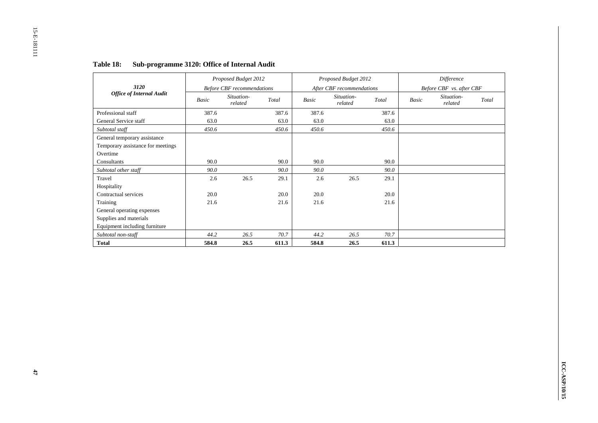|                                   |       | Proposed Budget 2012              |       |              | Proposed Budget 2012      |       |       | Difference               |       |
|-----------------------------------|-------|-----------------------------------|-------|--------------|---------------------------|-------|-------|--------------------------|-------|
| 3120                              |       | <b>Before CBF</b> recommendations |       |              | After CBF recommendations |       |       | Before CBF vs. after CBF |       |
| <b>Office of Internal Audit</b>   | Basic | Situation-<br>related             | Total | <b>Basic</b> | Situation-<br>related     | Total | Basic | Situation-<br>related    | Total |
| Professional staff                | 387.6 |                                   | 387.6 | 387.6        |                           | 387.6 |       |                          |       |
| General Service staff             | 63.0  |                                   | 63.0  | 63.0         |                           | 63.0  |       |                          |       |
| Subtotal staff                    | 450.6 |                                   | 450.6 | 450.6        |                           | 450.6 |       |                          |       |
| General temporary assistance      |       |                                   |       |              |                           |       |       |                          |       |
| Temporary assistance for meetings |       |                                   |       |              |                           |       |       |                          |       |
| Overtime                          |       |                                   |       |              |                           |       |       |                          |       |
| Consultants                       | 90.0  |                                   | 90.0  | 90.0         |                           | 90.0  |       |                          |       |
| Subtotal other staff              | 90.0  |                                   | 90.0  | 90.0         |                           | 90.0  |       |                          |       |
| Travel                            | 2.6   | 26.5                              | 29.1  | 2.6          | 26.5                      | 29.1  |       |                          |       |
| Hospitality                       |       |                                   |       |              |                           |       |       |                          |       |
| Contractual services              | 20.0  |                                   | 20.0  | 20.0         |                           | 20.0  |       |                          |       |
| Training                          | 21.6  |                                   | 21.6  | 21.6         |                           | 21.6  |       |                          |       |
| General operating expenses        |       |                                   |       |              |                           |       |       |                          |       |
| Supplies and materials            |       |                                   |       |              |                           |       |       |                          |       |
| Equipment including furniture     |       |                                   |       |              |                           |       |       |                          |       |
| Subtotal non-staff                | 44.2  | 26.5                              | 70.7  | 44.2         | 26.5                      | 70.7  |       |                          |       |
| <b>Total</b>                      | 584.8 | 26.5                              | 611.3 | 584.8        | 26.5                      | 611.3 |       |                          |       |

# **Table 18: Sub-programme 3120: Office of Internal Audit**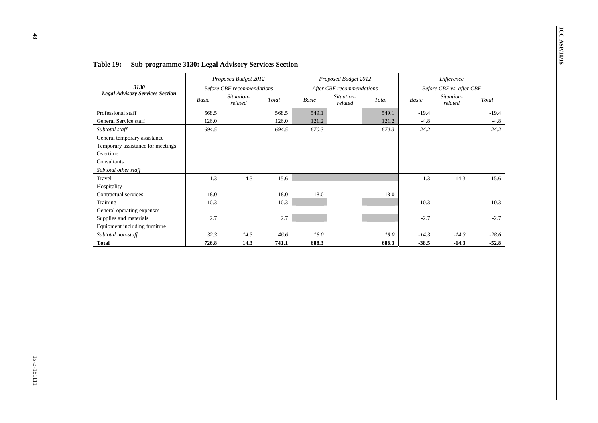| Basic | <b>Before CBF</b> recommendations                      |              |                                                            | Proposed Budget 2012                        |       |                                             | Difference                                                   |                    |
|-------|--------------------------------------------------------|--------------|------------------------------------------------------------|---------------------------------------------|-------|---------------------------------------------|--------------------------------------------------------------|--------------------|
|       |                                                        |              |                                                            | After CBF recommendations                   |       |                                             | Before CBF vs. after CBF                                     |                    |
|       | Situation-<br>related                                  | Total        | Basic                                                      | Situation-<br>related                       | Total | <b>Basic</b>                                | Situation-<br>related                                        | Total              |
| 568.5 |                                                        | 568.5        | 549.1                                                      |                                             | 549.1 | $-19.4$                                     |                                                              | $-19.4$            |
|       |                                                        |              |                                                            |                                             |       |                                             |                                                              | $-4.8$             |
|       |                                                        |              |                                                            |                                             |       |                                             |                                                              | $-24.2$            |
|       |                                                        |              |                                                            |                                             |       |                                             |                                                              |                    |
|       |                                                        |              |                                                            |                                             |       |                                             |                                                              |                    |
| 1.3   | 14.3                                                   | 15.6         |                                                            |                                             |       | $-1.3$                                      | $-14.3$                                                      | $-15.6$            |
|       |                                                        |              |                                                            |                                             |       |                                             |                                                              |                    |
|       |                                                        |              |                                                            |                                             |       |                                             |                                                              |                    |
|       |                                                        |              |                                                            |                                             |       |                                             |                                                              | $-10.3$            |
|       |                                                        |              |                                                            |                                             |       |                                             |                                                              |                    |
|       |                                                        |              |                                                            |                                             |       |                                             |                                                              | $-2.7$             |
|       |                                                        |              |                                                            |                                             |       |                                             |                                                              |                    |
|       |                                                        |              |                                                            |                                             |       |                                             |                                                              | $-28.6$            |
|       |                                                        |              |                                                            |                                             |       |                                             |                                                              | $-52.8$            |
|       | 126.0<br>694.5<br>18.0<br>10.3<br>2.7<br>32.3<br>726.8 | 14.3<br>14.3 | 126.0<br>694.5<br>$18.0\,$<br>10.3<br>2.7<br>46.6<br>741.1 | 121.2<br>670.3<br>18.0<br>$18.0\,$<br>688.3 |       | 121.2<br>670.3<br>18.0<br>$18.0\,$<br>688.3 | $-4.8$<br>$-24.2$<br>$-10.3$<br>$-2.7$<br>$-14.3$<br>$-38.5$ | $-14.3$<br>$-14.3$ |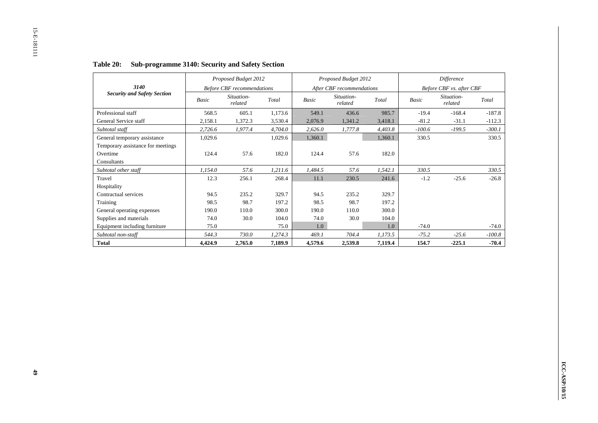|                                    |         | Proposed Budget 2012              |         |         | Proposed Budget 2012      |         |          | Difference               |          |
|------------------------------------|---------|-----------------------------------|---------|---------|---------------------------|---------|----------|--------------------------|----------|
| 3140                               |         | <b>Before CBF</b> recommendations |         |         | After CBF recommendations |         |          | Before CBF vs. after CBF |          |
| <b>Security and Safety Section</b> | Basic   | Situation-<br>related             | Total   | Basic   | Situation-<br>related     | Total   | Basic    | Situation-<br>related    | Total    |
| Professional staff                 | 568.5   | 605.1                             | 1,173.6 | 549.1   | 436.6                     | 985.7   | $-19.4$  | $-168.4$                 | $-187.8$ |
| General Service staff              | 2,158.1 | 1,372.3                           | 3,530.4 | 2,076.9 | 1,341.2                   | 3,418.1 | $-81.2$  | $-31.1$                  | $-112.3$ |
| Subtotal staff                     | 2,726.6 | 1,977.4                           | 4,704.0 | 2,626.0 | 1,777.8                   | 4,403.8 | $-100.6$ | $-199.5$                 | $-300.1$ |
| General temporary assistance       | 1,029.6 |                                   | 1,029.6 | 1,360.1 |                           | 1,360.1 | 330.5    |                          | 330.5    |
| Temporary assistance for meetings  |         |                                   |         |         |                           |         |          |                          |          |
| Overtime                           | 124.4   | 57.6                              | 182.0   | 124.4   | 57.6                      | 182.0   |          |                          |          |
| Consultants                        |         |                                   |         |         |                           |         |          |                          |          |
| Subtotal other staff               | 1,154.0 | 57.6                              | 1,211.6 | 1,484.5 | 57.6                      | 1,542.1 | 330.5    |                          | 330.5    |
| Travel                             | 12.3    | 256.1                             | 268.4   | 11.1    | 230.5                     | 241.6   | $-1.2$   | $-25.6$                  | $-26.8$  |
| Hospitality                        |         |                                   |         |         |                           |         |          |                          |          |
| Contractual services               | 94.5    | 235.2                             | 329.7   | 94.5    | 235.2                     | 329.7   |          |                          |          |
| Training                           | 98.5    | 98.7                              | 197.2   | 98.5    | 98.7                      | 197.2   |          |                          |          |
| General operating expenses         | 190.0   | 110.0                             | 300.0   | 190.0   | 110.0                     | 300.0   |          |                          |          |
| Supplies and materials             | 74.0    | 30.0                              | 104.0   | 74.0    | 30.0                      | 104.0   |          |                          |          |
| Equipment including furniture      | 75.0    |                                   | 75.0    | 1.0     |                           | 1.0     | $-74.0$  |                          | $-74.0$  |
| Subtotal non-staff                 | 544.3   | 730.0                             | 1,274.3 | 469.1   | 704.4                     | 1,173.5 | $-75.2$  | $-25.6$                  | $-100.8$ |
| <b>Total</b>                       | 4,424.9 | 2,765.0                           | 7.189.9 | 4,579.6 | 2,539.8                   | 7,119.4 | 154.7    | $-225.1$                 | $-70.4$  |

# **Table 20: Sub-programme 3140: Security and Safety Section**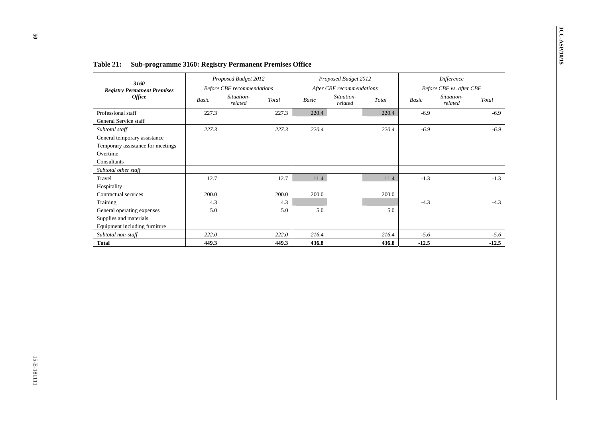| $\operatorname{\mathcal{T}\!\mathit{otal}}$<br>220.4<br>220.4 | After CBF recommendations<br>Situation-<br>related | Basic                             |                                     |                                   |                                      | 3160                                                                                         |
|---------------------------------------------------------------|----------------------------------------------------|-----------------------------------|-------------------------------------|-----------------------------------|--------------------------------------|----------------------------------------------------------------------------------------------|
|                                                               |                                                    |                                   |                                     | <b>Before CBF</b> recommendations |                                      | <b>Registry Permanent Premises</b>                                                           |
|                                                               |                                                    |                                   | Total                               | Situation-<br>related             | Basic                                | <b>Office</b>                                                                                |
|                                                               |                                                    | 220.4                             | 227.3                               |                                   | 227.3                                | Professional staff<br>General Service staff                                                  |
|                                                               |                                                    | 220.4                             | 227.3                               |                                   | 227.3                                | Subtotal staff                                                                               |
|                                                               |                                                    |                                   |                                     |                                   |                                      | General temporary assistance<br>Temporary assistance for meetings<br>Overtime<br>Consultants |
|                                                               |                                                    |                                   |                                     |                                   |                                      | Subtotal other staff                                                                         |
|                                                               |                                                    |                                   |                                     |                                   |                                      | Travel                                                                                       |
|                                                               |                                                    |                                   |                                     |                                   |                                      | Hospitality                                                                                  |
|                                                               |                                                    |                                   |                                     |                                   |                                      |                                                                                              |
|                                                               |                                                    |                                   |                                     |                                   |                                      | Training                                                                                     |
|                                                               |                                                    |                                   |                                     |                                   |                                      |                                                                                              |
|                                                               |                                                    |                                   |                                     |                                   |                                      | Supplies and materials                                                                       |
|                                                               |                                                    |                                   |                                     |                                   |                                      | Equipment including furniture                                                                |
| 216.4                                                         |                                                    |                                   | 222.0                               |                                   |                                      | Subtotal non-staff                                                                           |
| 436.8                                                         |                                                    | 436.8                             | 449.3                               |                                   | 449.3                                | <b>Total</b>                                                                                 |
| 11.4<br>$200.0\,$<br>5.0                                      |                                                    | 11.4<br>$200.0\,$<br>5.0<br>216.4 | 12.7<br>$200.0\,$<br>$4.3\,$<br>5.0 |                                   | 12.7<br>200.0<br>4.3<br>5.0<br>222.0 | Contractual services<br>General operating expenses                                           |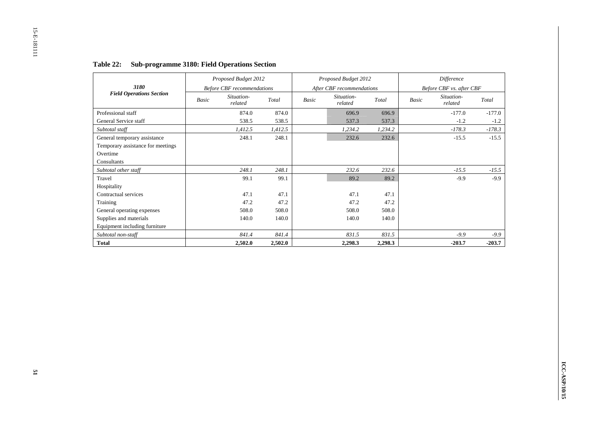|                                   | Proposed Budget 2012              |                    |       | Proposed Budget 2012      |         |       | Difference               |          |
|-----------------------------------|-----------------------------------|--------------------|-------|---------------------------|---------|-------|--------------------------|----------|
| 3180                              | <b>Before CBF</b> recommendations |                    |       | After CBF recommendations |         |       | Before CBF vs. after CBF |          |
| <b>Field Operations Section</b>   | Situation-<br>Basic<br>related    | Total              | Basic | Situation-<br>related     | Total   | Basic | Situation-<br>related    | Total    |
| Professional staff                |                                   | 874.0              | 874.0 | 696.9                     | 696.9   |       | $-177.0$                 | $-177.0$ |
| General Service staff             |                                   | 538.5              | 538.5 | 537.3                     | 537.3   |       | $-1.2$                   | $-1.2$   |
| Subtotal staff                    |                                   | 1,412.5<br>1,412.5 |       | 1,234.2                   | 1,234.2 |       | $-178.3$                 | $-178.3$ |
| General temporary assistance      |                                   | 248.1<br>248.1     |       | 232.6                     | 232.6   |       | $-15.5$                  | $-15.5$  |
| Temporary assistance for meetings |                                   |                    |       |                           |         |       |                          |          |
| Overtime                          |                                   |                    |       |                           |         |       |                          |          |
| Consultants                       |                                   |                    |       |                           |         |       |                          |          |
| Subtotal other staff              |                                   | 248.1<br>248.1     |       | 232.6                     | 232.6   |       | $-15.5$                  | $-15.5$  |
| Travel                            |                                   | 99.1               | 99.1  | 89.2                      | 89.2    |       | $-9.9$                   | $-9.9$   |
| Hospitality                       |                                   |                    |       |                           |         |       |                          |          |
| Contractual services              |                                   | 47.1               | 47.1  | 47.1                      | 47.1    |       |                          |          |
| Training                          |                                   | 47.2               | 47.2  | 47.2                      | 47.2    |       |                          |          |
| General operating expenses        |                                   | 508.0              | 508.0 | 508.0                     | 508.0   |       |                          |          |
| Supplies and materials            |                                   | 140.0              | 140.0 | 140.0                     | 140.0   |       |                          |          |
| Equipment including furniture     |                                   |                    |       |                           |         |       |                          |          |
| Subtotal non-staff                |                                   | 841.4              | 841.4 | 831.5                     | 831.5   |       | $-9.9$                   | $-9.9$   |
| <b>Total</b>                      |                                   | 2,502.0<br>2,502.0 |       | 2,298.3                   | 2,298.3 |       | $-203.7$                 | $-203.7$ |

# **Table 22: Sub-programme 3180: Field Operations Section**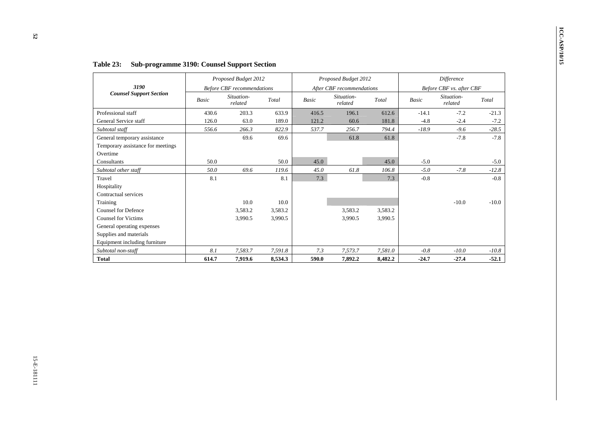| 3190<br><b>Counsel Support Section</b>                                                |       |                                   | Proposed Budget 2012 |              | Proposed Budget 2012      |         |         | Difference               |         |
|---------------------------------------------------------------------------------------|-------|-----------------------------------|----------------------|--------------|---------------------------|---------|---------|--------------------------|---------|
|                                                                                       |       | <b>Before CBF</b> recommendations |                      |              | After CBF recommendations |         |         | Before CBF vs. after CBF |         |
|                                                                                       | Basic | Situation-<br>related             | Total                | <b>Basic</b> | Situation-<br>related     | Total   | Basic   | Situation-<br>related    | Total   |
| Professional staff                                                                    | 430.6 | 203.3                             | 633.9                | 416.5        | 196.1                     | 612.6   | $-14.1$ | $-7.2$                   | $-21.3$ |
| General Service staff                                                                 | 126.0 | 63.0                              | 189.0                | 121.2        | 60.6                      | 181.8   | $-4.8$  | $-2.4$                   | $-7.2$  |
| Subtotal staff                                                                        | 556.6 | 266.3                             | 822.9                | 537.7        | 256.7                     | 794.4   | $-18.9$ | $-9.6$                   | $-28.5$ |
| General temporary assistance<br>Temporary assistance for meetings<br>Overtime         |       | 69.6                              | 69.6                 |              | 61.8                      | 61.8    |         | $-7.8$                   | $-7.8$  |
| Consultants                                                                           | 50.0  |                                   | 50.0                 | 45.0         |                           | 45.0    | $-5.0$  |                          | $-5.0$  |
| Subtotal other staff                                                                  | 50.0  | 69.6                              | 119.6                | 45.0         | $61.8\,$                  | 106.8   | $-5.0$  | $-7.8$                   | $-12.8$ |
| Travel<br>Hospitality<br>Contractual services                                         | 8.1   |                                   | 8.1                  | 7.3          |                           | 7.3     | $-0.8$  |                          | $-0.8$  |
| Training                                                                              |       | 10.0                              | $10.0\,$             |              |                           |         |         | $-10.0$                  | $-10.0$ |
| Counsel for Defence                                                                   |       | 3,583.2                           | 3,583.2              |              | 3,583.2                   | 3,583.2 |         |                          |         |
| <b>Counsel for Victims</b>                                                            |       | 3,990.5                           | 3,990.5              |              | 3,990.5                   | 3,990.5 |         |                          |         |
| General operating expenses<br>Supplies and materials<br>Equipment including furniture |       |                                   |                      |              |                           |         |         |                          |         |
| Subtotal non-staff                                                                    | 8.1   | 7,583.7                           | 7,591.8              | 7.3          | 7,573.7                   | 7,581.0 | $-0.8$  | $-10.0$                  | $-10.8$ |
| <b>Total</b>                                                                          | 614.7 | 7,919.6                           | 8,534.3              | 590.0        | 7,892.2                   | 8,482.2 | $-24.7$ | $-27.4$                  | $-52.1$ |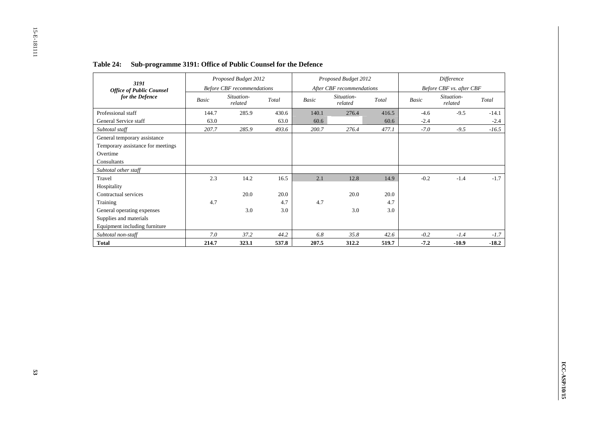| 3191                              |              | Proposed Budget 2012              |       |       | Proposed Budget 2012      |       |              | Difference               |         |
|-----------------------------------|--------------|-----------------------------------|-------|-------|---------------------------|-------|--------------|--------------------------|---------|
| <b>Office of Public Counsel</b>   |              | <b>Before CBF</b> recommendations |       |       | After CBF recommendations |       |              | Before CBF vs. after CBF |         |
| for the Defence                   | <b>Basic</b> | Situation-<br>related             | Total | Basic | Situation-<br>related     | Total | <b>Basic</b> | Situation-<br>related    | Total   |
| Professional staff                | 144.7        | 285.9                             | 430.6 | 140.1 | 276.4                     | 416.5 | $-4.6$       | $-9.5$                   | $-14.1$ |
| General Service staff             | 63.0         |                                   | 63.0  | 60.6  |                           | 60.6  | $-2.4$       |                          | $-2.4$  |
| Subtotal staff                    | 207.7        | 285.9                             | 493.6 | 200.7 | 276.4                     | 477.1 | $-7.0$       | $-9.5$                   | $-16.5$ |
| General temporary assistance      |              |                                   |       |       |                           |       |              |                          |         |
| Temporary assistance for meetings |              |                                   |       |       |                           |       |              |                          |         |
| Overtime                          |              |                                   |       |       |                           |       |              |                          |         |
| Consultants                       |              |                                   |       |       |                           |       |              |                          |         |
| Subtotal other staff              |              |                                   |       |       |                           |       |              |                          |         |
| Travel                            | 2.3          | 14.2                              | 16.5  | 2.1   | 12.8                      | 14.9  | $-0.2$       | $-1.4$                   | $-1.7$  |
| Hospitality                       |              |                                   |       |       |                           |       |              |                          |         |
| Contractual services              |              | 20.0                              | 20.0  |       | 20.0                      | 20.0  |              |                          |         |
| Training                          | 4.7          |                                   | 4.7   | 4.7   |                           | 4.7   |              |                          |         |
| General operating expenses        |              | 3.0                               | 3.0   |       | 3.0                       | 3.0   |              |                          |         |
| Supplies and materials            |              |                                   |       |       |                           |       |              |                          |         |
| Equipment including furniture     |              |                                   |       |       |                           |       |              |                          |         |
| Subtotal non-staff                | 7.0          | 37.2                              | 44.2  | 6.8   | 35.8                      | 42.6  | $-0.2$       | $-1.4$                   | $-1.7$  |
| <b>Total</b>                      | 214.7        | 323.1                             | 537.8 | 207.5 | 312.2                     | 519.7 | $-7.2$       | $-10.9$                  | $-18.2$ |

# **Table 24: Sub-programme 3191: Office of Public Counsel for the Defence**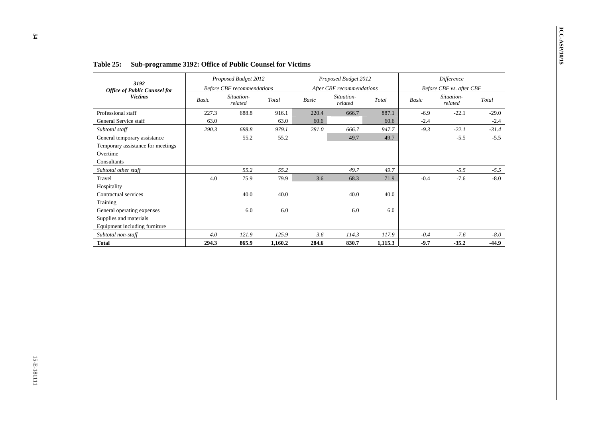| Before CBF vs. after CBF<br>Basic<br>$-6.9$<br>$-2.4$<br>$-9.3$ | Total<br>887.1<br>60.6  | After CBF recommendations<br>Situation-<br>related |              |              |                                   | Proposed Budget 2012 | 3192                                                                                         |
|-----------------------------------------------------------------|-------------------------|----------------------------------------------------|--------------|--------------|-----------------------------------|----------------------|----------------------------------------------------------------------------------------------|
|                                                                 |                         |                                                    |              |              | <b>Before CBF</b> recommendations |                      | <b>Office of Public Counsel for</b>                                                          |
|                                                                 |                         |                                                    | Basic        | Total        | Situation-<br>related             | Basic                | <b>Victims</b>                                                                               |
|                                                                 |                         | 666.7                                              | 220.4        | 916.1        | 688.8                             | 227.3                | Professional staff                                                                           |
|                                                                 |                         |                                                    | 60.6         | 63.0         |                                   | 63.0                 | General Service staff                                                                        |
|                                                                 | 947.7                   | 666.7                                              | $281.0\,$    | 979.1        | 688.8                             | 290.3                | Subtotal staff                                                                               |
|                                                                 | 49.7                    | 49.7                                               |              | 55.2         | 55.2                              |                      | General temporary assistance<br>Temporary assistance for meetings<br>Overtime<br>Consultants |
|                                                                 | 49.7                    | 49.7                                               |              | 55.2         | 55.2                              |                      | Subtotal other staff                                                                         |
| $-0.4$                                                          | 71.9                    | 68.3                                               | 3.6          | 79.9         | 75.9                              | $4.0\,$              | Travel                                                                                       |
|                                                                 |                         |                                                    |              |              |                                   |                      | Hospitality                                                                                  |
|                                                                 | 40.0                    | 40.0                                               |              | 40.0         | 40.0                              |                      | Contractual services                                                                         |
|                                                                 |                         |                                                    |              |              |                                   |                      | Training                                                                                     |
|                                                                 |                         |                                                    |              |              |                                   |                      | General operating expenses                                                                   |
|                                                                 |                         |                                                    |              |              |                                   |                      | Supplies and materials                                                                       |
|                                                                 |                         |                                                    |              |              |                                   |                      | Equipment including furniture                                                                |
|                                                                 |                         |                                                    |              |              |                                   |                      | Subtotal non-staff                                                                           |
|                                                                 |                         |                                                    |              | 1,160.2      |                                   |                      | <b>Total</b>                                                                                 |
| $-0.4$<br>$-9.7$                                                | 6.0<br>117.9<br>1,115.3 | $6.0\,$<br>114.3<br>830.7                          | 3.6<br>284.6 | 6.0<br>125.9 | $6.0\,$<br>121.9<br>865.9         | $4.0\,$<br>294.3     |                                                                                              |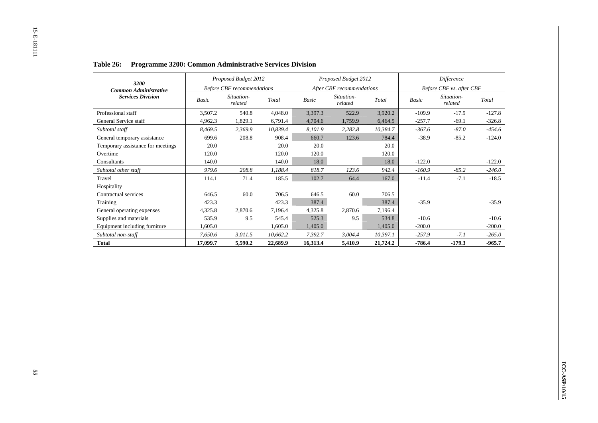| 3200                              |          | Proposed Budget 2012              |          |          | Proposed Budget 2012      |          |          | <b>Difference</b>        |          |
|-----------------------------------|----------|-----------------------------------|----------|----------|---------------------------|----------|----------|--------------------------|----------|
| <b>Common Administrative</b>      |          | <b>Before CBF</b> recommendations |          |          | After CBF recommendations |          |          | Before CBF vs. after CBF |          |
| <b>Services Division</b>          | Basic    | Situation-<br>related             | Total    | Basic    | Situation-<br>related     | Total    | Basic    | Situation-<br>related    | Total    |
| Professional staff                | 3,507.2  | 540.8                             | 4,048.0  | 3,397.3  | 522.9                     | 3,920.2  | $-109.9$ | $-17.9$                  | $-127.8$ |
| General Service staff             | 4,962.3  | 1,829.1                           | 6,791.4  | 4,704.6  | 1,759.9                   | 6,464.5  | $-257.7$ | $-69.1$                  | $-326.8$ |
| Subtotal staff                    | 8,469.5  | 2,369.9                           | 10,839.4 | 8,101.9  | 2,282.8                   | 10,384.7 | $-367.6$ | $-87.0$                  | $-454.6$ |
| General temporary assistance      | 699.6    | 208.8                             | 908.4    | 660.7    | 123.6                     | 784.4    | $-38.9$  | $-85.2$                  | $-124.0$ |
| Temporary assistance for meetings | 20.0     |                                   | 20.0     | 20.0     |                           | 20.0     |          |                          |          |
| Overtime                          | 120.0    |                                   | 120.0    | 120.0    |                           | 120.0    |          |                          |          |
| Consultants                       | 140.0    |                                   | 140.0    | 18.0     |                           | 18.0     | $-122.0$ |                          | $-122.0$ |
| Subtotal other staff              | 979.6    | 208.8                             | 1,188.4  | 818.7    | 123.6                     | 942.4    | $-160.9$ | $-85.2$                  | $-246.0$ |
| Travel                            | 114.1    | 71.4                              | 185.5    | 102.7    | 64.4                      | 167.0    | $-11.4$  | $-7.1$                   | $-18.5$  |
| Hospitality                       |          |                                   |          |          |                           |          |          |                          |          |
| Contractual services              | 646.5    | 60.0                              | 706.5    | 646.5    | 60.0                      | 706.5    |          |                          |          |
| Training                          | 423.3    |                                   | 423.3    | 387.4    |                           | 387.4    | $-35.9$  |                          | $-35.9$  |
| General operating expenses        | 4,325.8  | 2,870.6                           | 7,196.4  | 4,325.8  | 2,870.6                   | 7,196.4  |          |                          |          |
| Supplies and materials            | 535.9    | 9.5                               | 545.4    | 525.3    | 9.5                       | 534.8    | $-10.6$  |                          | $-10.6$  |
| Equipment including furniture     | 1,605.0  |                                   | 1,605.0  | 1,405.0  |                           | 1,405.0  | $-200.0$ |                          | $-200.0$ |
| Subtotal non-staff                | 7,650.6  | 3,011.5                           | 10,662.2 | 7,392.7  | 3,004.4                   | 10,397.1 | $-257.9$ | $-7.1$                   | $-265.0$ |
| <b>Total</b>                      | 17,099.7 | 5,590.2                           | 22,689.9 | 16,313.4 | 5,410.9                   | 21,724.2 | $-786.4$ | $-179.3$                 | $-965.7$ |

# **Table 26: Programme 3200: Common Administrative Services Division**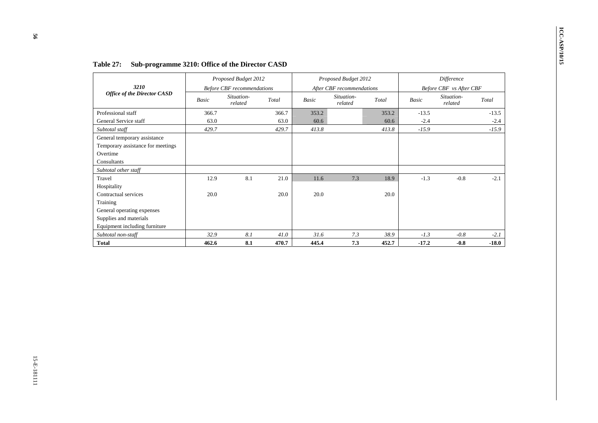|                                                                                              |              | Proposed Budget 2012                            |          |              | Proposed Budget 2012                    |          |         | Difference                            |         |
|----------------------------------------------------------------------------------------------|--------------|-------------------------------------------------|----------|--------------|-----------------------------------------|----------|---------|---------------------------------------|---------|
| 3210<br><b>Office of the Director CASD</b>                                                   | <b>Basic</b> | <b>Before CBF</b> recommendations<br>Situation- | Total    | <b>Basic</b> | After CBF recommendations<br>Situation- | Total    | Basic   | Before CBF vs After CBF<br>Situation- | Total   |
| Professional staff                                                                           | 366.7        | related                                         | 366.7    | 353.2        | related                                 | 353.2    | $-13.5$ | related                               | $-13.5$ |
| General Service staff                                                                        | 63.0         |                                                 | 63.0     | 60.6         |                                         | $60.6\,$ | $-2.4$  |                                       | $-2.4$  |
| Subtotal staff                                                                               | 429.7        |                                                 | 429.7    | 413.8        |                                         | 413.8    | $-15.9$ |                                       | $-15.9$ |
| General temporary assistance<br>Temporary assistance for meetings<br>Overtime<br>Consultants |              |                                                 |          |              |                                         |          |         |                                       |         |
| Subtotal other staff                                                                         |              |                                                 |          |              |                                         |          |         |                                       |         |
| Travel                                                                                       | 12.9         | 8.1                                             | 21.0     | 11.6         | 7.3                                     | 18.9     | $-1.3$  | $-0.8$                                | $-2.1$  |
| Hospitality                                                                                  |              |                                                 |          |              |                                         |          |         |                                       |         |
| Contractual services<br>Training                                                             | 20.0         |                                                 | 20.0     | $20.0\,$     |                                         | $20.0\,$ |         |                                       |         |
| General operating expenses                                                                   |              |                                                 |          |              |                                         |          |         |                                       |         |
| Supplies and materials                                                                       |              |                                                 |          |              |                                         |          |         |                                       |         |
| Equipment including furniture                                                                |              |                                                 |          |              |                                         |          |         |                                       |         |
| Subtotal non-staff                                                                           | 32.9         | $8.1\,$                                         | $41.0\,$ | 31.6         | 7.3                                     | 38.9     | $-1.3$  | $-0.8\,$                              | $-2.1$  |
| <b>Total</b>                                                                                 | 462.6        | 8.1                                             | 470.7    | 445.4        | 7.3                                     | 452.7    | $-17.2$ | $-0.8$                                | $-18.0$ |
|                                                                                              |              |                                                 |          |              |                                         |          |         |                                       |         |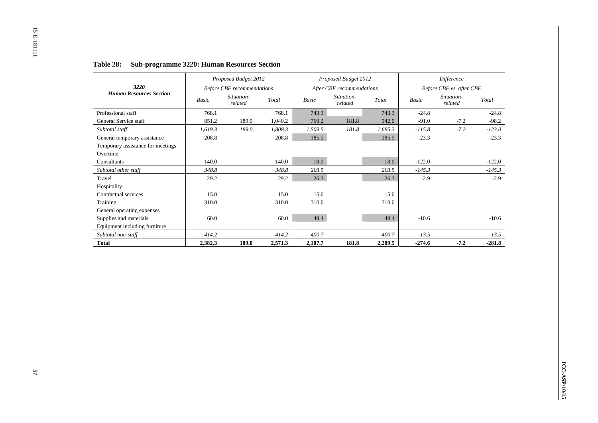|                                   |         | Proposed Budget 2012              |         |              | Proposed Budget 2012      |         |              | Difference               |          |
|-----------------------------------|---------|-----------------------------------|---------|--------------|---------------------------|---------|--------------|--------------------------|----------|
| 3220                              |         | <b>Before CBF</b> recommendations |         |              | After CBF recommendations |         |              | Before CBF vs. after CBF |          |
| <b>Human Resources Section</b>    | Basic   | Situation-<br>related             | Total   | <b>Basic</b> | Situation-<br>related     | Total   | <b>Basic</b> | Situation-<br>related    | Total    |
| Professional staff                | 768.1   |                                   | 768.1   | 743.3        |                           | 743.3   | $-24.8$      |                          | $-24.8$  |
| General Service staff             | 851.2   | 189.0                             | 1,040.2 | 760.2        | 181.8                     | 942.0   | $-91.0$      | $-7.2$                   | $-98.2$  |
| Subtotal staff                    | 1,619.3 | 189.0                             | 1.808.3 | 1,503.5      | 181.8                     | 1,685.3 | $-115.8$     | $-7.2$                   | $-123.0$ |
| General temporary assistance      | 208.8   |                                   | 208.8   | 185.5        |                           | 185.5   | $-23.3$      |                          | $-23.3$  |
| Temporary assistance for meetings |         |                                   |         |              |                           |         |              |                          |          |
| Overtime                          |         |                                   |         |              |                           |         |              |                          |          |
| Consultants                       | 140.0   |                                   | 140.0   | 18.0         |                           | 18.0    | $-122.0$     |                          | $-122.0$ |
| Subtotal other staff              | 348.8   |                                   | 348.8   | 203.5        |                           | 203.5   | $-145.3$     |                          | $-145.3$ |
| Travel                            | 29.2    |                                   | 29.2    | 26.3         |                           | 26.3    | $-2.9$       |                          | $-2.9$   |
| Hospitality                       |         |                                   |         |              |                           |         |              |                          |          |
| Contractual services              | 15.0    |                                   | 15.0    | 15.0         |                           | 15.0    |              |                          |          |
| Training                          | 310.0   |                                   | 310.0   | 310.0        |                           | 310.0   |              |                          |          |
| General operating expenses        |         |                                   |         |              |                           |         |              |                          |          |
| Supplies and materials            | 60.0    |                                   | 60.0    | 49.4         |                           | 49.4    | $-10.6$      |                          | $-10.6$  |
| Equipment including furniture     |         |                                   |         |              |                           |         |              |                          |          |
| Subtotal non-staff                | 414.2   |                                   | 414.2   | 400.7        |                           | 400.7   | $-13.5$      |                          | $-13.5$  |
| <b>Total</b>                      | 2,382.3 | 189.0                             | 2,571.3 | 2,107.7      | 181.8                     | 2,289.5 | $-274.6$     | $-7.2$                   | $-281.8$ |

# **Table 28: Sub-programme 3220: Human Resources Section**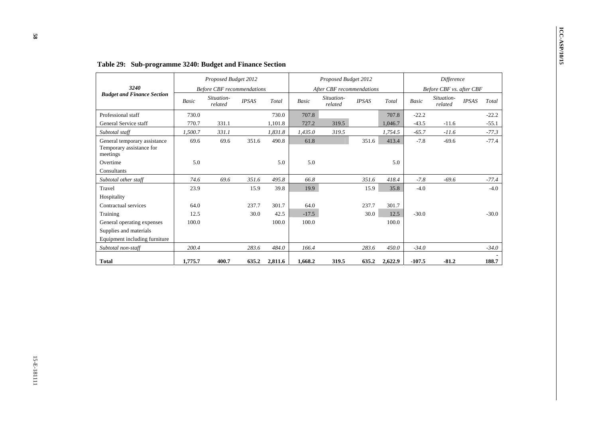| 3240                                                                 |         | Proposed Budget 2012<br><b>Before CBF</b> recommendations |             |         |         | Proposed Budget 2012<br>After CBF recommendations |             |         |          | Difference<br>Before CBF vs. after CBF |             |                                             |
|----------------------------------------------------------------------|---------|-----------------------------------------------------------|-------------|---------|---------|---------------------------------------------------|-------------|---------|----------|----------------------------------------|-------------|---------------------------------------------|
| <b>Budget and Finance Section</b>                                    | Basic   | Situation-<br>related                                     | $\it IPSAS$ | Total   | Basic   | Situation-<br>$related$                           | $\it IPSAS$ | Total   | Basic    | Situation-<br>related                  | $\it IPSAS$ | $\operatorname{\mathcal{T}\!\mathit{otal}}$ |
| Professional staff                                                   | 730.0   |                                                           |             | 730.0   | 707.8   |                                                   |             | 707.8   | $-22.2$  |                                        |             | $-22.2$                                     |
| General Service staff                                                | 770.7   | 331.1                                                     |             | 1,101.8 | 727.2   | 319.5                                             |             | 1,046.7 | $-43.5$  | $-11.6$                                |             | $-55.1$                                     |
| Subtotal staff                                                       | 1,500.7 | 331.1                                                     |             | 1,831.8 | 1,435.0 | 319.5                                             |             | 1,754.5 | $-65.7$  | $-11.6$                                |             | $-77.3$                                     |
| General temporary assistance<br>Temporary assistance for<br>meetings | 69.6    | 69.6                                                      | 351.6       | 490.8   | 61.8    |                                                   | 351.6       | 413.4   | $-7.8$   | $-69.6$                                |             | $-77.4$                                     |
| Overtime                                                             | 5.0     |                                                           |             | 5.0     | 5.0     |                                                   |             | 5.0     |          |                                        |             |                                             |
| Consultants                                                          |         |                                                           |             |         |         |                                                   |             |         |          |                                        |             |                                             |
| Subtotal other staff                                                 | 74.6    | 69.6                                                      | 351.6       | 495.8   | 66.8    |                                                   | 351.6       | 418.4   | $-7.8$   | $-69.6$                                |             | $-77.4$                                     |
| Travel                                                               | 23.9    |                                                           | 15.9        | 39.8    | 19.9    |                                                   | 15.9        | 35.8    | $-4.0$   |                                        |             | $-4.0$                                      |
| Hospitality                                                          |         |                                                           |             |         |         |                                                   |             |         |          |                                        |             |                                             |
| Contractual services                                                 | 64.0    |                                                           | 237.7       | 301.7   | 64.0    |                                                   | 237.7       | 301.7   |          |                                        |             |                                             |
| Training                                                             | 12.5    |                                                           | 30.0        | 42.5    | $-17.5$ |                                                   | $30.0\,$    | 12.5    | $-30.0$  |                                        |             | $-30.0$                                     |
| General operating expenses                                           | 100.0   |                                                           |             | 100.0   | 100.0   |                                                   |             | 100.0   |          |                                        |             |                                             |
| Supplies and materials                                               |         |                                                           |             |         |         |                                                   |             |         |          |                                        |             |                                             |
| Equipment including furniture                                        |         |                                                           |             |         |         |                                                   |             |         |          |                                        |             |                                             |
| Subtotal non-staff                                                   | 200.4   |                                                           | 283.6       | 484.0   | 166.4   |                                                   | 283.6       | 450.0   | $-34.0$  |                                        |             | $-34.0$                                     |
| <b>Total</b>                                                         | 1,775.7 | 400.7                                                     | 635.2       | 2,811.6 | 1,668.2 | 319.5                                             | 635.2       | 2,622.9 | $-107.5$ | $-81.2$                                |             | 188.7                                       |
|                                                                      |         |                                                           |             |         |         |                                                   |             |         |          |                                        |             |                                             |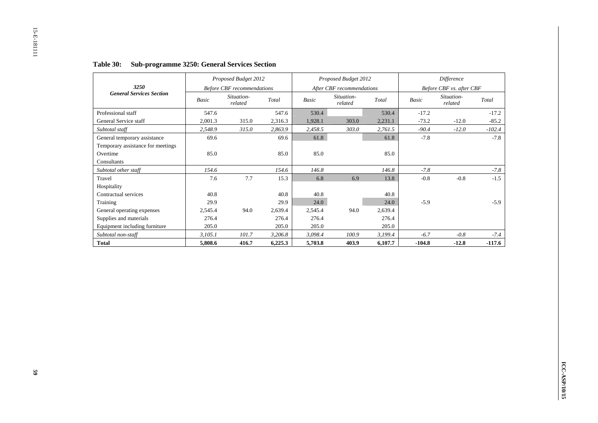|                                   |         | Proposed Budget 2012              |         |         | Proposed Budget 2012      |         |          | Difference               |          |
|-----------------------------------|---------|-----------------------------------|---------|---------|---------------------------|---------|----------|--------------------------|----------|
| 3250                              |         | <b>Before CBF</b> recommendations |         |         | After CBF recommendations |         |          | Before CBF vs. after CBF |          |
| <b>General Services Section</b>   | Basic   | Situation-<br>related             | Total   | Basic   | Situation-<br>related     | Total   | Basic    | Situation-<br>related    | Total    |
| Professional staff                | 547.6   |                                   | 547.6   | 530.4   |                           | 530.4   | $-17.2$  |                          | $-17.2$  |
| General Service staff             | 2,001.3 | 315.0                             | 2,316.3 | 1,928.1 | 303.0                     | 2,231.1 | $-73.2$  | $-12.0$                  | $-85.2$  |
| Subtotal staff                    | 2,548.9 | 315.0                             | 2,863.9 | 2,458.5 | 303.0                     | 2,761.5 | $-90.4$  | $-12.0$                  | $-102.4$ |
| General temporary assistance      | 69.6    |                                   | 69.6    | 61.8    |                           | 61.8    | $-7.8$   |                          | $-7.8$   |
| Temporary assistance for meetings |         |                                   |         |         |                           |         |          |                          |          |
| Overtime                          | 85.0    |                                   | 85.0    | 85.0    |                           | 85.0    |          |                          |          |
| Consultants                       |         |                                   |         |         |                           |         |          |                          |          |
| Subtotal other staff              | 154.6   |                                   | 154.6   | 146.8   |                           | 146.8   | $-7.8$   |                          | $-7.8$   |
| Travel                            | 7.6     | 7.7                               | 15.3    | 6.8     | 6.9                       | 13.8    | $-0.8$   | $-0.8$                   | $-1.5$   |
| Hospitality                       |         |                                   |         |         |                           |         |          |                          |          |
| Contractual services              | 40.8    |                                   | 40.8    | 40.8    |                           | 40.8    |          |                          |          |
| Training                          | 29.9    |                                   | 29.9    | 24.0    |                           | 24.0    | $-5.9$   |                          | $-5.9$   |
| General operating expenses        | 2,545.4 | 94.0                              | 2,639.4 | 2,545.4 | 94.0                      | 2,639.4 |          |                          |          |
| Supplies and materials            | 276.4   |                                   | 276.4   | 276.4   |                           | 276.4   |          |                          |          |
| Equipment including furniture     | 205.0   |                                   | 205.0   | 205.0   |                           | 205.0   |          |                          |          |
| Subtotal non-staff                | 3,105.1 | 101.7                             | 3,206.8 | 3,098.4 | 100.9                     | 3,199.4 | $-6.7$   | $-0.8$                   | $-7.4$   |
| <b>Total</b>                      | 5,808.6 | 416.7                             | 6,225.3 | 5,703.8 | 403.9                     | 6,107.7 | $-104.8$ | $-12.8$                  | $-117.6$ |

# **Table 30: Sub-programme 3250: General Services Section**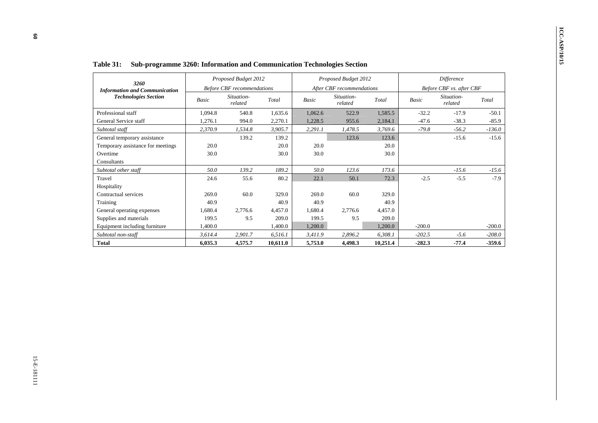| 3260<br><b>Information and Communication</b> |          | Proposed Budget 2012              |                             |                             | Proposed Budget 2012      |                                       |                      | Difference               |          |
|----------------------------------------------|----------|-----------------------------------|-----------------------------|-----------------------------|---------------------------|---------------------------------------|----------------------|--------------------------|----------|
|                                              |          | <b>Before CBF</b> recommendations |                             |                             | After CBF recommendations |                                       |                      | Before CBF vs. after CBF |          |
| <b>Technologies Section</b>                  | Basic    | Situation-<br>related             | Total                       | Basic                       | Situation-<br>related     | Total                                 | Basic                | Situation-<br>related    | Total    |
| Professional staff                           | 1,094.8  | 540.8                             | 1,635.6                     | 1,062.6                     | 522.9                     | 1,585.5                               | $-32.2$              | $-17.9$                  | $-50.1$  |
| General Service staff                        | 1,276.1  | 994.0                             | 2,270.1                     | 1,228.5                     | 955.6                     | 2,184.1                               | $-47.6$              | $-38.3$                  | $-85.9$  |
| Subtotal staff                               | 2,370.9  | 1,534.8                           | 3,905.7                     | 2,291.1                     | 1,478.5                   | 3,769.6                               | $-79.8$              | $-56.2$                  | $-136.0$ |
| General temporary assistance                 |          | 139.2                             | 139.2                       |                             | 123.6                     | 123.6                                 |                      | $-15.6$                  | $-15.6$  |
| Temporary assistance for meetings            | $20.0\,$ |                                   | $20.0\,$                    | 20.0                        |                           | 20.0                                  |                      |                          |          |
| Overtime                                     | 30.0     |                                   | 30.0                        | 30.0                        |                           | 30.0                                  |                      |                          |          |
| Consultants                                  |          |                                   |                             |                             |                           |                                       |                      |                          |          |
| Subtotal other staff                         | $50.0\,$ | 139.2                             | 189.2                       | 50.0                        | 123.6                     | 173.6                                 |                      | $-15.6$                  | $-15.6$  |
| Travel                                       | 24.6     | 55.6                              | 80.2                        | 22.1                        | 50.1                      | 72.3                                  | $-2.5$               | $-5.5$                   | $-7.9$   |
| Hospitality                                  |          |                                   |                             |                             |                           |                                       |                      |                          |          |
| Contractual services                         | 269.0    | 60.0                              | 329.0                       | 269.0                       | 60.0                      | 329.0                                 |                      |                          |          |
| Training                                     | 40.9     |                                   | 40.9                        | 40.9                        |                           |                                       |                      |                          |          |
| General operating expenses                   | 1,680.4  | 2,776.6                           |                             |                             |                           |                                       |                      |                          |          |
| Supplies and materials                       | 199.5    |                                   |                             |                             |                           | 209.0                                 |                      |                          |          |
| Equipment including furniture                | 1,400.0  |                                   |                             |                             |                           |                                       |                      |                          | $-200.0$ |
| Subtotal non-staff                           |          |                                   | 6,516.1                     | 3,411.9                     |                           |                                       |                      |                          | $-208.0$ |
| <b>Total</b>                                 | 6,035.3  | 4,575.7                           | 10,611.0                    | 5,753.0                     | 4,498.3                   | 10,251.4                              | $-282.3$             | $-77.4$                  | $-359.6$ |
|                                              | 3,614.4  | 9.5<br>2,901.7                    | 4,457.0<br>209.0<br>1,400.0 | 1,680.4<br>199.5<br>1,200.0 | 2,776.6<br>9.5<br>2,896.2 | 40.9<br>4,457.0<br>1,200.0<br>6,308.1 | $-200.0$<br>$-202.5$ | $-5.6$                   |          |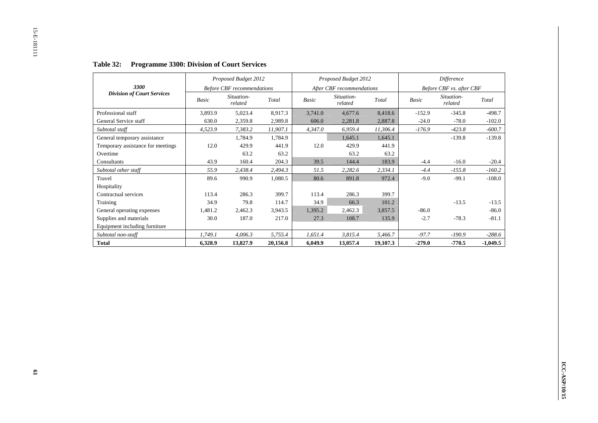|                                   |         | Proposed Budget 2012              |          |         | Proposed Budget 2012      |          |          | Difference               |            |
|-----------------------------------|---------|-----------------------------------|----------|---------|---------------------------|----------|----------|--------------------------|------------|
| 3300                              |         | <b>Before CBF</b> recommendations |          |         | After CBF recommendations |          |          | Before CBF vs. after CBF |            |
| <b>Division of Court Services</b> | Basic   | Situation-<br>related             | Total    | Basic   | Situation-<br>related     | Total    | Basic    | Situation-<br>related    | Total      |
| Professional staff                | 3,893.9 | 5,023.4                           | 8,917.3  | 3,741.0 | 4,677.6                   | 8,418.6  | $-152.9$ | $-345.8$                 | $-498.7$   |
| General Service staff             | 630.0   | 2,359.8                           | 2,989.8  | 606.0   | 2,281.8                   | 2,887.8  | $-24.0$  | $-78.0$                  | $-102.0$   |
| Subtotal staff                    | 4,523.9 | 7,383.2                           | 11,907.1 | 4,347.0 | 6,959.4                   | 11,306.4 | $-176.9$ | $-423.8$                 | $-600.7$   |
| General temporary assistance      |         | 1,784.9                           | 1,784.9  |         | 1,645.1                   | 1,645.1  |          | $-139.8$                 | $-139.8$   |
| Temporary assistance for meetings | 12.0    | 429.9                             | 441.9    | 12.0    | 429.9                     | 441.9    |          |                          |            |
| Overtime                          |         | 63.2                              | 63.2     |         | 63.2                      | 63.2     |          |                          |            |
| Consultants                       | 43.9    | 160.4                             | 204.3    | 39.5    | 144.4                     | 183.9    | $-4.4$   | $-16.0$                  | $-20.4$    |
| Subtotal other staff              | 55.9    | 2,438.4                           | 2,494.3  | 51.5    | 2,282.6                   | 2,334.1  | $-4.4$   | $-155.8$                 | $-160.2$   |
| Travel                            | 89.6    | 990.9                             | 1,080.5  | 80.6    | 891.8                     | 972.4    | $-9.0$   | $-99.1$                  | $-108.0$   |
| Hospitality                       |         |                                   |          |         |                           |          |          |                          |            |
| Contractual services              | 113.4   | 286.3                             | 399.7    | 113.4   | 286.3                     | 399.7    |          |                          |            |
| Training                          | 34.9    | 79.8                              | 114.7    | 34.9    | 66.3                      | 101.2    |          | $-13.5$                  | $-13.5$    |
| General operating expenses        | 1,481.2 | 2,462.3                           | 3,943.5  | 1,395.2 | 2,462.3                   | 3,857.5  | $-86.0$  |                          | $-86.0$    |
| Supplies and materials            | 30.0    | 187.0                             | 217.0    | 27.3    | 108.7                     | 135.9    | $-2.7$   | $-78.3$                  | $-81.1$    |
| Equipment including furniture     |         |                                   |          |         |                           |          |          |                          |            |
| Subtotal non-staff                | 1,749.1 | 4,006.3                           | 5,755.4  | 1,651.4 | 3,815.4                   | 5,466.7  | $-97.7$  | $-190.9$                 | $-288.6$   |
| <b>Total</b>                      | 6,328.9 | 13,827.9                          | 20,156.8 | 6,049.9 | 13,057.4                  | 19,107.3 | $-279.0$ | $-770.5$                 | $-1,049.5$ |

# **Table 32: Programme 3300: Division of Court Services**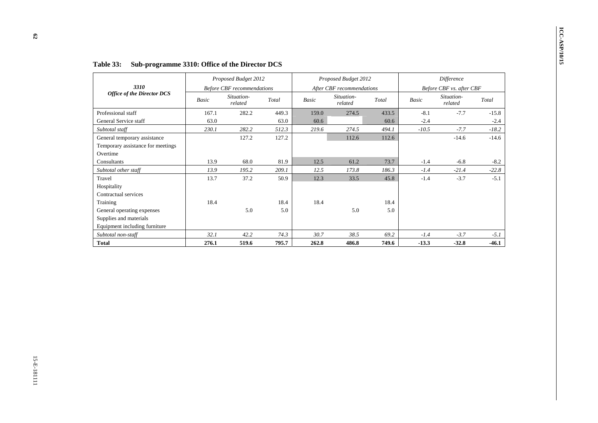|                                                                               |       | Proposed Budget 2012                            |       |              | Proposed Budget 2012                    |       |         | Difference                             |         |
|-------------------------------------------------------------------------------|-------|-------------------------------------------------|-------|--------------|-----------------------------------------|-------|---------|----------------------------------------|---------|
| 3310<br><b>Office of the Director DCS</b>                                     |       | <b>Before CBF</b> recommendations<br>Situation- |       |              | After CBF recommendations<br>Situation- |       |         | Before CBF vs. after CBF<br>Situation- |         |
|                                                                               | Basic | related                                         | Total | <b>Basic</b> | related                                 | Total | Basic   | related                                | Total   |
| Professional staff                                                            | 167.1 | 282.2                                           | 449.3 | 159.0        | 274.5                                   | 433.5 | $-8.1$  | $-7.7$                                 | $-15.8$ |
| General Service staff                                                         | 63.0  |                                                 | 63.0  | 60.6         |                                         | 60.6  | $-2.4$  |                                        | $-2.4$  |
| Subtotal staff                                                                | 230.1 | 282.2                                           | 512.3 | 219.6        | 274.5                                   | 494.1 | $-10.5$ | $-7.7$                                 | $-18.2$ |
| General temporary assistance<br>Temporary assistance for meetings<br>Overtime |       | 127.2                                           | 127.2 |              | 112.6                                   | 112.6 |         | $-14.6$                                | $-14.6$ |
| Consultants                                                                   | 13.9  | 68.0                                            | 81.9  | 12.5         | 61.2                                    | 73.7  | $-1.4$  | $-6.8$                                 | $-8.2$  |
| Subtotal other staff                                                          | 13.9  | 195.2                                           | 209.1 | 12.5         | 173.8                                   | 186.3 | $-1.4$  | $-21.4$                                | $-22.8$ |
| Travel                                                                        | 13.7  | 37.2                                            | 50.9  | 12.3         | 33.5                                    | 45.8  | $-1.4$  | $-3.7$                                 | $-5.1$  |
| Hospitality                                                                   |       |                                                 |       |              |                                         |       |         |                                        |         |
| Contractual services                                                          |       |                                                 |       |              |                                         |       |         |                                        |         |
| Training                                                                      | 18.4  |                                                 | 18.4  | 18.4         |                                         | 18.4  |         |                                        |         |
| General operating expenses                                                    |       | 5.0                                             | 5.0   |              | 5.0                                     | 5.0   |         |                                        |         |
| Supplies and materials                                                        |       |                                                 |       |              |                                         |       |         |                                        |         |
| Equipment including furniture                                                 |       |                                                 |       |              |                                         |       |         |                                        |         |
| Subtotal non-staff                                                            | 32.1  | 42.2                                            | 74.3  | 30.7         | 38.5                                    | 69.2  | $-1.4$  | $-3.7$                                 | $-5.1$  |
| <b>Total</b>                                                                  | 276.1 | 519.6                                           | 795.7 |              | 486.8                                   | 749.6 |         |                                        | $-46.1$ |
|                                                                               |       |                                                 |       | 262.8        |                                         |       | $-13.3$ | $-32.8$                                |         |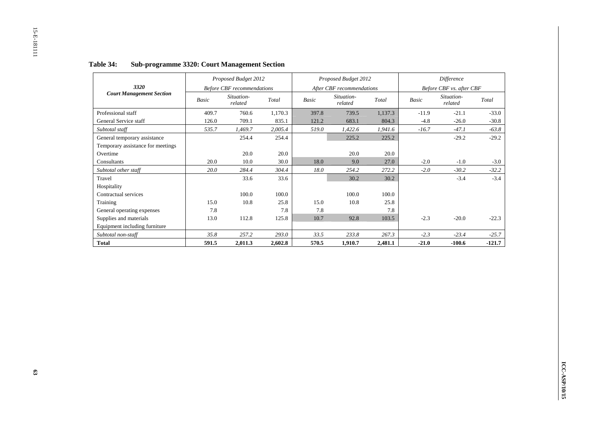|                                   |              | Proposed Budget 2012              |         |       | Proposed Budget 2012      |         |              | Difference               |          |
|-----------------------------------|--------------|-----------------------------------|---------|-------|---------------------------|---------|--------------|--------------------------|----------|
| 3320                              |              | <b>Before CBF</b> recommendations |         |       | After CBF recommendations |         |              | Before CBF vs. after CBF |          |
| <b>Court Management Section</b>   | <b>Basic</b> | Situation-<br>related             | Total   | Basic | Situation-<br>related     | Total   | <b>Basic</b> | Situation-<br>related    | Total    |
| Professional staff                | 409.7        | 760.6                             | 1,170.3 | 397.8 | 739.5                     | 1,137.3 | $-11.9$      | $-21.1$                  | $-33.0$  |
| General Service staff             | 126.0        | 709.1                             | 835.1   | 121.2 | 683.1                     | 804.3   | $-4.8$       | $-26.0$                  | $-30.8$  |
| Subtotal staff                    | 535.7        | 1,469.7                           | 2,005.4 | 519.0 | 1,422.6                   | 1,941.6 | $-16.7$      | $-47.1$                  | $-63.8$  |
| General temporary assistance      |              | 254.4                             | 254.4   |       | 225.2                     | 225.2   |              | $-29.2$                  | $-29.2$  |
| Temporary assistance for meetings |              |                                   |         |       |                           |         |              |                          |          |
| Overtime                          |              | 20.0                              | 20.0    |       | 20.0                      | 20.0    |              |                          |          |
| Consultants                       | 20.0         | 10.0                              | 30.0    | 18.0  | 9.0                       | 27.0    | $-2.0$       | $-1.0$                   | $-3.0$   |
| Subtotal other staff              | 20.0         | 284.4                             | 304.4   | 18.0  | 254.2                     | 272.2   | $-2.0$       | $-30.2$                  | $-32.2$  |
| Travel                            |              | 33.6                              | 33.6    |       | 30.2                      | 30.2    |              | $-3.4$                   | $-3.4$   |
| Hospitality                       |              |                                   |         |       |                           |         |              |                          |          |
| Contractual services              |              | 100.0                             | 100.0   |       | 100.0                     | 100.0   |              |                          |          |
| Training                          | 15.0         | 10.8                              | 25.8    | 15.0  | 10.8                      | 25.8    |              |                          |          |
| General operating expenses        | 7.8          |                                   | 7.8     | 7.8   |                           | 7.8     |              |                          |          |
| Supplies and materials            | 13.0         | 112.8                             | 125.8   | 10.7  | 92.8                      | 103.5   | $-2.3$       | $-20.0$                  | $-22.3$  |
| Equipment including furniture     |              |                                   |         |       |                           |         |              |                          |          |
| Subtotal non-staff                | 35.8         | 257.2                             | 293.0   | 33.5  | 233.8                     | 267.3   | $-2.3$       | $-23.4$                  | $-25.7$  |
| <b>Total</b>                      | 591.5        | 2,011.3                           | 2,602.8 | 570.5 | 1,910.7                   | 2,481.1 | $-21.0$      | $-100.6$                 | $-121.7$ |

#### **Table 34:Sub-programme 3320: Court Management Section**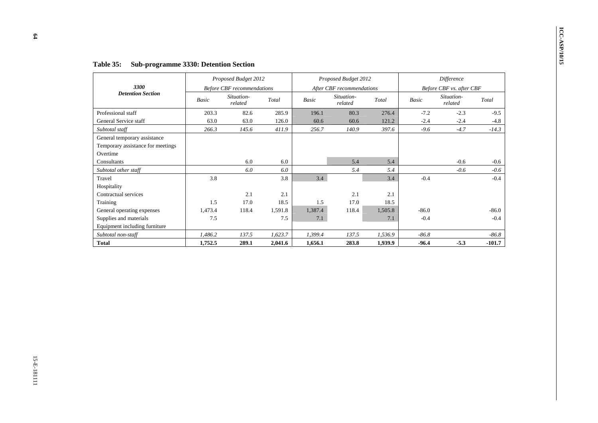| Before CBF vs. after CBF<br><b>Basic</b><br>$-7.2$<br>$-2.4$<br>$-9.6$ | Total<br>276.4<br>121.2<br>397.6         | After CBF recommendations<br>Situation-<br>related<br>80.3 | <b>Basic</b>                            |                                              |                                   |                                         |                                                                                       |
|------------------------------------------------------------------------|------------------------------------------|------------------------------------------------------------|-----------------------------------------|----------------------------------------------|-----------------------------------|-----------------------------------------|---------------------------------------------------------------------------------------|
|                                                                        |                                          |                                                            |                                         |                                              | <b>Before CBF</b> recommendations |                                         | 3300<br><b>Detention Section</b>                                                      |
|                                                                        |                                          |                                                            |                                         | Total                                        | Situation-<br>related             | <b>Basic</b>                            |                                                                                       |
|                                                                        |                                          |                                                            | 196.1                                   | 285.9                                        | 82.6                              | 203.3                                   | Professional staff                                                                    |
|                                                                        |                                          | 60.6                                                       | 60.6                                    | 126.0                                        | 63.0                              | 63.0                                    | General Service staff                                                                 |
|                                                                        |                                          | 140.9                                                      | 256.7                                   | 411.9                                        | 145.6                             | 266.3                                   | Subtotal staff                                                                        |
|                                                                        |                                          |                                                            |                                         |                                              |                                   |                                         | General temporary assistance<br>Temporary assistance for meetings<br>Overtime         |
|                                                                        | 5.4                                      | 5.4                                                        |                                         | $6.0\,$                                      | $6.0\,$                           |                                         | Consultants                                                                           |
|                                                                        | 5.4                                      | 5.4                                                        |                                         | $6.0\,$                                      | $6.0\,$                           |                                         | Subtotal other staff                                                                  |
| $-0.4$                                                                 |                                          |                                                            |                                         |                                              |                                   |                                         | Travel                                                                                |
|                                                                        |                                          |                                                            |                                         |                                              |                                   |                                         | Hospitality                                                                           |
|                                                                        | 2.1                                      |                                                            |                                         | 2.1                                          |                                   |                                         | Contractual services                                                                  |
|                                                                        |                                          |                                                            |                                         |                                              |                                   |                                         | Training                                                                              |
|                                                                        |                                          |                                                            |                                         |                                              |                                   |                                         |                                                                                       |
|                                                                        |                                          |                                                            |                                         |                                              |                                   |                                         |                                                                                       |
|                                                                        |                                          |                                                            |                                         |                                              |                                   |                                         |                                                                                       |
|                                                                        |                                          |                                                            |                                         |                                              |                                   |                                         | Subtotal non-staff                                                                    |
| $-96.4$                                                                | 1,939.9                                  | 283.8                                                      | 1,656.1                                 | 2,041.6                                      | 289.1                             | 1,752.5                                 |                                                                                       |
| $-86.0$<br>$-0.4$<br>$-86.8$                                           | 3.4<br>18.5<br>1,505.8<br>7.1<br>1,536.9 | $2.1\,$<br>17.0<br>118.4<br>137.5                          | 3.4<br>1.5<br>1,387.4<br>7.1<br>1,399.4 | 3.8<br>18.5<br>1,591.8<br>$7.5\,$<br>1,623.7 | $2.1\,$<br>17.0<br>118.4<br>137.5 | 3.8<br>1.5<br>1,473.4<br>7.5<br>1,486.2 | General operating expenses<br>Supplies and materials<br>Equipment including furniture |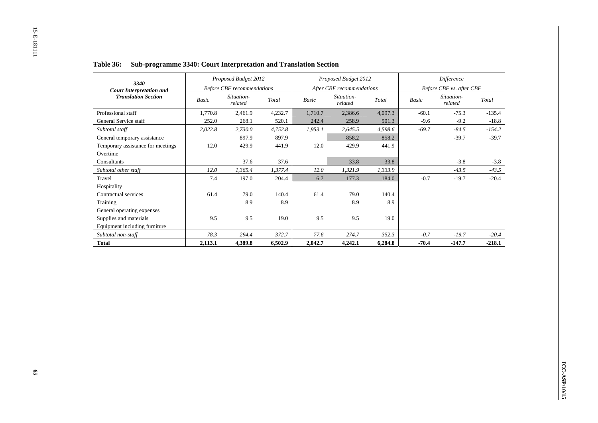| 3340                              |         | Proposed Budget 2012              |         |         | Proposed Budget 2012      |         |         | Difference               |          |
|-----------------------------------|---------|-----------------------------------|---------|---------|---------------------------|---------|---------|--------------------------|----------|
| <b>Court Interpretation and</b>   |         | <b>Before CBF</b> recommendations |         |         | After CBF recommendations |         |         | Before CBF vs. after CBF |          |
| <b>Translation Section</b>        | Basic   | Situation-<br>related             | Total   | Basic   | Situation-<br>related     | Total   | Basic   | Situation-<br>related    | Total    |
| Professional staff                | 1,770.8 | 2,461.9                           | 4,232.7 | 1,710.7 | 2,386.6                   | 4,097.3 | $-60.1$ | $-75.3$                  | $-135.4$ |
| General Service staff             | 252.0   | 268.1                             | 520.1   | 242.4   | 258.9                     | 501.3   | $-9.6$  | $-9.2$                   | $-18.8$  |
| Subtotal staff                    | 2,022.8 | 2,730.0                           | 4,752.8 | 1,953.1 | 2,645.5                   | 4,598.6 | $-69.7$ | $-84.5$                  | $-154.2$ |
| General temporary assistance      |         | 897.9                             | 897.9   |         | 858.2                     | 858.2   |         | $-39.7$                  | $-39.7$  |
| Temporary assistance for meetings | 12.0    | 429.9                             | 441.9   | 12.0    | 429.9                     | 441.9   |         |                          |          |
| Overtime                          |         |                                   |         |         |                           |         |         |                          |          |
| Consultants                       |         | 37.6                              | 37.6    |         | 33.8                      | 33.8    |         | $-3.8$                   | $-3.8$   |
| Subtotal other staff              | 12.0    | 1,365.4                           | 1,377.4 | 12.0    | 1,321.9                   | 1,333.9 |         | $-43.5$                  | $-43.5$  |
| Travel                            | 7.4     | 197.0                             | 204.4   | 6.7     | 177.3                     | 184.0   | $-0.7$  | $-19.7$                  | $-20.4$  |
| Hospitality                       |         |                                   |         |         |                           |         |         |                          |          |
| Contractual services              | 61.4    | 79.0                              | 140.4   | 61.4    | 79.0                      | 140.4   |         |                          |          |
| Training                          |         | 8.9                               | 8.9     |         | 8.9                       | 8.9     |         |                          |          |
| General operating expenses        |         |                                   |         |         |                           |         |         |                          |          |
| Supplies and materials            | 9.5     | 9.5                               | 19.0    | 9.5     | 9.5                       | 19.0    |         |                          |          |
| Equipment including furniture     |         |                                   |         |         |                           |         |         |                          |          |
| Subtotal non-staff                | 78.3    | 294.4                             | 372.7   | 77.6    | 274.7                     | 352.3   | $-0.7$  | $-19.7$                  | $-20.4$  |
| <b>Total</b>                      | 2,113.1 | 4,389.8                           | 6,502.9 | 2,042.7 | 4,242.1                   | 6,284.8 | -70.4   | $-147.7$                 | $-218.1$ |

#### **Table 36: Sub-programme 3340: Court Interpretation and Translation Section**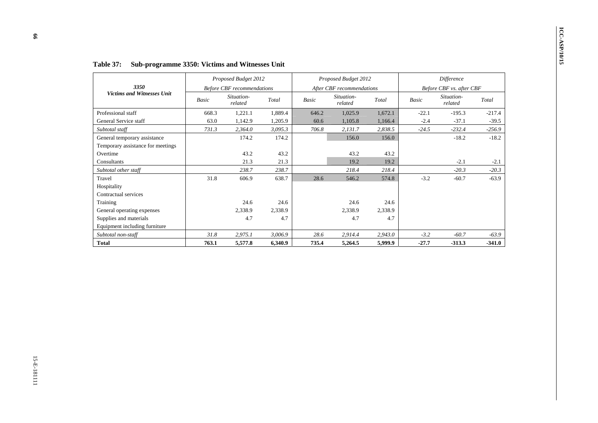| Total<br>1,672.1<br>1,166.4<br>2,838.5<br>156.0               | After CBF recommendations<br>Situation-<br>related<br>1,025.9<br>1,105.8 | Basic<br>646.2        | Total                                                                  | <b>Before CBF</b> recommendations                              |                           |                                   |
|---------------------------------------------------------------|--------------------------------------------------------------------------|-----------------------|------------------------------------------------------------------------|----------------------------------------------------------------|---------------------------|-----------------------------------|
|                                                               |                                                                          |                       |                                                                        |                                                                |                           | 3350                              |
|                                                               |                                                                          |                       |                                                                        | Situation-<br>related                                          | Basic                     | Victims and Witnesses Unit        |
|                                                               |                                                                          |                       | 1,889.4                                                                | 1,221.1                                                        | 668.3                     | Professional staff                |
|                                                               |                                                                          | 60.6                  | 1,205.9                                                                | 1,142.9                                                        | 63.0                      | General Service staff             |
|                                                               | 2,131.7                                                                  | 706.8                 | 3,095.3                                                                | 2,364.0                                                        | 731.3                     | Subtotal staff                    |
|                                                               | 156.0                                                                    |                       | 174.2                                                                  | 174.2                                                          |                           | General temporary assistance      |
|                                                               |                                                                          |                       |                                                                        |                                                                |                           | Temporary assistance for meetings |
| 43.2                                                          | 43.2                                                                     |                       | 43.2                                                                   | 43.2                                                           |                           | Overtime                          |
|                                                               |                                                                          |                       |                                                                        |                                                                |                           | Consultants                       |
|                                                               |                                                                          |                       |                                                                        |                                                                |                           | Subtotal other staff              |
| 574.8                                                         |                                                                          |                       |                                                                        |                                                                |                           | Travel                            |
|                                                               |                                                                          |                       |                                                                        |                                                                |                           | Hospitality                       |
|                                                               |                                                                          |                       |                                                                        |                                                                |                           | Contractual services              |
|                                                               | 24.6                                                                     |                       |                                                                        | 24.6                                                           |                           | Training                          |
|                                                               |                                                                          |                       |                                                                        |                                                                |                           | General operating expenses        |
|                                                               |                                                                          |                       |                                                                        |                                                                |                           | Supplies and materials            |
|                                                               |                                                                          |                       |                                                                        |                                                                |                           | Equipment including furniture     |
|                                                               |                                                                          |                       |                                                                        |                                                                |                           | Subtotal non-staff                |
|                                                               |                                                                          |                       |                                                                        |                                                                |                           | <b>Total</b>                      |
| 19.2<br>218.4<br>24.6<br>2,338.9<br>4.7<br>2,943.0<br>5,999.9 | 19.2<br>218.4<br>546.2<br>2,338.9<br>4.7<br>2,914.4<br>5,264.5           | 28.6<br>28.6<br>735.4 | 21.3<br>238.7<br>638.7<br>24.6<br>2,338.9<br>4.7<br>3,006.9<br>6,340.9 | 21.3<br>238.7<br>606.9<br>2,338.9<br>4.7<br>2,975.1<br>5,577.8 | 31.8<br>$31.8\,$<br>763.1 |                                   |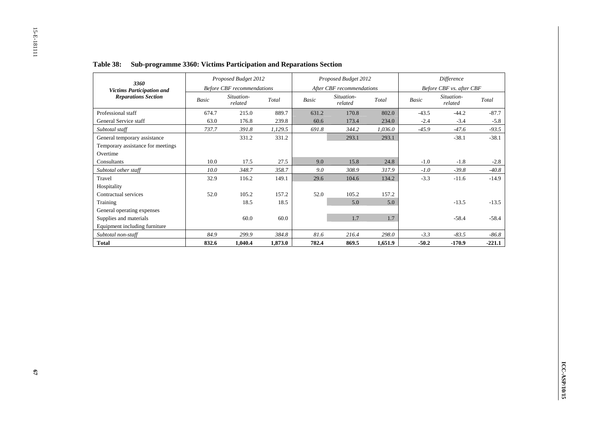| 3360                              |       | Proposed Budget 2012              |         |       | Proposed Budget 2012      |         |              | <b>Difference</b>        |          |
|-----------------------------------|-------|-----------------------------------|---------|-------|---------------------------|---------|--------------|--------------------------|----------|
| <b>Victims Participation and</b>  |       | <b>Before CBF</b> recommendations |         |       | After CBF recommendations |         |              | Before CBF vs. after CBF |          |
| <b>Reparations Section</b>        | Basic | Situation-<br>related             | Total   | Basic | Situation-<br>related     | Total   | <b>Basic</b> | Situation-<br>related    | Total    |
| Professional staff                | 674.7 | 215.0                             | 889.7   | 631.2 | 170.8                     | 802.0   | $-43.5$      | $-44.2$                  | $-87.7$  |
| General Service staff             | 63.0  | 176.8                             | 239.8   | 60.6  | 173.4                     | 234.0   | $-2.4$       | $-3.4$                   | $-5.8$   |
| Subtotal staff                    | 737.7 | 391.8                             | 1,129.5 | 691.8 | 344.2                     | 1,036.0 | $-45.9$      | $-47.6$                  | $-93.5$  |
| General temporary assistance      |       | 331.2                             | 331.2   |       | 293.1                     | 293.1   |              | $-38.1$                  | $-38.1$  |
| Temporary assistance for meetings |       |                                   |         |       |                           |         |              |                          |          |
| Overtime                          |       |                                   |         |       |                           |         |              |                          |          |
| Consultants                       | 10.0  | 17.5                              | 27.5    | 9.0   | 15.8                      | 24.8    | $-1.0$       | $-1.8$                   | $-2.8$   |
| Subtotal other staff              | 10.0  | 348.7                             | 358.7   | 9.0   | 308.9                     | 317.9   | $-1.0$       | $-39.8$                  | $-40.8$  |
| Travel                            | 32.9  | 116.2                             | 149.1   | 29.6  | 104.6                     | 134.2   | $-3.3$       | $-11.6$                  | $-14.9$  |
| Hospitality                       |       |                                   |         |       |                           |         |              |                          |          |
| Contractual services              | 52.0  | 105.2                             | 157.2   | 52.0  | 105.2                     | 157.2   |              |                          |          |
| Training                          |       | 18.5                              | 18.5    |       | 5.0                       | 5.0     |              | $-13.5$                  | $-13.5$  |
| General operating expenses        |       |                                   |         |       |                           |         |              |                          |          |
| Supplies and materials            |       | 60.0                              | 60.0    |       | 1.7                       | 1.7     |              | $-58.4$                  | $-58.4$  |
| Equipment including furniture     |       |                                   |         |       |                           |         |              |                          |          |
| Subtotal non-staff                | 84.9  | 299.9                             | 384.8   | 81.6  | 216.4                     | 298.0   | $-3.3$       | $-83.5$                  | $-86.8$  |
| <b>Total</b>                      | 832.6 | 1,040.4                           | 1,873.0 | 782.4 | 869.5                     | 1,651.9 | $-50.2$      | $-170.9$                 | $-221.1$ |

#### **Table 38: Sub-programme 3360: Victims Participation and Reparations Section**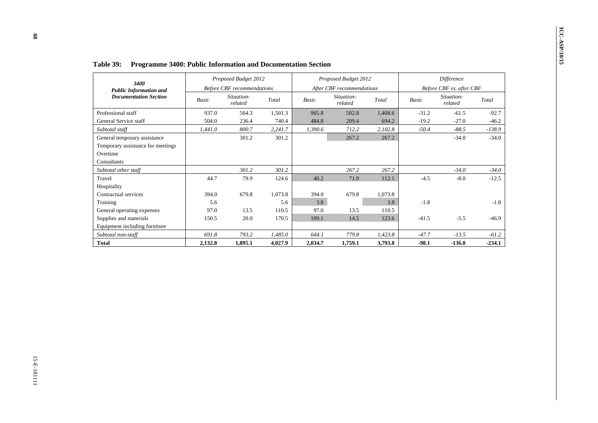| 3400                                                                                         |         | Proposed Budget 2012              |         |         | Proposed Budget 2012      |         |         | Difference               |          |
|----------------------------------------------------------------------------------------------|---------|-----------------------------------|---------|---------|---------------------------|---------|---------|--------------------------|----------|
| <b>Public Information and</b>                                                                |         | <b>Before CBF</b> recommendations |         |         | After CBF recommendations |         |         | Before CBF vs. after CBF |          |
| <b>Documentation Section</b>                                                                 | Basic   | Situation-<br>related             | Total   | Basic   | Situation-<br>related     | Total   | Basic   | Situation-<br>related    | Total    |
| Professional staff                                                                           | 937.0   | 564.3                             | 1,501.3 | 905.8   | 502.8                     | 1,408.6 | $-31.2$ | $-61.5$                  | $-92.7$  |
| General Service staff                                                                        | 504.0   | 236.4                             | 740.4   | 484.8   | 209.4                     | 694.2   | $-19.2$ | $-27.0$                  | $-46.2$  |
| Subtotal staff                                                                               | 1,441.0 | 800.7                             | 2,241.7 | 1,390.6 | 712.2                     | 2,102.8 | $-50.4$ | $-88.5$                  | -138.9   |
| General temporary assistance<br>Temporary assistance for meetings<br>Overtime<br>Consultants |         | 301.2                             | 301.2   |         | 267.2                     | 267.2   |         | $-34.0$                  | $-34.0$  |
| Subtotal other staff                                                                         |         | 301.2                             | 301.2   |         | 267.2                     | 267.2   |         | $-34.0$                  | $-34.0$  |
| Travel                                                                                       | 44.7    | 79.9                              | 124.6   | 40.2    | 71.9                      | 112.1   | $-4.5$  | $-8.0$                   | $-12.5$  |
| Hospitality                                                                                  |         |                                   |         |         |                           |         |         |                          |          |
| Contractual services                                                                         | 394.0   | 679.8                             | 1,073.8 | 394.0   | 679.8                     | 1,073.8 |         |                          |          |
| Training                                                                                     | 5.6     |                                   | 5.6     | 3.8     |                           | $3.8\,$ | $-1.8$  |                          | $-1.8$   |
| General operating expenses                                                                   | 97.0    | 13.5                              | 110.5   | 97.0    | 13.5                      | 110.5   |         |                          |          |
| Supplies and materials                                                                       | 150.5   | 20.0                              | 170.5   | 109.1   | 14.5                      | 123.6   | $-41.5$ | $-5.5$                   | $-46.9$  |
| Equipment including furniture                                                                |         |                                   |         |         |                           |         |         |                          |          |
| Subtotal non-staff                                                                           | 691.8   | 793.2                             | 1,485.0 | 644.1   | 779.8                     | 1,423.8 | $-47.7$ | $-13.5$                  | $-61.2$  |
| <b>Total</b>                                                                                 | 2,132.8 | 1,895.1                           | 4,027.9 | 2,034.7 | 1,759.1                   | 3,793.8 | $-98.1$ | $-136.0$                 | $-234.1$ |
|                                                                                              |         |                                   |         |         |                           |         |         |                          |          |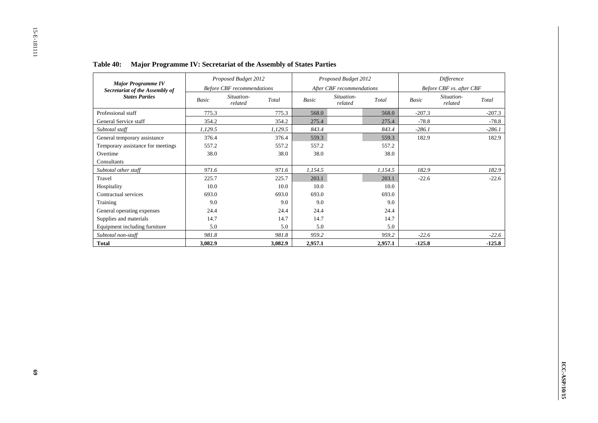| <b>Major Programme IV</b>         |         | Proposed Budget 2012              |         |         | Proposed Budget 2012      |         |          | Difference               |          |
|-----------------------------------|---------|-----------------------------------|---------|---------|---------------------------|---------|----------|--------------------------|----------|
| Secretariat of the Assembly of    |         | <b>Before CBF</b> recommendations |         |         | After CBF recommendations |         |          | Before CBF vs. after CBF |          |
| <b>States Parties</b>             | Basic   | Situation-<br>related             | Total   | Basic   | Situation-<br>related     | Total   | Basic    | Situation-<br>related    | Total    |
| Professional staff                | 775.3   |                                   | 775.3   | 568.0   |                           | 568.0   | $-207.3$ |                          | $-207.3$ |
| General Service staff             | 354.2   |                                   | 354.2   | 275.4   |                           | 275.4   | $-78.8$  |                          | $-78.8$  |
| Subtotal staff                    | 1,129.5 |                                   | 1,129.5 | 843.4   |                           | 843.4   | $-286.1$ |                          | $-286.1$ |
| General temporary assistance      | 376.4   |                                   | 376.4   | 559.3   |                           | 559.3   | 182.9    |                          | 182.9    |
| Temporary assistance for meetings | 557.2   |                                   | 557.2   | 557.2   |                           | 557.2   |          |                          |          |
| Overtime                          | 38.0    |                                   | 38.0    | 38.0    |                           | 38.0    |          |                          |          |
| Consultants                       |         |                                   |         |         |                           |         |          |                          |          |
| Subtotal other staff              | 971.6   |                                   | 971.6   | 1,154.5 |                           | 1,154.5 | 182.9    |                          | 182.9    |
| Travel                            | 225.7   |                                   | 225.7   | 203.1   |                           | 203.1   | $-22.6$  |                          | $-22.6$  |
| Hospitality                       | 10.0    |                                   | 10.0    | 10.0    |                           | 10.0    |          |                          |          |
| Contractual services              | 693.0   |                                   | 693.0   | 693.0   |                           | 693.0   |          |                          |          |
| Training                          | 9.0     |                                   | 9.0     | 9.0     |                           | 9.0     |          |                          |          |
| General operating expenses        | 24.4    |                                   | 24.4    | 24.4    |                           | 24.4    |          |                          |          |
| Supplies and materials            | 14.7    |                                   | 14.7    | 14.7    |                           | 14.7    |          |                          |          |
| Equipment including furniture     | 5.0     |                                   | 5.0     | 5.0     |                           | 5.0     |          |                          |          |
| Subtotal non-staff                | 981.8   |                                   | 981.8   | 959.2   |                           | 959.2   | $-22.6$  |                          | $-22.6$  |
| <b>Total</b>                      | 3,082.9 |                                   | 3,082.9 | 2,957.1 |                           | 2,957.1 | $-125.8$ |                          | $-125.8$ |

**Table 40: Major Programme IV: Secretariat of the Assembly of States Parties**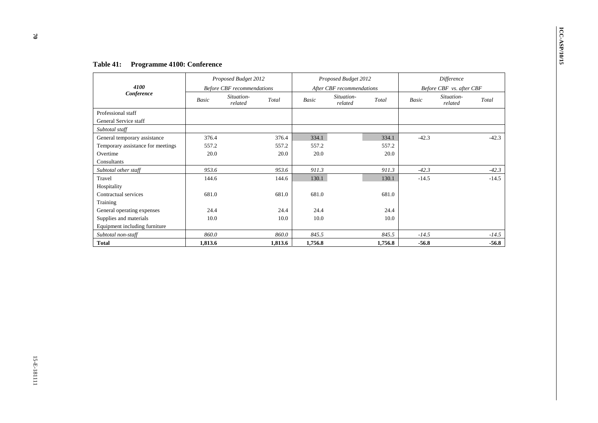| 4100                                        |              | Proposed Budget 2012                            |           |          | Proposed Budget 2012                    |          |         | Difference                             |         |
|---------------------------------------------|--------------|-------------------------------------------------|-----------|----------|-----------------------------------------|----------|---------|----------------------------------------|---------|
| Conference                                  | <b>Basic</b> | <b>Before CBF</b> recommendations<br>Situation- | Total     | Basic    | After CBF recommendations<br>Situation- | Total    | Basic   | Before CBF vs. after CBF<br>Situation- | Total   |
| Professional staff<br>General Service staff |              | related                                         |           |          | related                                 |          |         | related                                |         |
| Subtotal staff                              |              |                                                 |           |          |                                         |          |         |                                        |         |
| General temporary assistance                | 376.4        |                                                 | 376.4     | 334.1    |                                         | 334.1    | $-42.3$ |                                        | $-42.3$ |
| Temporary assistance for meetings           | 557.2        |                                                 | 557.2     | 557.2    |                                         | 557.2    |         |                                        |         |
| Overtime<br>Consultants                     | 20.0         |                                                 | $20.0\,$  | $20.0\,$ |                                         | 20.0     |         |                                        |         |
| Subtotal other staff                        | 953.6        |                                                 | 953.6     | 911.3    |                                         | 911.3    | $-42.3$ |                                        | $-42.3$ |
| Travel                                      | 144.6        |                                                 | 144.6     | 130.1    |                                         | 130.1    | $-14.5$ |                                        | $-14.5$ |
| Hospitality                                 |              |                                                 |           |          |                                         |          |         |                                        |         |
| Contractual services                        | 681.0        |                                                 | 681.0     | 681.0    |                                         | 681.0    |         |                                        |         |
| Training                                    |              |                                                 |           |          |                                         |          |         |                                        |         |
| General operating expenses                  | 24.4         |                                                 | 24.4      | 24.4     |                                         | 24.4     |         |                                        |         |
| Supplies and materials                      | 10.0         |                                                 | $10.0\,$  | $10.0\,$ |                                         | $10.0\,$ |         |                                        |         |
| Equipment including furniture               |              |                                                 |           |          |                                         |          |         |                                        |         |
| Subtotal non-staff                          | 860.0        |                                                 | $860.0\,$ | 845.5    |                                         | 845.5    | $-14.5$ |                                        |         |
| <b>Total</b>                                |              |                                                 |           |          |                                         |          | $-56.8$ |                                        |         |
|                                             | 1,813.6      |                                                 | 1,813.6   | 1,756.8  |                                         | 1,756.8  |         |                                        |         |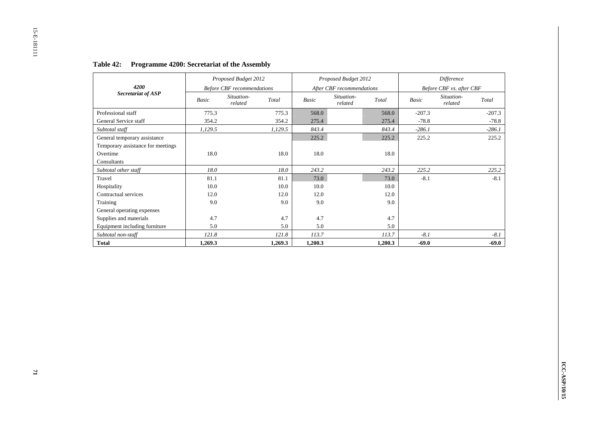|                                   |         | Proposed Budget 2012              |         |         | Proposed Budget 2012      |         |          | Difference               |          |
|-----------------------------------|---------|-----------------------------------|---------|---------|---------------------------|---------|----------|--------------------------|----------|
| 4200                              |         | <b>Before CBF</b> recommendations |         |         | After CBF recommendations |         |          | Before CBF vs. after CBF |          |
| Secretariat of ASP                | Basic   | Situation-<br>related             | Total   | Basic   | Situation-<br>related     | Total   | Basic    | Situation-<br>related    | Total    |
| Professional staff                | 775.3   |                                   | 775.3   | 568.0   |                           | 568.0   | $-207.3$ |                          | $-207.3$ |
| General Service staff             | 354.2   |                                   | 354.2   | 275.4   |                           | 275.4   | $-78.8$  |                          | $-78.8$  |
| Subtotal staff                    | 1,129.5 |                                   | 1,129.5 | 843.4   |                           | 843.4   | $-286.1$ |                          | $-286.1$ |
| General temporary assistance      |         |                                   |         | 225.2   |                           | 225.2   | 225.2    |                          | 225.2    |
| Temporary assistance for meetings |         |                                   |         |         |                           |         |          |                          |          |
| Overtime                          | 18.0    |                                   | 18.0    | 18.0    |                           | 18.0    |          |                          |          |
| Consultants                       |         |                                   |         |         |                           |         |          |                          |          |
| Subtotal other staff              | 18.0    |                                   | 18.0    | 243.2   |                           | 243.2   | 225.2    |                          | 225.2    |
| Travel                            | 81.1    |                                   | 81.1    | 73.0    |                           | 73.0    | $-8.1$   |                          | $-8.1$   |
| Hospitality                       | 10.0    |                                   | 10.0    | 10.0    |                           | 10.0    |          |                          |          |
| Contractual services              | 12.0    |                                   | 12.0    | 12.0    |                           | 12.0    |          |                          |          |
| Training                          | 9.0     |                                   | 9.0     | 9.0     |                           | 9.0     |          |                          |          |
| General operating expenses        |         |                                   |         |         |                           |         |          |                          |          |
| Supplies and materials            | 4.7     |                                   | 4.7     | 4.7     |                           | 4.7     |          |                          |          |
| Equipment including furniture     | 5.0     |                                   | 5.0     | 5.0     |                           | 5.0     |          |                          |          |
| Subtotal non-staff                | 121.8   |                                   | 121.8   | 113.7   |                           | 113.7   | $-8.1$   |                          | $-8.1$   |
| <b>Total</b>                      | 1,269.3 |                                   | 1,269.3 | 1,200.3 |                           | 1,200.3 | $-69.0$  |                          | $-69.0$  |

# **Table 42: Programme 4200: Secretariat of the Assembly**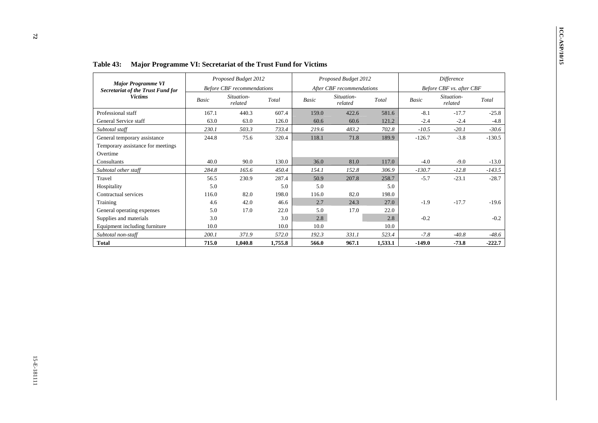| Major Programme VI                                                            |                     | Proposed Budget 2012              |                      |            | Proposed Budget 2012      |                          |                  | Difference               |          |
|-------------------------------------------------------------------------------|---------------------|-----------------------------------|----------------------|------------|---------------------------|--------------------------|------------------|--------------------------|----------|
| <b>Secretariat of the Trust Fund for</b>                                      |                     | <b>Before CBF</b> recommendations |                      |            | After CBF recommendations |                          |                  | Before CBF vs. after CBF |          |
| <b>Victims</b>                                                                | Basic               | Situation-<br>related             | Total                | Basic      | Situation-<br>related     | Total                    | Basic            | Situation-<br>related    | Total    |
| Professional staff                                                            | 167.1               | 440.3                             | 607.4                | 159.0      | 422.6                     | 581.6                    | $-8.1$           | $-17.7$                  | $-25.8$  |
| General Service staff                                                         | 63.0                | 63.0                              | 126.0                | 60.6       | 60.6                      | 121.2                    | $-2.4$           | $-2.4$                   | $-4.8$   |
| Subtotal staff                                                                | 230.1               | 503.3                             | 733.4                | 219.6      | 483.2                     | 702.8                    | $-10.5$          | $-20.1$                  | $-30.6$  |
| General temporary assistance<br>Temporary assistance for meetings<br>Overtime | 244.8               | 75.6                              | 320.4                | 118.1      | 71.8                      | 189.9                    | $-126.7$         | $-3.8$                   | $-130.5$ |
| Consultants                                                                   | 40.0                | 90.0                              | 130.0                | 36.0       | 81.0                      | 117.0                    | $-4.0$           | $-9.0$                   | $-13.0$  |
| Subtotal other staff                                                          | 284.8               | 165.6                             | 450.4                | 154.1      | 152.8                     | 306.9                    | $-130.7$         | $-12.8$                  | $-143.5$ |
| Travel                                                                        | 56.5                | 230.9                             | 287.4                | 50.9       | 207.8                     | 258.7                    | $-5.7$           | $-23.1$                  | $-28.7$  |
| Hospitality                                                                   | 5.0                 |                                   | 5.0                  | 5.0        |                           | 5.0                      |                  |                          |          |
| Contractual services                                                          | 116.0               | 82.0                              | 198.0                | 116.0      | 82.0                      | 198.0                    |                  |                          |          |
| Training                                                                      | $4.6\,$             | 42.0                              | 46.6                 | 2.7        | 24.3                      | 27.0                     | $-1.9$           | $-17.7$                  | $-19.6$  |
| General operating expenses                                                    |                     |                                   |                      |            |                           | 22.0                     |                  |                          |          |
| Supplies and materials                                                        |                     |                                   |                      |            |                           |                          |                  |                          | $-0.2$   |
| Equipment including furniture                                                 | 10.0                |                                   | 10.0                 | 10.0       |                           |                          |                  |                          |          |
| Subtotal non-staff                                                            |                     |                                   |                      | 192.3      |                           |                          |                  | $-40.8$                  | $-48.6$  |
| <b>Total</b>                                                                  | 715.0               | 1,040.8                           | 1,755.8              | 566.0      | 967.1                     | 1,533.1                  | $-149.0$         | $-73.8$                  | $-222.7$ |
|                                                                               | 5.0<br>3.0<br>200.1 | 17.0<br>371.9                     | 22.0<br>3.0<br>572.0 | 5.0<br>2.8 | 17.0<br>331.1             | 2.8<br>$10.0\,$<br>523.4 | $-0.2$<br>$-7.8$ |                          |          |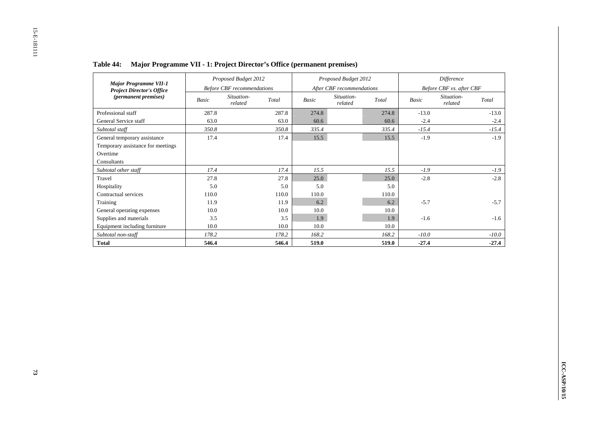|                                                                                          | Proposed Budget 2012<br><b>Before CBF</b> recommendations |                       |       |       | Proposed Budget 2012      |       | Difference               |                       |         |  |
|------------------------------------------------------------------------------------------|-----------------------------------------------------------|-----------------------|-------|-------|---------------------------|-------|--------------------------|-----------------------|---------|--|
| <b>Major Programme VII-1</b><br><b>Project Director's Office</b><br>(permanent premises) |                                                           |                       |       |       | After CBF recommendations |       | Before CBF vs. after CBF |                       |         |  |
|                                                                                          | Basic                                                     | Situation-<br>related | Total | Basic | Situation-<br>related     | Total | Basic                    | Situation-<br>related | Total   |  |
| Professional staff                                                                       | 287.8                                                     |                       | 287.8 | 274.8 |                           | 274.8 | $-13.0$                  |                       | $-13.0$ |  |
| General Service staff                                                                    | 63.0                                                      |                       | 63.0  | 60.6  |                           | 60.6  | $-2.4$                   |                       | $-2.4$  |  |
| Subtotal staff                                                                           | 350.8                                                     |                       | 350.8 | 335.4 |                           | 335.4 | $-15.4$                  |                       | $-15.4$ |  |
| General temporary assistance                                                             | 17.4                                                      |                       | 17.4  | 15.5  |                           | 15.5  | $-1.9$                   |                       | $-1.9$  |  |
| Temporary assistance for meetings                                                        |                                                           |                       |       |       |                           |       |                          |                       |         |  |
| Overtime                                                                                 |                                                           |                       |       |       |                           |       |                          |                       |         |  |
| Consultants                                                                              |                                                           |                       |       |       |                           |       |                          |                       |         |  |
| Subtotal other staff                                                                     | 17.4                                                      |                       | 17.4  | 15.5  |                           | 15.5  | $-1.9$                   |                       | $-1.9$  |  |
| Travel                                                                                   | 27.8                                                      |                       | 27.8  | 25.0  |                           | 25.0  | $-2.8$                   |                       | $-2.8$  |  |
| Hospitality                                                                              | 5.0                                                       |                       | 5.0   | 5.0   |                           | 5.0   |                          |                       |         |  |
| Contractual services                                                                     | 110.0                                                     |                       | 110.0 | 110.0 |                           | 110.0 |                          |                       |         |  |
| Training                                                                                 | 11.9                                                      |                       | 11.9  | 6.2   |                           | 6.2   | $-5.7$                   |                       | $-5.7$  |  |
| General operating expenses                                                               | 10.0                                                      |                       | 10.0  | 10.0  |                           | 10.0  |                          |                       |         |  |
| Supplies and materials                                                                   | 3.5                                                       |                       | 3.5   | 1.9   |                           | 1.9   | $-1.6$                   |                       | $-1.6$  |  |
| Equipment including furniture                                                            | 10.0                                                      |                       | 10.0  | 10.0  |                           | 10.0  |                          |                       |         |  |
| Subtotal non-staff                                                                       | 178.2                                                     |                       | 178.2 | 168.2 |                           | 168.2 | $-10.0$                  |                       | $-10.0$ |  |
| <b>Total</b>                                                                             | 546.4                                                     |                       | 546.4 | 519.0 |                           | 519.0 | $-27.4$                  |                       | $-27.4$ |  |

**Table 44: Major Programme VII - 1: Project Director's Office (permanent premises)**